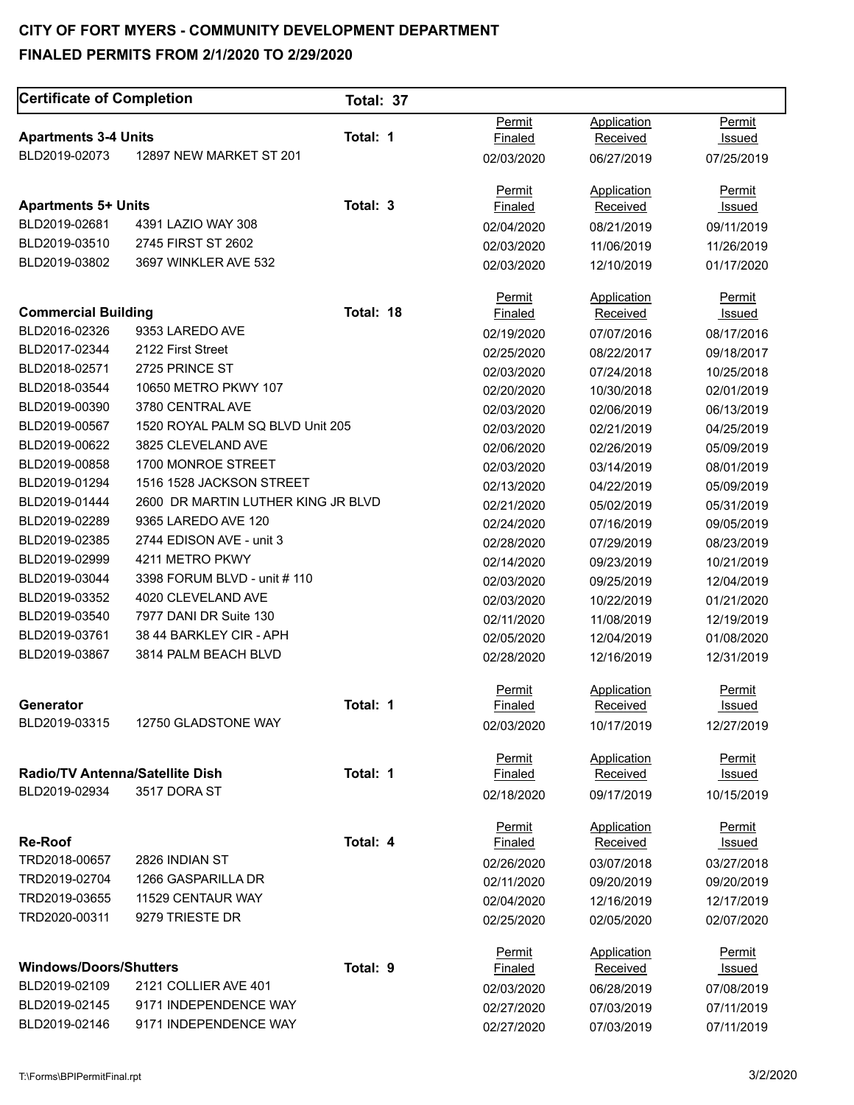#### **CITY OF FORT MYERS - COMMUNITY DEVELOPMENT DEPARTMENT**

#### **FINALED PERMITS FROM 2/1/2020 TO 2/29/2020**

| <b>Certificate of Completion</b>       |                                    | Total: 37 |                   |                                       |               |
|----------------------------------------|------------------------------------|-----------|-------------------|---------------------------------------|---------------|
|                                        |                                    |           | Permit            | Application                           | Permit        |
| <b>Apartments 3-4 Units</b>            |                                    | Total: 1  | Finaled           | Received                              | Issued        |
| BLD2019-02073                          | 12897 NEW MARKET ST 201            |           | 02/03/2020        | 06/27/2019                            | 07/25/2019    |
|                                        |                                    |           | Permit            | Application                           | Permit        |
| <b>Apartments 5+ Units</b>             |                                    | Total: 3  | Finaled           | <b>Received</b>                       | Issued        |
| BLD2019-02681                          | 4391 LAZIO WAY 308                 |           | 02/04/2020        | 08/21/2019                            | 09/11/2019    |
| BLD2019-03510                          | 2745 FIRST ST 2602                 |           | 02/03/2020        | 11/06/2019                            | 11/26/2019    |
| BLD2019-03802                          | 3697 WINKLER AVE 532               |           | 02/03/2020        | 12/10/2019                            | 01/17/2020    |
|                                        |                                    | Total: 18 | Permit            | Application                           | Permit        |
| <b>Commercial Building</b>             | 9353 LAREDO AVE                    |           | <b>Finaled</b>    | Received                              | <u>Issued</u> |
| BLD2016-02326                          |                                    |           | 02/19/2020        | 07/07/2016                            | 08/17/2016    |
| BLD2017-02344                          | 2122 First Street                  |           | 02/25/2020        | 08/22/2017                            | 09/18/2017    |
| BLD2018-02571                          | 2725 PRINCE ST                     |           | 02/03/2020        | 07/24/2018                            | 10/25/2018    |
| BLD2018-03544                          | 10650 METRO PKWY 107               |           | 02/20/2020        | 10/30/2018                            | 02/01/2019    |
| BLD2019-00390                          | 3780 CENTRAL AVE                   |           | 02/03/2020        | 02/06/2019                            | 06/13/2019    |
| BLD2019-00567                          | 1520 ROYAL PALM SQ BLVD Unit 205   |           | 02/03/2020        | 02/21/2019                            | 04/25/2019    |
| BLD2019-00622                          | 3825 CLEVELAND AVE                 |           | 02/06/2020        | 02/26/2019                            | 05/09/2019    |
| BLD2019-00858                          | 1700 MONROE STREET                 |           | 02/03/2020        | 03/14/2019                            | 08/01/2019    |
| BLD2019-01294                          | 1516 1528 JACKSON STREET           |           | 02/13/2020        | 04/22/2019                            | 05/09/2019    |
| BLD2019-01444                          | 2600 DR MARTIN LUTHER KING JR BLVD |           | 02/21/2020        | 05/02/2019                            | 05/31/2019    |
| BLD2019-02289                          | 9365 LAREDO AVE 120                |           | 02/24/2020        | 07/16/2019                            | 09/05/2019    |
| BLD2019-02385                          | 2744 EDISON AVE - unit 3           |           | 02/28/2020        | 07/29/2019                            | 08/23/2019    |
| BLD2019-02999                          | 4211 METRO PKWY                    |           | 02/14/2020        | 09/23/2019                            | 10/21/2019    |
| BLD2019-03044                          | 3398 FORUM BLVD - unit # 110       |           | 02/03/2020        | 09/25/2019                            | 12/04/2019    |
| BLD2019-03352                          | 4020 CLEVELAND AVE                 |           | 02/03/2020        | 10/22/2019                            | 01/21/2020    |
| BLD2019-03540                          | 7977 DANI DR Suite 130             |           | 02/11/2020        | 11/08/2019                            | 12/19/2019    |
| BLD2019-03761                          | 38 44 BARKLEY CIR - APH            |           | 02/05/2020        | 12/04/2019                            | 01/08/2020    |
| BLD2019-03867                          | 3814 PALM BEACH BLVD               |           | 02/28/2020        | 12/16/2019                            | 12/31/2019    |
|                                        |                                    |           | Permit            | Application                           | <b>Permit</b> |
| Generator                              |                                    | Total: 1  | Finaled           | Received                              | Issued        |
| BLD2019-03315                          | 12750 GLADSTONE WAY                |           | 02/03/2020        | 10/17/2019                            | 12/27/2019    |
|                                        |                                    |           | Permit            | Application                           | Permit        |
| <b>Radio/TV Antenna/Satellite Dish</b> |                                    | Total: 1  | <b>Finaled</b>    | Received                              | <u>Issued</u> |
| BLD2019-02934                          | 3517 DORA ST                       |           | 02/18/2020        | 09/17/2019                            | 10/15/2019    |
| <b>Re-Roof</b>                         |                                    | Total: 4  | Permit            | Application                           | <b>Permit</b> |
| TRD2018-00657                          | 2826 INDIAN ST                     |           | Finaled           | <b>Received</b>                       | <u>Issued</u> |
| TRD2019-02704                          | 1266 GASPARILLA DR                 |           | 02/26/2020        | 03/07/2018                            | 03/27/2018    |
|                                        |                                    |           | 02/11/2020        | 09/20/2019                            | 09/20/2019    |
| TRD2019-03655                          | 11529 CENTAUR WAY                  |           | 02/04/2020        | 12/16/2019                            | 12/17/2019    |
| TRD2020-00311                          | 9279 TRIESTE DR                    |           | 02/25/2020        | 02/05/2020                            | 02/07/2020    |
| <b>Windows/Doors/Shutters</b>          |                                    | Total: 9  | Permit<br>Finaled | <b>Application</b><br><b>Received</b> | <b>Permit</b> |
| BLD2019-02109                          | 2121 COLLIER AVE 401               |           |                   |                                       | <u>Issued</u> |
| BLD2019-02145                          | 9171 INDEPENDENCE WAY              |           | 02/03/2020        | 06/28/2019                            | 07/08/2019    |
| BLD2019-02146                          | 9171 INDEPENDENCE WAY              |           | 02/27/2020        | 07/03/2019                            | 07/11/2019    |
|                                        |                                    |           | 02/27/2020        | 07/03/2019                            | 07/11/2019    |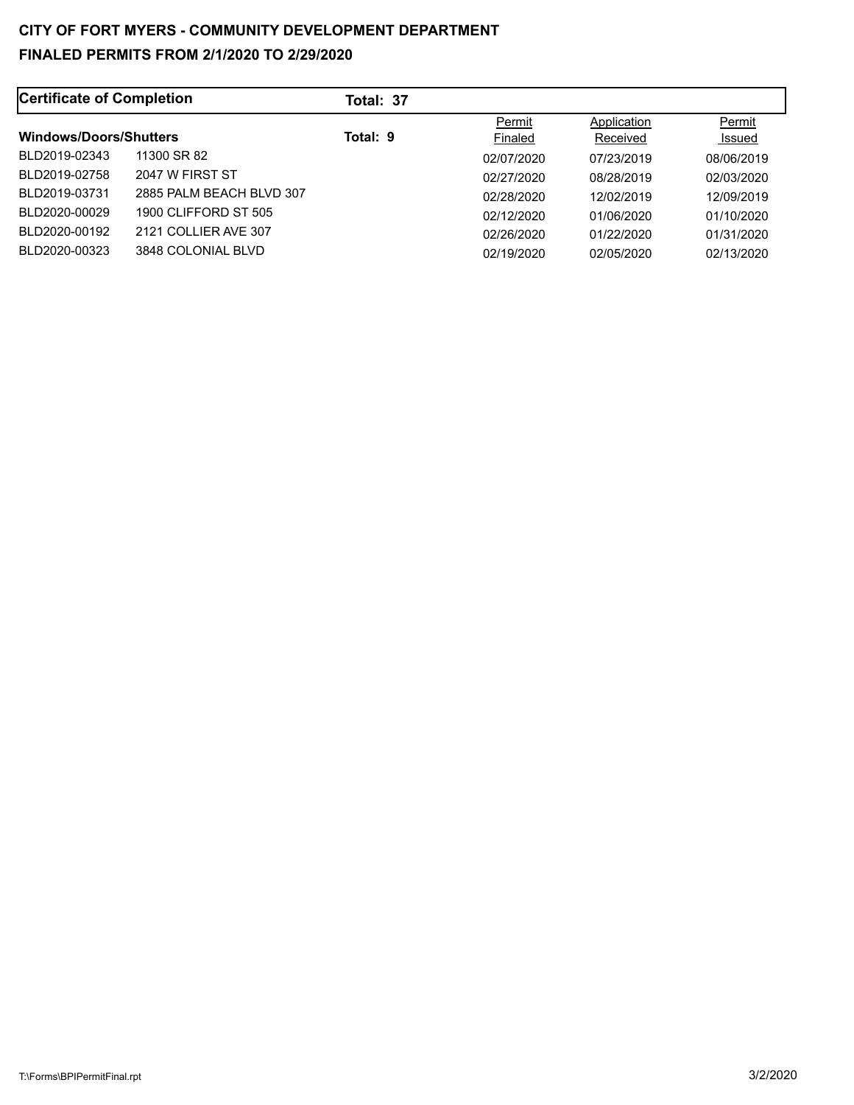| Certificate of Completion     |                            | Total: 37 |                   |                         |                  |
|-------------------------------|----------------------------|-----------|-------------------|-------------------------|------------------|
| <b>Windows/Doors/Shutters</b> |                            | Total: 9  | Permit<br>Finaled | Application<br>Received | Permit<br>Issued |
| BLD2019-02343                 | 11300 SR 82                |           | 02/07/2020        | 07/23/2019              | 08/06/2019       |
| BLD2019-02758                 | 2047 W FIRST ST            |           | 02/27/2020        | 08/28/2019              | 02/03/2020       |
| BLD2019-03731                 | 2885 PAI M BEACH BI VD 307 |           | 02/28/2020        | 12/02/2019              | 12/09/2019       |
| BLD2020-00029                 | 1900 CLIFFORD ST 505       |           | 02/12/2020        | 01/06/2020              | 01/10/2020       |
| BLD2020-00192                 | 2121 COLLIER AVE 307       |           | 02/26/2020        | 01/22/2020              | 01/31/2020       |
| BLD2020-00323                 | 3848 COLONIAL BLVD         |           | 02/19/2020        | 02/05/2020              | 02/13/2020       |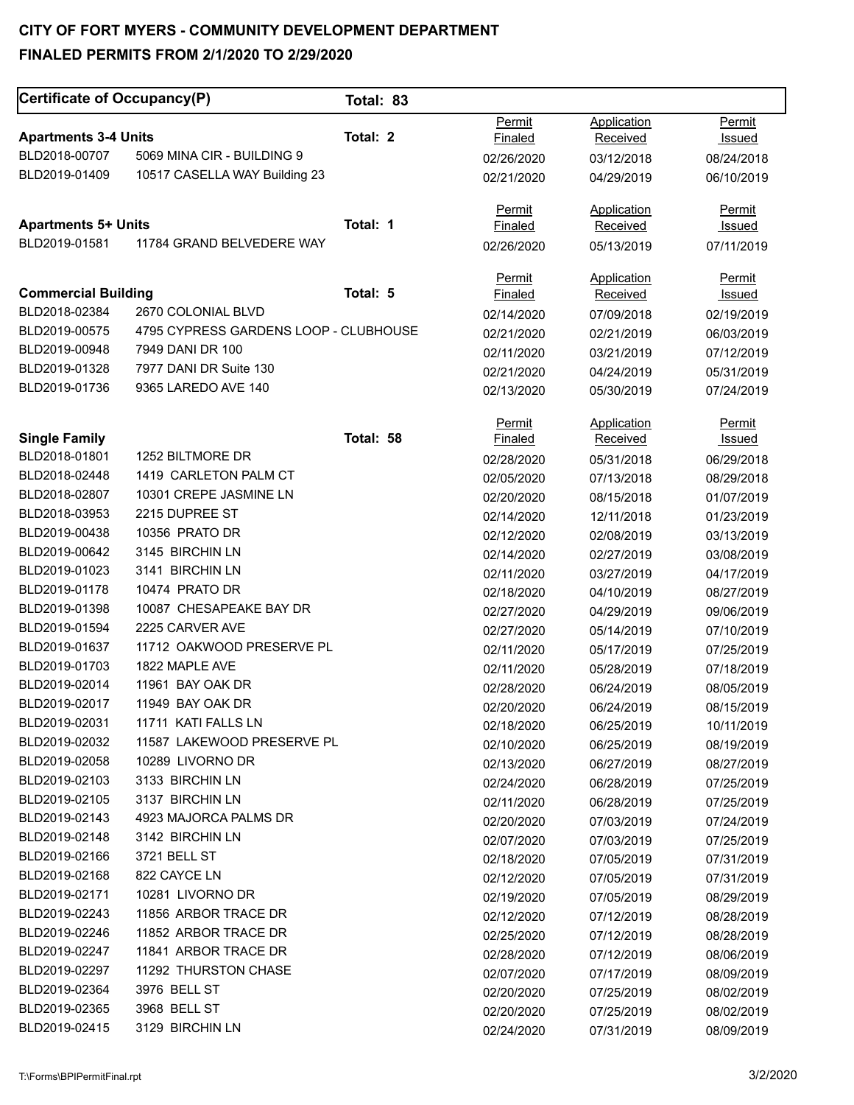| Permit<br>Application<br>Permit<br>Total: 2<br><b>Apartments 3-4 Units</b><br>Finaled<br>Received<br><u>Issued</u><br>5069 MINA CIR - BUILDING 9<br>BLD2018-00707<br>02/26/2020<br>03/12/2018<br>08/24/2018<br>BLD2019-01409<br>10517 CASELLA WAY Building 23<br>02/21/2020<br>04/29/2019<br>06/10/2019<br><b>Permit</b><br><b>Application</b><br><b>Permit</b><br>Total: 1<br><b>Apartments 5+ Units</b><br><b>Finaled</b><br>Received<br><u>Issued</u><br>BLD2019-01581<br>11784 GRAND BELVEDERE WAY<br>02/26/2020<br>05/13/2019<br>07/11/2019<br>Application<br>Permit<br>Permit<br>Total: 5<br><b>Commercial Building</b><br><b>Finaled</b><br>Received<br>Issued<br>BLD2018-02384<br>2670 COLONIAL BLVD<br>02/14/2020<br>07/09/2018<br>02/19/2019<br>BLD2019-00575<br>4795 CYPRESS GARDENS LOOP - CLUBHOUSE<br>02/21/2020<br>02/21/2019<br>06/03/2019<br>BLD2019-00948<br>7949 DANI DR 100<br>02/11/2020<br>03/21/2019<br>07/12/2019<br>BLD2019-01328<br>7977 DANI DR Suite 130<br>02/21/2020<br>04/24/2019<br>05/31/2019<br>BLD2019-01736<br>9365 LAREDO AVE 140<br>02/13/2020<br>05/30/2019<br>07/24/2019<br>Application<br>Permit<br><b>Permit</b><br>Total: 58<br><b>Single Family</b><br>Finaled<br>Received<br>Issued<br>BLD2018-01801<br>1252 BILTMORE DR<br>05/31/2018<br>06/29/2018<br>02/28/2020<br>BLD2018-02448<br>1419 CARLETON PALM CT<br>02/05/2020<br>07/13/2018<br>08/29/2018<br>BLD2018-02807<br>10301 CREPE JASMINE LN<br>02/20/2020<br>08/15/2018<br>01/07/2019<br>2215 DUPREE ST<br>BLD2018-03953<br>02/14/2020<br>12/11/2018<br>01/23/2019<br>10356 PRATO DR<br>BLD2019-00438<br>02/12/2020<br>02/08/2019<br>03/13/2019<br>BLD2019-00642<br>3145 BIRCHIN LN<br>02/14/2020<br>02/27/2019<br>03/08/2019<br>3141 BIRCHIN LN<br>BLD2019-01023<br>02/11/2020<br>03/27/2019<br>04/17/2019<br>10474 PRATO DR<br>BLD2019-01178<br>02/18/2020<br>04/10/2019<br>08/27/2019<br>BLD2019-01398<br>10087 CHESAPEAKE BAY DR<br>02/27/2020<br>04/29/2019<br>09/06/2019<br>BLD2019-01594<br>2225 CARVER AVE<br>02/27/2020<br>05/14/2019<br>07/10/2019<br>BLD2019-01637<br>11712 OAKWOOD PRESERVE PL<br>02/11/2020<br>05/17/2019<br>07/25/2019<br>1822 MAPLE AVE<br>BLD2019-01703<br>07/18/2019<br>02/11/2020<br>05/28/2019<br>BLD2019-02014<br>11961 BAY OAK DR<br>02/28/2020<br>06/24/2019<br>08/05/2019<br>11949 BAY OAK DR<br>BLD2019-02017<br>02/20/2020<br>06/24/2019<br>08/15/2019<br>11711 KATI FALLS LN<br>BLD2019-02031<br>02/18/2020<br>06/25/2019<br>10/11/2019<br>BLD2019-02032<br>11587 LAKEWOOD PRESERVE PL<br>02/10/2020<br>08/19/2019<br>06/25/2019<br>10289 LIVORNO DR<br>BLD2019-02058<br>02/13/2020<br>06/27/2019<br>08/27/2019<br>BLD2019-02103<br>3133 BIRCHIN LN<br>02/24/2020<br>06/28/2019<br>07/25/2019<br>3137 BIRCHIN LN<br>BLD2019-02105<br>07/25/2019<br>02/11/2020<br>06/28/2019<br>BLD2019-02143<br>4923 MAJORCA PALMS DR<br>02/20/2020<br>07/03/2019<br>07/24/2019<br>BLD2019-02148<br>3142 BIRCHIN LN<br>07/25/2019<br>02/07/2020<br>07/03/2019<br>BLD2019-02166<br>3721 BELL ST<br>02/18/2020<br>07/05/2019<br>07/31/2019<br>822 CAYCE LN<br>BLD2019-02168<br>02/12/2020<br>07/05/2019<br>07/31/2019<br>BLD2019-02171<br>10281 LIVORNO DR<br>02/19/2020<br>07/05/2019<br>08/29/2019<br>BLD2019-02243<br>11856 ARBOR TRACE DR<br>08/28/2019<br>02/12/2020<br>07/12/2019<br>11852 ARBOR TRACE DR<br>BLD2019-02246<br>02/25/2020<br>07/12/2019<br>08/28/2019<br>BLD2019-02247<br>11841 ARBOR TRACE DR<br>02/28/2020<br>07/12/2019<br>08/06/2019<br>BLD2019-02297<br>11292 THURSTON CHASE<br>02/07/2020<br>07/17/2019<br>08/09/2019<br>BLD2019-02364<br>3976 BELL ST<br>02/20/2020<br>07/25/2019<br>08/02/2019<br>3968 BELL ST<br>BLD2019-02365<br>02/20/2020<br>08/02/2019<br>07/25/2019 | Certificate of Occupancy(P) |                 | Total: 83 |            |            |            |
|-----------------------------------------------------------------------------------------------------------------------------------------------------------------------------------------------------------------------------------------------------------------------------------------------------------------------------------------------------------------------------------------------------------------------------------------------------------------------------------------------------------------------------------------------------------------------------------------------------------------------------------------------------------------------------------------------------------------------------------------------------------------------------------------------------------------------------------------------------------------------------------------------------------------------------------------------------------------------------------------------------------------------------------------------------------------------------------------------------------------------------------------------------------------------------------------------------------------------------------------------------------------------------------------------------------------------------------------------------------------------------------------------------------------------------------------------------------------------------------------------------------------------------------------------------------------------------------------------------------------------------------------------------------------------------------------------------------------------------------------------------------------------------------------------------------------------------------------------------------------------------------------------------------------------------------------------------------------------------------------------------------------------------------------------------------------------------------------------------------------------------------------------------------------------------------------------------------------------------------------------------------------------------------------------------------------------------------------------------------------------------------------------------------------------------------------------------------------------------------------------------------------------------------------------------------------------------------------------------------------------------------------------------------------------------------------------------------------------------------------------------------------------------------------------------------------------------------------------------------------------------------------------------------------------------------------------------------------------------------------------------------------------------------------------------------------------------------------------------------------------------------------------------------------------------------------------------------------------------------------------------------------------------------------------------------------------------------------------------------------------------------------------------------------------------------------------------------------------------------------------------------------------------------------------------------------------------------------------------------------------------------------------------------------------------------------------------------------------------------|-----------------------------|-----------------|-----------|------------|------------|------------|
|                                                                                                                                                                                                                                                                                                                                                                                                                                                                                                                                                                                                                                                                                                                                                                                                                                                                                                                                                                                                                                                                                                                                                                                                                                                                                                                                                                                                                                                                                                                                                                                                                                                                                                                                                                                                                                                                                                                                                                                                                                                                                                                                                                                                                                                                                                                                                                                                                                                                                                                                                                                                                                                                                                                                                                                                                                                                                                                                                                                                                                                                                                                                                                                                                                                                                                                                                                                                                                                                                                                                                                                                                                                                                                                                   |                             |                 |           |            |            |            |
|                                                                                                                                                                                                                                                                                                                                                                                                                                                                                                                                                                                                                                                                                                                                                                                                                                                                                                                                                                                                                                                                                                                                                                                                                                                                                                                                                                                                                                                                                                                                                                                                                                                                                                                                                                                                                                                                                                                                                                                                                                                                                                                                                                                                                                                                                                                                                                                                                                                                                                                                                                                                                                                                                                                                                                                                                                                                                                                                                                                                                                                                                                                                                                                                                                                                                                                                                                                                                                                                                                                                                                                                                                                                                                                                   |                             |                 |           |            |            |            |
|                                                                                                                                                                                                                                                                                                                                                                                                                                                                                                                                                                                                                                                                                                                                                                                                                                                                                                                                                                                                                                                                                                                                                                                                                                                                                                                                                                                                                                                                                                                                                                                                                                                                                                                                                                                                                                                                                                                                                                                                                                                                                                                                                                                                                                                                                                                                                                                                                                                                                                                                                                                                                                                                                                                                                                                                                                                                                                                                                                                                                                                                                                                                                                                                                                                                                                                                                                                                                                                                                                                                                                                                                                                                                                                                   |                             |                 |           |            |            |            |
|                                                                                                                                                                                                                                                                                                                                                                                                                                                                                                                                                                                                                                                                                                                                                                                                                                                                                                                                                                                                                                                                                                                                                                                                                                                                                                                                                                                                                                                                                                                                                                                                                                                                                                                                                                                                                                                                                                                                                                                                                                                                                                                                                                                                                                                                                                                                                                                                                                                                                                                                                                                                                                                                                                                                                                                                                                                                                                                                                                                                                                                                                                                                                                                                                                                                                                                                                                                                                                                                                                                                                                                                                                                                                                                                   |                             |                 |           |            |            |            |
|                                                                                                                                                                                                                                                                                                                                                                                                                                                                                                                                                                                                                                                                                                                                                                                                                                                                                                                                                                                                                                                                                                                                                                                                                                                                                                                                                                                                                                                                                                                                                                                                                                                                                                                                                                                                                                                                                                                                                                                                                                                                                                                                                                                                                                                                                                                                                                                                                                                                                                                                                                                                                                                                                                                                                                                                                                                                                                                                                                                                                                                                                                                                                                                                                                                                                                                                                                                                                                                                                                                                                                                                                                                                                                                                   |                             |                 |           |            |            |            |
|                                                                                                                                                                                                                                                                                                                                                                                                                                                                                                                                                                                                                                                                                                                                                                                                                                                                                                                                                                                                                                                                                                                                                                                                                                                                                                                                                                                                                                                                                                                                                                                                                                                                                                                                                                                                                                                                                                                                                                                                                                                                                                                                                                                                                                                                                                                                                                                                                                                                                                                                                                                                                                                                                                                                                                                                                                                                                                                                                                                                                                                                                                                                                                                                                                                                                                                                                                                                                                                                                                                                                                                                                                                                                                                                   |                             |                 |           |            |            |            |
|                                                                                                                                                                                                                                                                                                                                                                                                                                                                                                                                                                                                                                                                                                                                                                                                                                                                                                                                                                                                                                                                                                                                                                                                                                                                                                                                                                                                                                                                                                                                                                                                                                                                                                                                                                                                                                                                                                                                                                                                                                                                                                                                                                                                                                                                                                                                                                                                                                                                                                                                                                                                                                                                                                                                                                                                                                                                                                                                                                                                                                                                                                                                                                                                                                                                                                                                                                                                                                                                                                                                                                                                                                                                                                                                   |                             |                 |           |            |            |            |
|                                                                                                                                                                                                                                                                                                                                                                                                                                                                                                                                                                                                                                                                                                                                                                                                                                                                                                                                                                                                                                                                                                                                                                                                                                                                                                                                                                                                                                                                                                                                                                                                                                                                                                                                                                                                                                                                                                                                                                                                                                                                                                                                                                                                                                                                                                                                                                                                                                                                                                                                                                                                                                                                                                                                                                                                                                                                                                                                                                                                                                                                                                                                                                                                                                                                                                                                                                                                                                                                                                                                                                                                                                                                                                                                   |                             |                 |           |            |            |            |
|                                                                                                                                                                                                                                                                                                                                                                                                                                                                                                                                                                                                                                                                                                                                                                                                                                                                                                                                                                                                                                                                                                                                                                                                                                                                                                                                                                                                                                                                                                                                                                                                                                                                                                                                                                                                                                                                                                                                                                                                                                                                                                                                                                                                                                                                                                                                                                                                                                                                                                                                                                                                                                                                                                                                                                                                                                                                                                                                                                                                                                                                                                                                                                                                                                                                                                                                                                                                                                                                                                                                                                                                                                                                                                                                   |                             |                 |           |            |            |            |
|                                                                                                                                                                                                                                                                                                                                                                                                                                                                                                                                                                                                                                                                                                                                                                                                                                                                                                                                                                                                                                                                                                                                                                                                                                                                                                                                                                                                                                                                                                                                                                                                                                                                                                                                                                                                                                                                                                                                                                                                                                                                                                                                                                                                                                                                                                                                                                                                                                                                                                                                                                                                                                                                                                                                                                                                                                                                                                                                                                                                                                                                                                                                                                                                                                                                                                                                                                                                                                                                                                                                                                                                                                                                                                                                   |                             |                 |           |            |            |            |
|                                                                                                                                                                                                                                                                                                                                                                                                                                                                                                                                                                                                                                                                                                                                                                                                                                                                                                                                                                                                                                                                                                                                                                                                                                                                                                                                                                                                                                                                                                                                                                                                                                                                                                                                                                                                                                                                                                                                                                                                                                                                                                                                                                                                                                                                                                                                                                                                                                                                                                                                                                                                                                                                                                                                                                                                                                                                                                                                                                                                                                                                                                                                                                                                                                                                                                                                                                                                                                                                                                                                                                                                                                                                                                                                   |                             |                 |           |            |            |            |
|                                                                                                                                                                                                                                                                                                                                                                                                                                                                                                                                                                                                                                                                                                                                                                                                                                                                                                                                                                                                                                                                                                                                                                                                                                                                                                                                                                                                                                                                                                                                                                                                                                                                                                                                                                                                                                                                                                                                                                                                                                                                                                                                                                                                                                                                                                                                                                                                                                                                                                                                                                                                                                                                                                                                                                                                                                                                                                                                                                                                                                                                                                                                                                                                                                                                                                                                                                                                                                                                                                                                                                                                                                                                                                                                   |                             |                 |           |            |            |            |
|                                                                                                                                                                                                                                                                                                                                                                                                                                                                                                                                                                                                                                                                                                                                                                                                                                                                                                                                                                                                                                                                                                                                                                                                                                                                                                                                                                                                                                                                                                                                                                                                                                                                                                                                                                                                                                                                                                                                                                                                                                                                                                                                                                                                                                                                                                                                                                                                                                                                                                                                                                                                                                                                                                                                                                                                                                                                                                                                                                                                                                                                                                                                                                                                                                                                                                                                                                                                                                                                                                                                                                                                                                                                                                                                   |                             |                 |           |            |            |            |
|                                                                                                                                                                                                                                                                                                                                                                                                                                                                                                                                                                                                                                                                                                                                                                                                                                                                                                                                                                                                                                                                                                                                                                                                                                                                                                                                                                                                                                                                                                                                                                                                                                                                                                                                                                                                                                                                                                                                                                                                                                                                                                                                                                                                                                                                                                                                                                                                                                                                                                                                                                                                                                                                                                                                                                                                                                                                                                                                                                                                                                                                                                                                                                                                                                                                                                                                                                                                                                                                                                                                                                                                                                                                                                                                   |                             |                 |           |            |            |            |
|                                                                                                                                                                                                                                                                                                                                                                                                                                                                                                                                                                                                                                                                                                                                                                                                                                                                                                                                                                                                                                                                                                                                                                                                                                                                                                                                                                                                                                                                                                                                                                                                                                                                                                                                                                                                                                                                                                                                                                                                                                                                                                                                                                                                                                                                                                                                                                                                                                                                                                                                                                                                                                                                                                                                                                                                                                                                                                                                                                                                                                                                                                                                                                                                                                                                                                                                                                                                                                                                                                                                                                                                                                                                                                                                   |                             |                 |           |            |            |            |
|                                                                                                                                                                                                                                                                                                                                                                                                                                                                                                                                                                                                                                                                                                                                                                                                                                                                                                                                                                                                                                                                                                                                                                                                                                                                                                                                                                                                                                                                                                                                                                                                                                                                                                                                                                                                                                                                                                                                                                                                                                                                                                                                                                                                                                                                                                                                                                                                                                                                                                                                                                                                                                                                                                                                                                                                                                                                                                                                                                                                                                                                                                                                                                                                                                                                                                                                                                                                                                                                                                                                                                                                                                                                                                                                   |                             |                 |           |            |            |            |
|                                                                                                                                                                                                                                                                                                                                                                                                                                                                                                                                                                                                                                                                                                                                                                                                                                                                                                                                                                                                                                                                                                                                                                                                                                                                                                                                                                                                                                                                                                                                                                                                                                                                                                                                                                                                                                                                                                                                                                                                                                                                                                                                                                                                                                                                                                                                                                                                                                                                                                                                                                                                                                                                                                                                                                                                                                                                                                                                                                                                                                                                                                                                                                                                                                                                                                                                                                                                                                                                                                                                                                                                                                                                                                                                   |                             |                 |           |            |            |            |
|                                                                                                                                                                                                                                                                                                                                                                                                                                                                                                                                                                                                                                                                                                                                                                                                                                                                                                                                                                                                                                                                                                                                                                                                                                                                                                                                                                                                                                                                                                                                                                                                                                                                                                                                                                                                                                                                                                                                                                                                                                                                                                                                                                                                                                                                                                                                                                                                                                                                                                                                                                                                                                                                                                                                                                                                                                                                                                                                                                                                                                                                                                                                                                                                                                                                                                                                                                                                                                                                                                                                                                                                                                                                                                                                   |                             |                 |           |            |            |            |
|                                                                                                                                                                                                                                                                                                                                                                                                                                                                                                                                                                                                                                                                                                                                                                                                                                                                                                                                                                                                                                                                                                                                                                                                                                                                                                                                                                                                                                                                                                                                                                                                                                                                                                                                                                                                                                                                                                                                                                                                                                                                                                                                                                                                                                                                                                                                                                                                                                                                                                                                                                                                                                                                                                                                                                                                                                                                                                                                                                                                                                                                                                                                                                                                                                                                                                                                                                                                                                                                                                                                                                                                                                                                                                                                   |                             |                 |           |            |            |            |
|                                                                                                                                                                                                                                                                                                                                                                                                                                                                                                                                                                                                                                                                                                                                                                                                                                                                                                                                                                                                                                                                                                                                                                                                                                                                                                                                                                                                                                                                                                                                                                                                                                                                                                                                                                                                                                                                                                                                                                                                                                                                                                                                                                                                                                                                                                                                                                                                                                                                                                                                                                                                                                                                                                                                                                                                                                                                                                                                                                                                                                                                                                                                                                                                                                                                                                                                                                                                                                                                                                                                                                                                                                                                                                                                   |                             |                 |           |            |            |            |
|                                                                                                                                                                                                                                                                                                                                                                                                                                                                                                                                                                                                                                                                                                                                                                                                                                                                                                                                                                                                                                                                                                                                                                                                                                                                                                                                                                                                                                                                                                                                                                                                                                                                                                                                                                                                                                                                                                                                                                                                                                                                                                                                                                                                                                                                                                                                                                                                                                                                                                                                                                                                                                                                                                                                                                                                                                                                                                                                                                                                                                                                                                                                                                                                                                                                                                                                                                                                                                                                                                                                                                                                                                                                                                                                   |                             |                 |           |            |            |            |
|                                                                                                                                                                                                                                                                                                                                                                                                                                                                                                                                                                                                                                                                                                                                                                                                                                                                                                                                                                                                                                                                                                                                                                                                                                                                                                                                                                                                                                                                                                                                                                                                                                                                                                                                                                                                                                                                                                                                                                                                                                                                                                                                                                                                                                                                                                                                                                                                                                                                                                                                                                                                                                                                                                                                                                                                                                                                                                                                                                                                                                                                                                                                                                                                                                                                                                                                                                                                                                                                                                                                                                                                                                                                                                                                   |                             |                 |           |            |            |            |
|                                                                                                                                                                                                                                                                                                                                                                                                                                                                                                                                                                                                                                                                                                                                                                                                                                                                                                                                                                                                                                                                                                                                                                                                                                                                                                                                                                                                                                                                                                                                                                                                                                                                                                                                                                                                                                                                                                                                                                                                                                                                                                                                                                                                                                                                                                                                                                                                                                                                                                                                                                                                                                                                                                                                                                                                                                                                                                                                                                                                                                                                                                                                                                                                                                                                                                                                                                                                                                                                                                                                                                                                                                                                                                                                   |                             |                 |           |            |            |            |
|                                                                                                                                                                                                                                                                                                                                                                                                                                                                                                                                                                                                                                                                                                                                                                                                                                                                                                                                                                                                                                                                                                                                                                                                                                                                                                                                                                                                                                                                                                                                                                                                                                                                                                                                                                                                                                                                                                                                                                                                                                                                                                                                                                                                                                                                                                                                                                                                                                                                                                                                                                                                                                                                                                                                                                                                                                                                                                                                                                                                                                                                                                                                                                                                                                                                                                                                                                                                                                                                                                                                                                                                                                                                                                                                   |                             |                 |           |            |            |            |
|                                                                                                                                                                                                                                                                                                                                                                                                                                                                                                                                                                                                                                                                                                                                                                                                                                                                                                                                                                                                                                                                                                                                                                                                                                                                                                                                                                                                                                                                                                                                                                                                                                                                                                                                                                                                                                                                                                                                                                                                                                                                                                                                                                                                                                                                                                                                                                                                                                                                                                                                                                                                                                                                                                                                                                                                                                                                                                                                                                                                                                                                                                                                                                                                                                                                                                                                                                                                                                                                                                                                                                                                                                                                                                                                   |                             |                 |           |            |            |            |
|                                                                                                                                                                                                                                                                                                                                                                                                                                                                                                                                                                                                                                                                                                                                                                                                                                                                                                                                                                                                                                                                                                                                                                                                                                                                                                                                                                                                                                                                                                                                                                                                                                                                                                                                                                                                                                                                                                                                                                                                                                                                                                                                                                                                                                                                                                                                                                                                                                                                                                                                                                                                                                                                                                                                                                                                                                                                                                                                                                                                                                                                                                                                                                                                                                                                                                                                                                                                                                                                                                                                                                                                                                                                                                                                   |                             |                 |           |            |            |            |
|                                                                                                                                                                                                                                                                                                                                                                                                                                                                                                                                                                                                                                                                                                                                                                                                                                                                                                                                                                                                                                                                                                                                                                                                                                                                                                                                                                                                                                                                                                                                                                                                                                                                                                                                                                                                                                                                                                                                                                                                                                                                                                                                                                                                                                                                                                                                                                                                                                                                                                                                                                                                                                                                                                                                                                                                                                                                                                                                                                                                                                                                                                                                                                                                                                                                                                                                                                                                                                                                                                                                                                                                                                                                                                                                   |                             |                 |           |            |            |            |
|                                                                                                                                                                                                                                                                                                                                                                                                                                                                                                                                                                                                                                                                                                                                                                                                                                                                                                                                                                                                                                                                                                                                                                                                                                                                                                                                                                                                                                                                                                                                                                                                                                                                                                                                                                                                                                                                                                                                                                                                                                                                                                                                                                                                                                                                                                                                                                                                                                                                                                                                                                                                                                                                                                                                                                                                                                                                                                                                                                                                                                                                                                                                                                                                                                                                                                                                                                                                                                                                                                                                                                                                                                                                                                                                   |                             |                 |           |            |            |            |
|                                                                                                                                                                                                                                                                                                                                                                                                                                                                                                                                                                                                                                                                                                                                                                                                                                                                                                                                                                                                                                                                                                                                                                                                                                                                                                                                                                                                                                                                                                                                                                                                                                                                                                                                                                                                                                                                                                                                                                                                                                                                                                                                                                                                                                                                                                                                                                                                                                                                                                                                                                                                                                                                                                                                                                                                                                                                                                                                                                                                                                                                                                                                                                                                                                                                                                                                                                                                                                                                                                                                                                                                                                                                                                                                   |                             |                 |           |            |            |            |
|                                                                                                                                                                                                                                                                                                                                                                                                                                                                                                                                                                                                                                                                                                                                                                                                                                                                                                                                                                                                                                                                                                                                                                                                                                                                                                                                                                                                                                                                                                                                                                                                                                                                                                                                                                                                                                                                                                                                                                                                                                                                                                                                                                                                                                                                                                                                                                                                                                                                                                                                                                                                                                                                                                                                                                                                                                                                                                                                                                                                                                                                                                                                                                                                                                                                                                                                                                                                                                                                                                                                                                                                                                                                                                                                   |                             |                 |           |            |            |            |
|                                                                                                                                                                                                                                                                                                                                                                                                                                                                                                                                                                                                                                                                                                                                                                                                                                                                                                                                                                                                                                                                                                                                                                                                                                                                                                                                                                                                                                                                                                                                                                                                                                                                                                                                                                                                                                                                                                                                                                                                                                                                                                                                                                                                                                                                                                                                                                                                                                                                                                                                                                                                                                                                                                                                                                                                                                                                                                                                                                                                                                                                                                                                                                                                                                                                                                                                                                                                                                                                                                                                                                                                                                                                                                                                   |                             |                 |           |            |            |            |
|                                                                                                                                                                                                                                                                                                                                                                                                                                                                                                                                                                                                                                                                                                                                                                                                                                                                                                                                                                                                                                                                                                                                                                                                                                                                                                                                                                                                                                                                                                                                                                                                                                                                                                                                                                                                                                                                                                                                                                                                                                                                                                                                                                                                                                                                                                                                                                                                                                                                                                                                                                                                                                                                                                                                                                                                                                                                                                                                                                                                                                                                                                                                                                                                                                                                                                                                                                                                                                                                                                                                                                                                                                                                                                                                   |                             |                 |           |            |            |            |
|                                                                                                                                                                                                                                                                                                                                                                                                                                                                                                                                                                                                                                                                                                                                                                                                                                                                                                                                                                                                                                                                                                                                                                                                                                                                                                                                                                                                                                                                                                                                                                                                                                                                                                                                                                                                                                                                                                                                                                                                                                                                                                                                                                                                                                                                                                                                                                                                                                                                                                                                                                                                                                                                                                                                                                                                                                                                                                                                                                                                                                                                                                                                                                                                                                                                                                                                                                                                                                                                                                                                                                                                                                                                                                                                   |                             |                 |           |            |            |            |
|                                                                                                                                                                                                                                                                                                                                                                                                                                                                                                                                                                                                                                                                                                                                                                                                                                                                                                                                                                                                                                                                                                                                                                                                                                                                                                                                                                                                                                                                                                                                                                                                                                                                                                                                                                                                                                                                                                                                                                                                                                                                                                                                                                                                                                                                                                                                                                                                                                                                                                                                                                                                                                                                                                                                                                                                                                                                                                                                                                                                                                                                                                                                                                                                                                                                                                                                                                                                                                                                                                                                                                                                                                                                                                                                   |                             |                 |           |            |            |            |
|                                                                                                                                                                                                                                                                                                                                                                                                                                                                                                                                                                                                                                                                                                                                                                                                                                                                                                                                                                                                                                                                                                                                                                                                                                                                                                                                                                                                                                                                                                                                                                                                                                                                                                                                                                                                                                                                                                                                                                                                                                                                                                                                                                                                                                                                                                                                                                                                                                                                                                                                                                                                                                                                                                                                                                                                                                                                                                                                                                                                                                                                                                                                                                                                                                                                                                                                                                                                                                                                                                                                                                                                                                                                                                                                   |                             |                 |           |            |            |            |
|                                                                                                                                                                                                                                                                                                                                                                                                                                                                                                                                                                                                                                                                                                                                                                                                                                                                                                                                                                                                                                                                                                                                                                                                                                                                                                                                                                                                                                                                                                                                                                                                                                                                                                                                                                                                                                                                                                                                                                                                                                                                                                                                                                                                                                                                                                                                                                                                                                                                                                                                                                                                                                                                                                                                                                                                                                                                                                                                                                                                                                                                                                                                                                                                                                                                                                                                                                                                                                                                                                                                                                                                                                                                                                                                   |                             |                 |           |            |            |            |
|                                                                                                                                                                                                                                                                                                                                                                                                                                                                                                                                                                                                                                                                                                                                                                                                                                                                                                                                                                                                                                                                                                                                                                                                                                                                                                                                                                                                                                                                                                                                                                                                                                                                                                                                                                                                                                                                                                                                                                                                                                                                                                                                                                                                                                                                                                                                                                                                                                                                                                                                                                                                                                                                                                                                                                                                                                                                                                                                                                                                                                                                                                                                                                                                                                                                                                                                                                                                                                                                                                                                                                                                                                                                                                                                   |                             |                 |           |            |            |            |
|                                                                                                                                                                                                                                                                                                                                                                                                                                                                                                                                                                                                                                                                                                                                                                                                                                                                                                                                                                                                                                                                                                                                                                                                                                                                                                                                                                                                                                                                                                                                                                                                                                                                                                                                                                                                                                                                                                                                                                                                                                                                                                                                                                                                                                                                                                                                                                                                                                                                                                                                                                                                                                                                                                                                                                                                                                                                                                                                                                                                                                                                                                                                                                                                                                                                                                                                                                                                                                                                                                                                                                                                                                                                                                                                   |                             |                 |           |            |            |            |
|                                                                                                                                                                                                                                                                                                                                                                                                                                                                                                                                                                                                                                                                                                                                                                                                                                                                                                                                                                                                                                                                                                                                                                                                                                                                                                                                                                                                                                                                                                                                                                                                                                                                                                                                                                                                                                                                                                                                                                                                                                                                                                                                                                                                                                                                                                                                                                                                                                                                                                                                                                                                                                                                                                                                                                                                                                                                                                                                                                                                                                                                                                                                                                                                                                                                                                                                                                                                                                                                                                                                                                                                                                                                                                                                   |                             |                 |           |            |            |            |
|                                                                                                                                                                                                                                                                                                                                                                                                                                                                                                                                                                                                                                                                                                                                                                                                                                                                                                                                                                                                                                                                                                                                                                                                                                                                                                                                                                                                                                                                                                                                                                                                                                                                                                                                                                                                                                                                                                                                                                                                                                                                                                                                                                                                                                                                                                                                                                                                                                                                                                                                                                                                                                                                                                                                                                                                                                                                                                                                                                                                                                                                                                                                                                                                                                                                                                                                                                                                                                                                                                                                                                                                                                                                                                                                   |                             |                 |           |            |            |            |
|                                                                                                                                                                                                                                                                                                                                                                                                                                                                                                                                                                                                                                                                                                                                                                                                                                                                                                                                                                                                                                                                                                                                                                                                                                                                                                                                                                                                                                                                                                                                                                                                                                                                                                                                                                                                                                                                                                                                                                                                                                                                                                                                                                                                                                                                                                                                                                                                                                                                                                                                                                                                                                                                                                                                                                                                                                                                                                                                                                                                                                                                                                                                                                                                                                                                                                                                                                                                                                                                                                                                                                                                                                                                                                                                   |                             |                 |           |            |            |            |
|                                                                                                                                                                                                                                                                                                                                                                                                                                                                                                                                                                                                                                                                                                                                                                                                                                                                                                                                                                                                                                                                                                                                                                                                                                                                                                                                                                                                                                                                                                                                                                                                                                                                                                                                                                                                                                                                                                                                                                                                                                                                                                                                                                                                                                                                                                                                                                                                                                                                                                                                                                                                                                                                                                                                                                                                                                                                                                                                                                                                                                                                                                                                                                                                                                                                                                                                                                                                                                                                                                                                                                                                                                                                                                                                   |                             |                 |           |            |            |            |
|                                                                                                                                                                                                                                                                                                                                                                                                                                                                                                                                                                                                                                                                                                                                                                                                                                                                                                                                                                                                                                                                                                                                                                                                                                                                                                                                                                                                                                                                                                                                                                                                                                                                                                                                                                                                                                                                                                                                                                                                                                                                                                                                                                                                                                                                                                                                                                                                                                                                                                                                                                                                                                                                                                                                                                                                                                                                                                                                                                                                                                                                                                                                                                                                                                                                                                                                                                                                                                                                                                                                                                                                                                                                                                                                   |                             |                 |           |            |            |            |
|                                                                                                                                                                                                                                                                                                                                                                                                                                                                                                                                                                                                                                                                                                                                                                                                                                                                                                                                                                                                                                                                                                                                                                                                                                                                                                                                                                                                                                                                                                                                                                                                                                                                                                                                                                                                                                                                                                                                                                                                                                                                                                                                                                                                                                                                                                                                                                                                                                                                                                                                                                                                                                                                                                                                                                                                                                                                                                                                                                                                                                                                                                                                                                                                                                                                                                                                                                                                                                                                                                                                                                                                                                                                                                                                   |                             |                 |           |            |            |            |
|                                                                                                                                                                                                                                                                                                                                                                                                                                                                                                                                                                                                                                                                                                                                                                                                                                                                                                                                                                                                                                                                                                                                                                                                                                                                                                                                                                                                                                                                                                                                                                                                                                                                                                                                                                                                                                                                                                                                                                                                                                                                                                                                                                                                                                                                                                                                                                                                                                                                                                                                                                                                                                                                                                                                                                                                                                                                                                                                                                                                                                                                                                                                                                                                                                                                                                                                                                                                                                                                                                                                                                                                                                                                                                                                   |                             |                 |           |            |            |            |
|                                                                                                                                                                                                                                                                                                                                                                                                                                                                                                                                                                                                                                                                                                                                                                                                                                                                                                                                                                                                                                                                                                                                                                                                                                                                                                                                                                                                                                                                                                                                                                                                                                                                                                                                                                                                                                                                                                                                                                                                                                                                                                                                                                                                                                                                                                                                                                                                                                                                                                                                                                                                                                                                                                                                                                                                                                                                                                                                                                                                                                                                                                                                                                                                                                                                                                                                                                                                                                                                                                                                                                                                                                                                                                                                   |                             |                 |           |            |            |            |
|                                                                                                                                                                                                                                                                                                                                                                                                                                                                                                                                                                                                                                                                                                                                                                                                                                                                                                                                                                                                                                                                                                                                                                                                                                                                                                                                                                                                                                                                                                                                                                                                                                                                                                                                                                                                                                                                                                                                                                                                                                                                                                                                                                                                                                                                                                                                                                                                                                                                                                                                                                                                                                                                                                                                                                                                                                                                                                                                                                                                                                                                                                                                                                                                                                                                                                                                                                                                                                                                                                                                                                                                                                                                                                                                   | BLD2019-02415               | 3129 BIRCHIN LN |           | 02/24/2020 | 07/31/2019 | 08/09/2019 |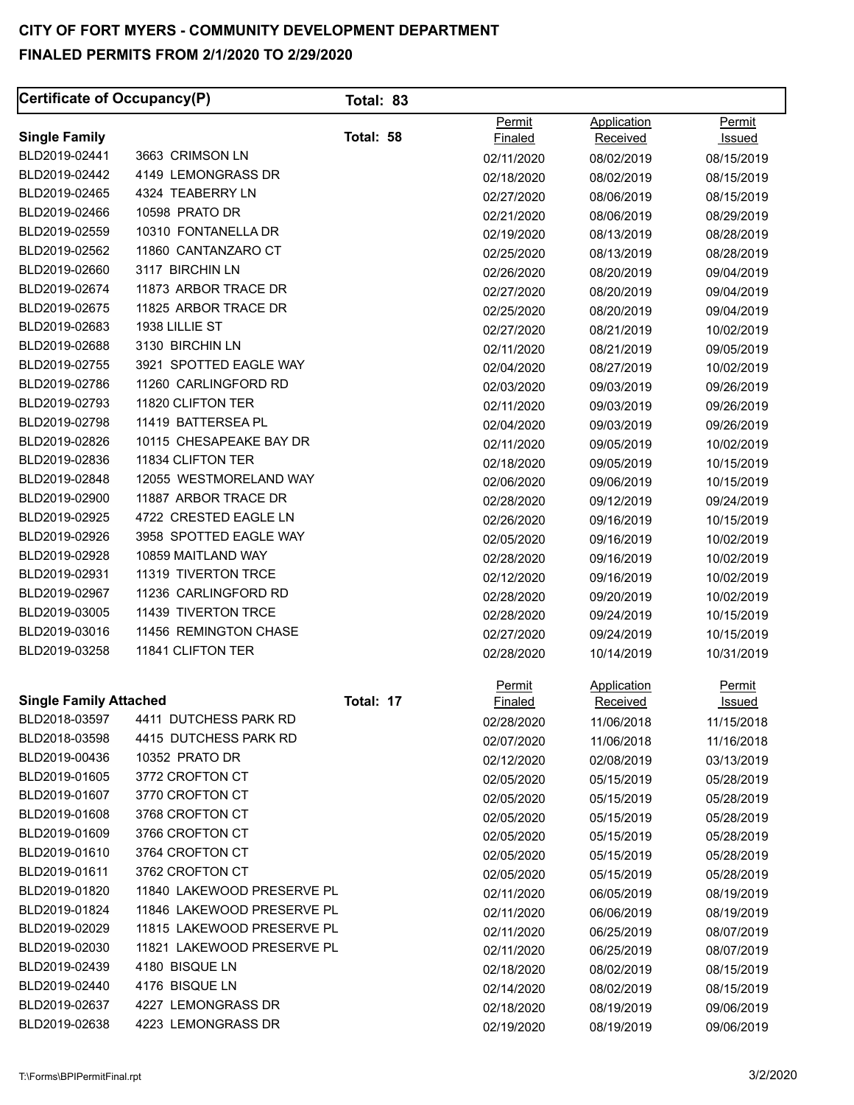| Certificate of Occupancy(P)   |                            | Total: 83 |                |             |               |
|-------------------------------|----------------------------|-----------|----------------|-------------|---------------|
|                               |                            |           | Permit         | Application | Permit        |
| <b>Single Family</b>          |                            | Total: 58 | <b>Finaled</b> | Received    | <u>Issued</u> |
| BLD2019-02441                 | 3663 CRIMSON LN            |           | 02/11/2020     | 08/02/2019  | 08/15/2019    |
| BLD2019-02442                 | 4149 LEMONGRASS DR         |           | 02/18/2020     | 08/02/2019  | 08/15/2019    |
| BLD2019-02465                 | 4324 TEABERRY LN           |           | 02/27/2020     | 08/06/2019  | 08/15/2019    |
| BLD2019-02466                 | 10598 PRATO DR             |           | 02/21/2020     | 08/06/2019  | 08/29/2019    |
| BLD2019-02559                 | 10310 FONTANELLA DR        |           | 02/19/2020     | 08/13/2019  | 08/28/2019    |
| BLD2019-02562                 | 11860 CANTANZARO CT        |           | 02/25/2020     | 08/13/2019  | 08/28/2019    |
| BLD2019-02660                 | 3117 BIRCHIN LN            |           | 02/26/2020     | 08/20/2019  | 09/04/2019    |
| BLD2019-02674                 | 11873 ARBOR TRACE DR       |           | 02/27/2020     | 08/20/2019  | 09/04/2019    |
| BLD2019-02675                 | 11825 ARBOR TRACE DR       |           | 02/25/2020     | 08/20/2019  | 09/04/2019    |
| BLD2019-02683                 | 1938 LILLIE ST             |           | 02/27/2020     | 08/21/2019  | 10/02/2019    |
| BLD2019-02688                 | 3130 BIRCHIN LN            |           | 02/11/2020     | 08/21/2019  | 09/05/2019    |
| BLD2019-02755                 | 3921 SPOTTED EAGLE WAY     |           | 02/04/2020     | 08/27/2019  | 10/02/2019    |
| BLD2019-02786                 | 11260 CARLINGFORD RD       |           | 02/03/2020     | 09/03/2019  | 09/26/2019    |
| BLD2019-02793                 | 11820 CLIFTON TER          |           | 02/11/2020     | 09/03/2019  | 09/26/2019    |
| BLD2019-02798                 | 11419 BATTERSEA PL         |           | 02/04/2020     | 09/03/2019  | 09/26/2019    |
| BLD2019-02826                 | 10115 CHESAPEAKE BAY DR    |           | 02/11/2020     | 09/05/2019  | 10/02/2019    |
| BLD2019-02836                 | 11834 CLIFTON TER          |           | 02/18/2020     | 09/05/2019  | 10/15/2019    |
| BLD2019-02848                 | 12055 WESTMORELAND WAY     |           | 02/06/2020     | 09/06/2019  | 10/15/2019    |
| BLD2019-02900                 | 11887 ARBOR TRACE DR       |           | 02/28/2020     | 09/12/2019  | 09/24/2019    |
| BLD2019-02925                 | 4722 CRESTED EAGLE LN      |           | 02/26/2020     | 09/16/2019  | 10/15/2019    |
| BLD2019-02926                 | 3958 SPOTTED EAGLE WAY     |           | 02/05/2020     | 09/16/2019  | 10/02/2019    |
| BLD2019-02928                 | 10859 MAITLAND WAY         |           | 02/28/2020     | 09/16/2019  | 10/02/2019    |
| BLD2019-02931                 | 11319 TIVERTON TRCE        |           | 02/12/2020     | 09/16/2019  | 10/02/2019    |
| BLD2019-02967                 | 11236 CARLINGFORD RD       |           | 02/28/2020     | 09/20/2019  | 10/02/2019    |
| BLD2019-03005                 | 11439 TIVERTON TRCE        |           | 02/28/2020     | 09/24/2019  | 10/15/2019    |
| BLD2019-03016                 | 11456 REMINGTON CHASE      |           | 02/27/2020     | 09/24/2019  | 10/15/2019    |
| BLD2019-03258                 | 11841 CLIFTON TER          |           | 02/28/2020     | 10/14/2019  | 10/31/2019    |
|                               |                            |           | Permit         | Application | <b>Permit</b> |
| <b>Single Family Attached</b> |                            | Total: 17 | Finaled        | Received    | <u>Issued</u> |
| BLD2018-03597                 | 4411 DUTCHESS PARK RD      |           | 02/28/2020     | 11/06/2018  | 11/15/2018    |
| BLD2018-03598                 | 4415 DUTCHESS PARK RD      |           | 02/07/2020     | 11/06/2018  | 11/16/2018    |
| BLD2019-00436                 | 10352 PRATO DR             |           | 02/12/2020     | 02/08/2019  | 03/13/2019    |
| BLD2019-01605                 | 3772 CROFTON CT            |           | 02/05/2020     | 05/15/2019  | 05/28/2019    |
| BLD2019-01607                 | 3770 CROFTON CT            |           | 02/05/2020     | 05/15/2019  | 05/28/2019    |
| BLD2019-01608                 | 3768 CROFTON CT            |           | 02/05/2020     | 05/15/2019  | 05/28/2019    |
| BLD2019-01609                 | 3766 CROFTON CT            |           | 02/05/2020     | 05/15/2019  | 05/28/2019    |
| BLD2019-01610                 | 3764 CROFTON CT            |           | 02/05/2020     | 05/15/2019  | 05/28/2019    |
| BLD2019-01611                 | 3762 CROFTON CT            |           | 02/05/2020     | 05/15/2019  | 05/28/2019    |
| BLD2019-01820                 | 11840 LAKEWOOD PRESERVE PL |           | 02/11/2020     | 06/05/2019  | 08/19/2019    |
| BLD2019-01824                 | 11846 LAKEWOOD PRESERVE PL |           | 02/11/2020     | 06/06/2019  | 08/19/2019    |
| BLD2019-02029                 | 11815 LAKEWOOD PRESERVE PL |           | 02/11/2020     | 06/25/2019  | 08/07/2019    |
| BLD2019-02030                 | 11821 LAKEWOOD PRESERVE PL |           | 02/11/2020     | 06/25/2019  | 08/07/2019    |
| BLD2019-02439                 | 4180 BISQUE LN             |           | 02/18/2020     | 08/02/2019  | 08/15/2019    |
| BLD2019-02440                 | 4176 BISQUE LN             |           | 02/14/2020     | 08/02/2019  | 08/15/2019    |
| BLD2019-02637                 | 4227 LEMONGRASS DR         |           | 02/18/2020     | 08/19/2019  | 09/06/2019    |
| BLD2019-02638                 | 4223 LEMONGRASS DR         |           | 02/19/2020     | 08/19/2019  | 09/06/2019    |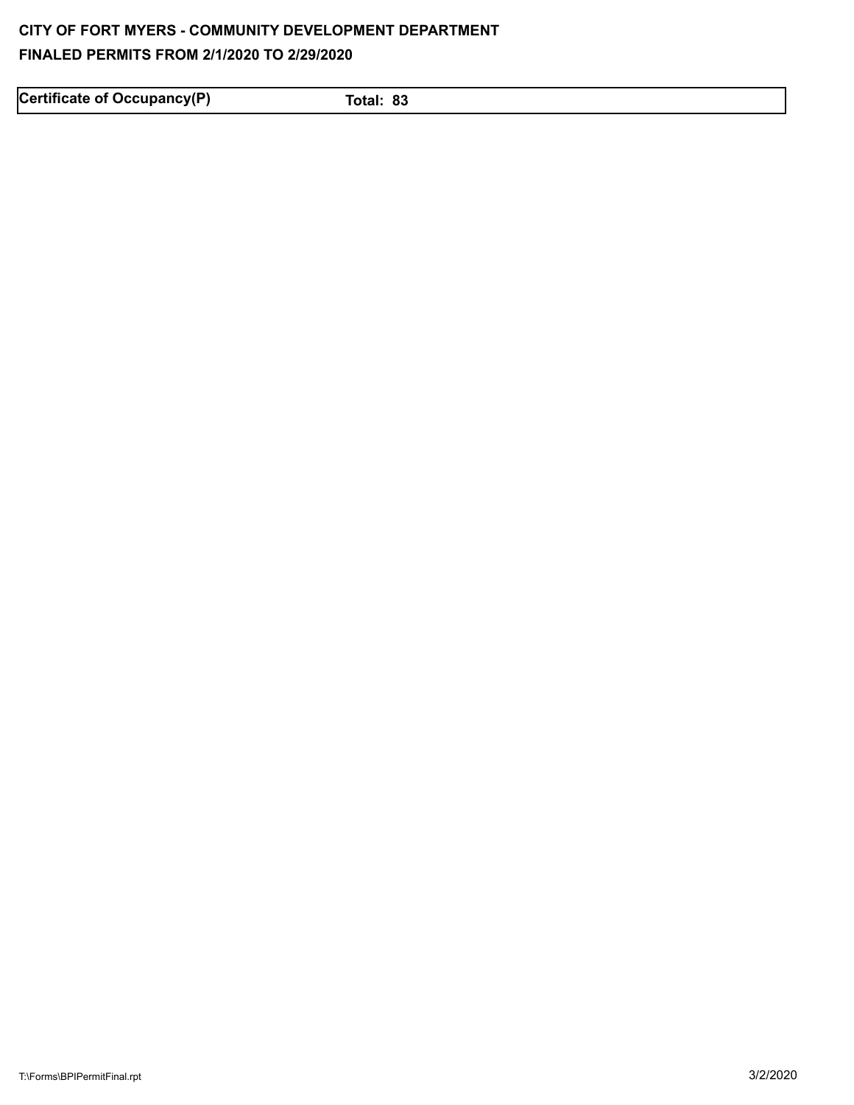Certificate of Occupancy(P) Total: 83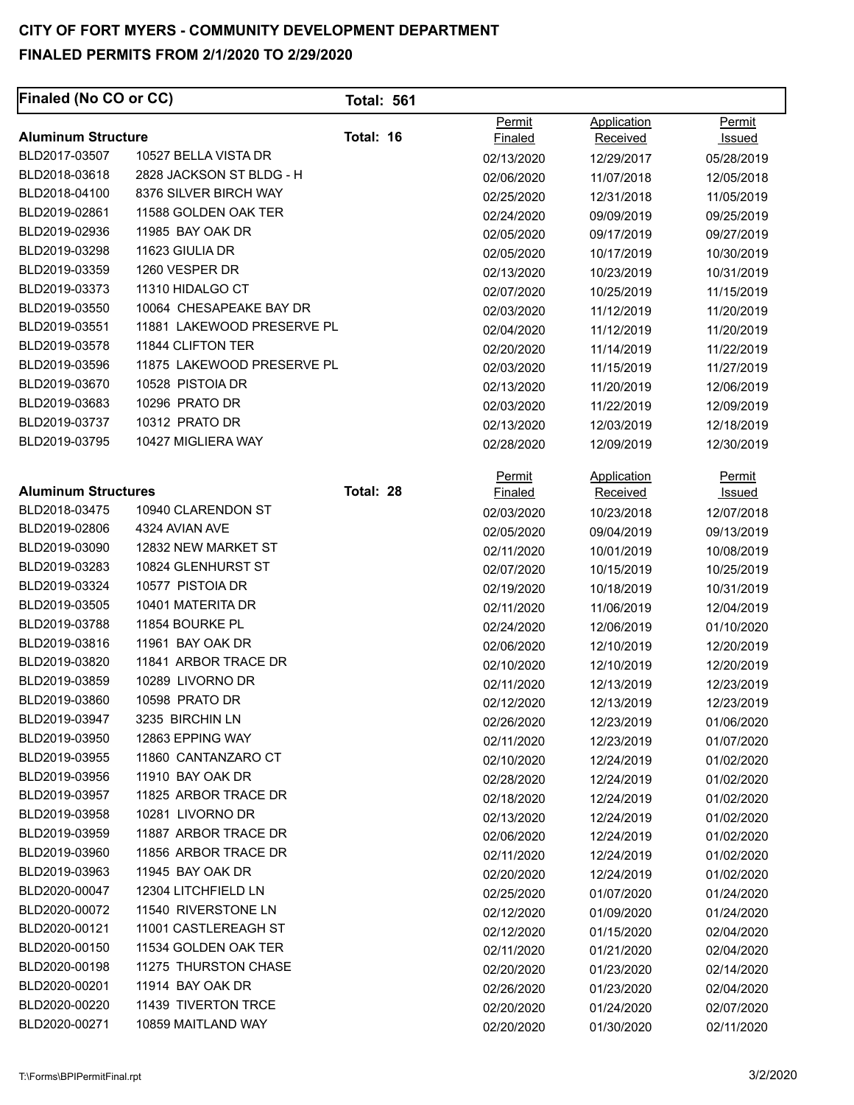| Finaled (No CO or CC)      |                            | <b>Total: 561</b> |                          |                          |                          |
|----------------------------|----------------------------|-------------------|--------------------------|--------------------------|--------------------------|
| <b>Aluminum Structure</b>  |                            | Total: 16         | Permit<br><b>Finaled</b> | Application<br>Received  | Permit<br>Issued         |
| BLD2017-03507              | 10527 BELLA VISTA DR       |                   | 02/13/2020               | 12/29/2017               | 05/28/2019               |
| BLD2018-03618              | 2828 JACKSON ST BLDG - H   |                   | 02/06/2020               | 11/07/2018               | 12/05/2018               |
| BLD2018-04100              | 8376 SILVER BIRCH WAY      |                   | 02/25/2020               | 12/31/2018               | 11/05/2019               |
| BLD2019-02861              | 11588 GOLDEN OAK TER       |                   | 02/24/2020               | 09/09/2019               | 09/25/2019               |
| BLD2019-02936              | 11985 BAY OAK DR           |                   | 02/05/2020               | 09/17/2019               | 09/27/2019               |
| BLD2019-03298              | 11623 GIULIA DR            |                   | 02/05/2020               | 10/17/2019               | 10/30/2019               |
| BLD2019-03359              | 1260 VESPER DR             |                   | 02/13/2020               | 10/23/2019               | 10/31/2019               |
| BLD2019-03373              | 11310 HIDALGO CT           |                   | 02/07/2020               | 10/25/2019               | 11/15/2019               |
| BLD2019-03550              | 10064 CHESAPEAKE BAY DR    |                   | 02/03/2020               | 11/12/2019               | 11/20/2019               |
| BLD2019-03551              | 11881 LAKEWOOD PRESERVE PL |                   | 02/04/2020               | 11/12/2019               | 11/20/2019               |
| BLD2019-03578              | 11844 CLIFTON TER          |                   | 02/20/2020               | 11/14/2019               | 11/22/2019               |
| BLD2019-03596              | 11875 LAKEWOOD PRESERVE PL |                   | 02/03/2020               | 11/15/2019               | 11/27/2019               |
| BLD2019-03670              | 10528 PISTOIA DR           |                   | 02/13/2020               | 11/20/2019               | 12/06/2019               |
| BLD2019-03683              | 10296 PRATO DR             |                   | 02/03/2020               | 11/22/2019               | 12/09/2019               |
| BLD2019-03737              | 10312 PRATO DR             |                   | 02/13/2020               | 12/03/2019               | 12/18/2019               |
| BLD2019-03795              | 10427 MIGLIERA WAY         |                   | 02/28/2020               | 12/09/2019               | 12/30/2019               |
| <b>Aluminum Structures</b> |                            | Total: 28         | Permit                   | Application              | Permit                   |
| BLD2018-03475              | 10940 CLARENDON ST         |                   | Finaled                  | Received                 | Issued                   |
| BLD2019-02806              | 4324 AVIAN AVE             |                   | 02/03/2020               | 10/23/2018               | 12/07/2018               |
| BLD2019-03090              | 12832 NEW MARKET ST        |                   | 02/05/2020               | 09/04/2019               | 09/13/2019               |
| BLD2019-03283              | 10824 GLENHURST ST         |                   | 02/11/2020               | 10/01/2019               | 10/08/2019               |
| BLD2019-03324              | 10577 PISTOIA DR           |                   | 02/07/2020               | 10/15/2019               | 10/25/2019               |
| BLD2019-03505              | 10401 MATERITA DR          |                   | 02/19/2020               | 10/18/2019               | 10/31/2019               |
| BLD2019-03788              | 11854 BOURKE PL            |                   | 02/11/2020               | 11/06/2019               | 12/04/2019               |
| BLD2019-03816              | 11961 BAY OAK DR           |                   | 02/24/2020               | 12/06/2019               | 01/10/2020               |
| BLD2019-03820              | 11841 ARBOR TRACE DR       |                   | 02/06/2020               | 12/10/2019               | 12/20/2019               |
| BLD2019-03859              | 10289 LIVORNO DR           |                   | 02/10/2020               | 12/10/2019               | 12/20/2019               |
| BLD2019-03860              | 10598 PRATO DR             |                   | 02/11/2020<br>02/12/2020 | 12/13/2019<br>12/13/2019 | 12/23/2019<br>12/23/2019 |
| BLD2019-03947              | 3235 BIRCHIN LN            |                   | 02/26/2020               | 12/23/2019               | 01/06/2020               |
| BLD2019-03950              | 12863 EPPING WAY           |                   | 02/11/2020               | 12/23/2019               | 01/07/2020               |
| BLD2019-03955              | 11860 CANTANZARO CT        |                   | 02/10/2020               | 12/24/2019               | 01/02/2020               |
| BLD2019-03956              | 11910 BAY OAK DR           |                   | 02/28/2020               | 12/24/2019               | 01/02/2020               |
| BLD2019-03957              | 11825 ARBOR TRACE DR       |                   | 02/18/2020               | 12/24/2019               | 01/02/2020               |
| BLD2019-03958              | 10281 LIVORNO DR           |                   | 02/13/2020               | 12/24/2019               | 01/02/2020               |
| BLD2019-03959              | 11887 ARBOR TRACE DR       |                   | 02/06/2020               | 12/24/2019               | 01/02/2020               |
| BLD2019-03960              | 11856 ARBOR TRACE DR       |                   | 02/11/2020               | 12/24/2019               | 01/02/2020               |
| BLD2019-03963              | 11945 BAY OAK DR           |                   | 02/20/2020               | 12/24/2019               | 01/02/2020               |
| BLD2020-00047              | 12304 LITCHFIELD LN        |                   | 02/25/2020               | 01/07/2020               | 01/24/2020               |
| BLD2020-00072              | 11540 RIVERSTONE LN        |                   | 02/12/2020               | 01/09/2020               | 01/24/2020               |
| BLD2020-00121              | 11001 CASTLEREAGH ST       |                   | 02/12/2020               | 01/15/2020               | 02/04/2020               |
| BLD2020-00150              | 11534 GOLDEN OAK TER       |                   | 02/11/2020               | 01/21/2020               | 02/04/2020               |
| BLD2020-00198              | 11275 THURSTON CHASE       |                   | 02/20/2020               | 01/23/2020               | 02/14/2020               |
| BLD2020-00201              | 11914 BAY OAK DR           |                   | 02/26/2020               | 01/23/2020               | 02/04/2020               |
| BLD2020-00220              | 11439 TIVERTON TRCE        |                   | 02/20/2020               | 01/24/2020               | 02/07/2020               |
| BLD2020-00271              | 10859 MAITLAND WAY         |                   | 02/20/2020               | 01/30/2020               | 02/11/2020               |
|                            |                            |                   |                          |                          |                          |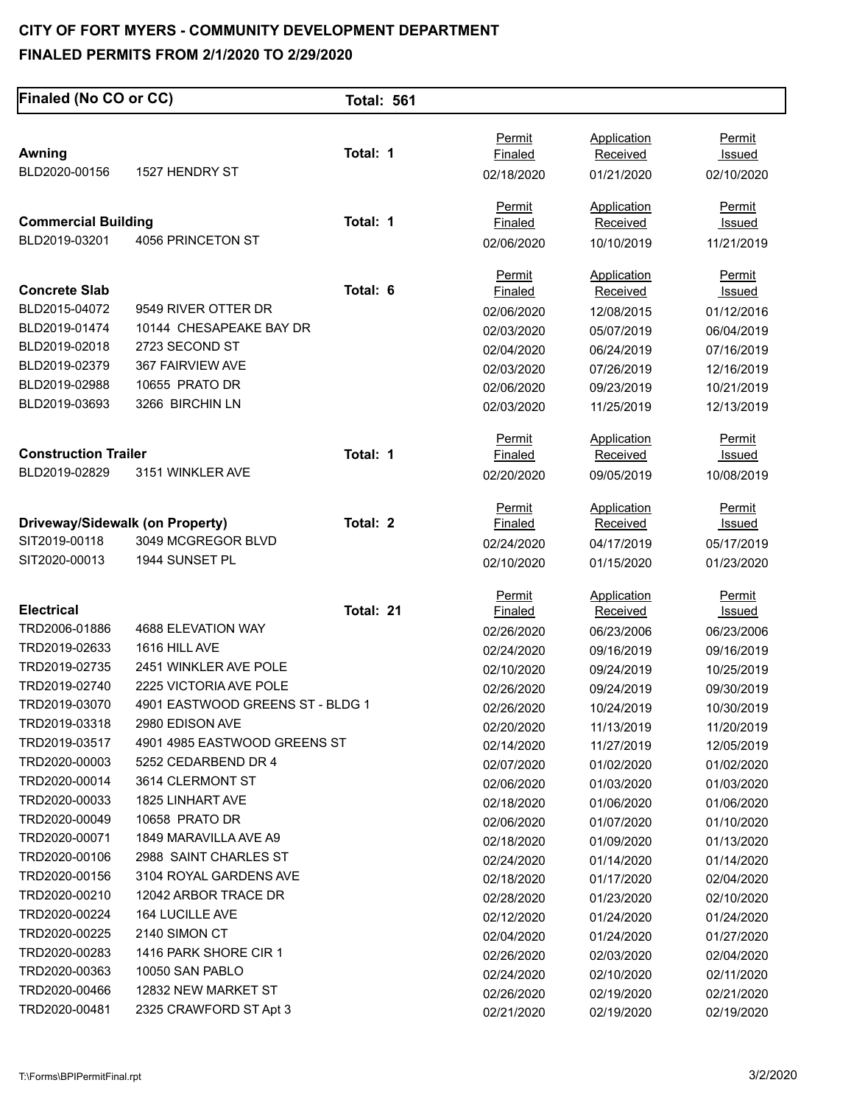| Finaled (No CO or CC)           |                                  | <b>Total: 561</b> |                |                    |               |
|---------------------------------|----------------------------------|-------------------|----------------|--------------------|---------------|
|                                 |                                  |                   |                |                    |               |
|                                 |                                  | Total: 1          | Permit         | <b>Application</b> | <b>Permit</b> |
| Awning<br>BLD2020-00156         | 1527 HENDRY ST                   |                   | Finaled        | Received           | Issued        |
|                                 |                                  |                   | 02/18/2020     | 01/21/2020         | 02/10/2020    |
|                                 |                                  |                   | Permit         | <b>Application</b> | Permit        |
| <b>Commercial Building</b>      |                                  | Total: 1          | Finaled        | Received           | <u>Issued</u> |
| BLD2019-03201                   | 4056 PRINCETON ST                |                   | 02/06/2020     | 10/10/2019         | 11/21/2019    |
|                                 |                                  |                   | Permit         | <b>Application</b> | <b>Permit</b> |
| <b>Concrete Slab</b>            |                                  | Total: 6          | Finaled        | Received           | <u>Issued</u> |
| BLD2015-04072                   | 9549 RIVER OTTER DR              |                   | 02/06/2020     | 12/08/2015         | 01/12/2016    |
| BLD2019-01474                   | 10144 CHESAPEAKE BAY DR          |                   | 02/03/2020     | 05/07/2019         | 06/04/2019    |
| BLD2019-02018                   | 2723 SECOND ST                   |                   | 02/04/2020     | 06/24/2019         | 07/16/2019    |
| BLD2019-02379                   | 367 FAIRVIEW AVE                 |                   | 02/03/2020     | 07/26/2019         | 12/16/2019    |
| BLD2019-02988                   | 10655 PRATO DR                   |                   | 02/06/2020     | 09/23/2019         | 10/21/2019    |
| BLD2019-03693                   | 3266 BIRCHIN LN                  |                   | 02/03/2020     | 11/25/2019         | 12/13/2019    |
|                                 |                                  |                   | Permit         | Application        | Permit        |
| <b>Construction Trailer</b>     |                                  | Total: 1          | Finaled        | Received           | Issued        |
| BLD2019-02829                   | 3151 WINKLER AVE                 |                   | 02/20/2020     | 09/05/2019         | 10/08/2019    |
|                                 |                                  |                   | Permit         | <b>Application</b> | Permit        |
| Driveway/Sidewalk (on Property) |                                  | Total: 2          | Finaled        | Received           | <u>Issued</u> |
| SIT2019-00118                   | 3049 MCGREGOR BLVD               |                   | 02/24/2020     | 04/17/2019         | 05/17/2019    |
| SIT2020-00013                   | 1944 SUNSET PL                   |                   | 02/10/2020     | 01/15/2020         | 01/23/2020    |
|                                 |                                  |                   | <b>Permit</b>  | Application        | <b>Permit</b> |
| <b>Electrical</b>               |                                  | Total: 21         | <b>Finaled</b> | Received           | <u>Issued</u> |
| TRD2006-01886                   | 4688 ELEVATION WAY               |                   | 02/26/2020     | 06/23/2006         | 06/23/2006    |
| TRD2019-02633                   | 1616 HILL AVE                    |                   | 02/24/2020     | 09/16/2019         | 09/16/2019    |
| TRD2019-02735                   | 2451 WINKLER AVE POLE            |                   | 02/10/2020     | 09/24/2019         | 10/25/2019    |
| TRD2019-02740                   | 2225 VICTORIA AVE POLE           |                   | 02/26/2020     | 09/24/2019         | 09/30/2019    |
| TRD2019-03070                   | 4901 EASTWOOD GREENS ST - BLDG 1 |                   | 02/26/2020     | 10/24/2019         | 10/30/2019    |
| TRD2019-03318                   | 2980 EDISON AVE                  |                   | 02/20/2020     | 11/13/2019         | 11/20/2019    |
| TRD2019-03517                   | 4901 4985 EASTWOOD GREENS ST     |                   | 02/14/2020     | 11/27/2019         | 12/05/2019    |
| TRD2020-00003                   | 5252 CEDARBEND DR 4              |                   | 02/07/2020     | 01/02/2020         | 01/02/2020    |
| TRD2020-00014                   | 3614 CLERMONT ST                 |                   | 02/06/2020     | 01/03/2020         | 01/03/2020    |
| TRD2020-00033                   | 1825 LINHART AVE                 |                   | 02/18/2020     | 01/06/2020         | 01/06/2020    |
| TRD2020-00049                   | 10658 PRATO DR                   |                   | 02/06/2020     | 01/07/2020         | 01/10/2020    |
| TRD2020-00071                   | 1849 MARAVILLA AVE A9            |                   | 02/18/2020     | 01/09/2020         | 01/13/2020    |
| TRD2020-00106                   | 2988 SAINT CHARLES ST            |                   | 02/24/2020     | 01/14/2020         | 01/14/2020    |
| TRD2020-00156                   | 3104 ROYAL GARDENS AVE           |                   | 02/18/2020     | 01/17/2020         | 02/04/2020    |
| TRD2020-00210                   | 12042 ARBOR TRACE DR             |                   | 02/28/2020     | 01/23/2020         | 02/10/2020    |
| TRD2020-00224                   | 164 LUCILLE AVE                  |                   | 02/12/2020     | 01/24/2020         | 01/24/2020    |
| TRD2020-00225                   | 2140 SIMON CT                    |                   | 02/04/2020     | 01/24/2020         | 01/27/2020    |
| TRD2020-00283                   | 1416 PARK SHORE CIR 1            |                   | 02/26/2020     | 02/03/2020         | 02/04/2020    |
| TRD2020-00363                   | 10050 SAN PABLO                  |                   | 02/24/2020     | 02/10/2020         | 02/11/2020    |
| TRD2020-00466                   | 12832 NEW MARKET ST              |                   | 02/26/2020     | 02/19/2020         | 02/21/2020    |
| TRD2020-00481                   | 2325 CRAWFORD ST Apt 3           |                   | 02/21/2020     | 02/19/2020         | 02/19/2020    |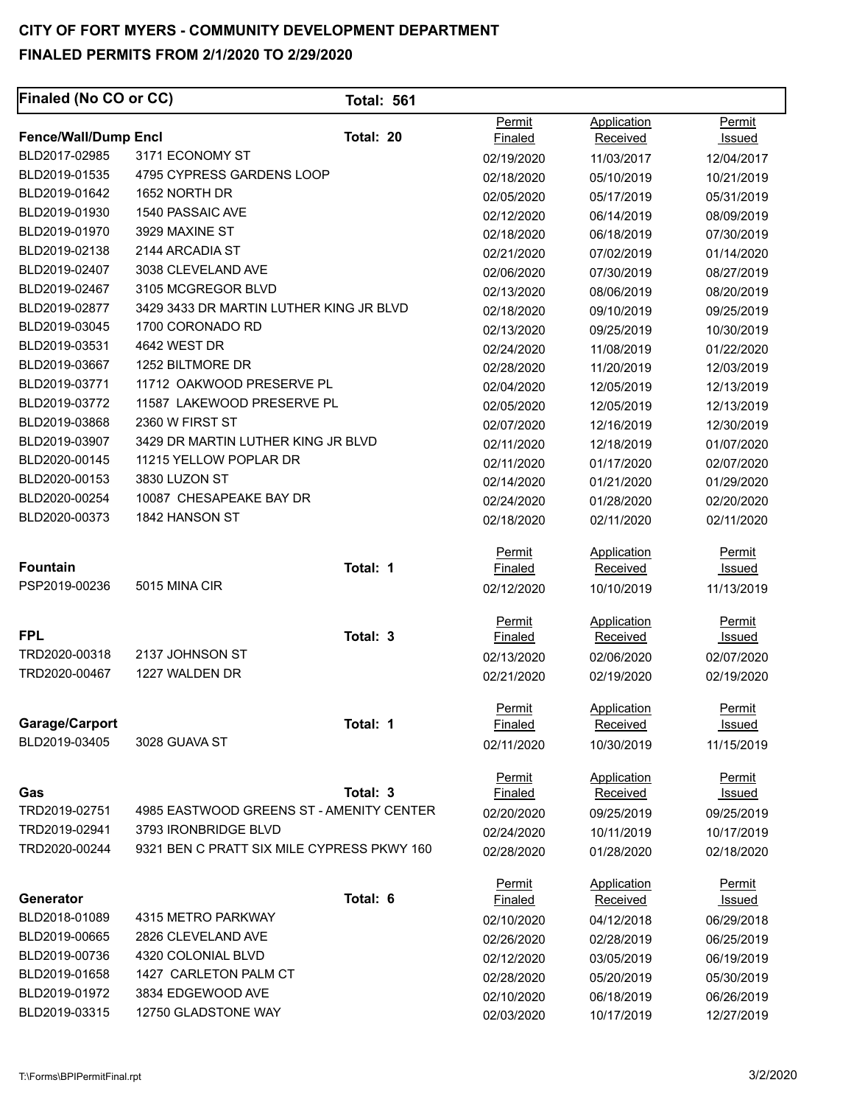### **Finaled (No CO or CC)** Total: 561 Permit Application Permit **Fence/Wall/Dump Encl Note 20 Contained Received Issued Received Issued Received Issued Issued Issued Received Issued Issued Issued Issued Issued Issued Issued Issued Issued Issued Issued Issued Issued Issued Issued Issued** BLD2017-02985 3171 ECONOMY ST 02/19/2020 11/03/2017 12/04/2017 BLD2019-01535 4795 CYPRESS GARDENS LOOP 02/18/2020 05/10/2019 10/21/2019 BLD2019-01642 1652 NORTH DR 02/05/2020 05/17/2019 05/31/2019 BLD2019-01930 1540 PASSAIC AVE 202/12/2020 06/14/2019 08/09/2019 BLD2019-01970 3929 MAXINE ST 02/18/2020 06/18/2019 07/30/2019 BLD2019-02138 2144 ARCADIA ST 02/21/2020 07/02/2019 01/14/2020 BLD2019-02407 3038 CLEVELAND AVE 02/06/2020 07/30/2019 08/27/2019 BLD2019-02467 3105 MCGREGOR BLVD 02/13/2020 08/06/2019 08/20/2019 BLD2019-02877 3429 3433 DR MARTIN LUTHER KING JR BLVD 02/18/2020 09/10/2019 09/25/2019 BLD2019-03045 1700 CORONADO RD 02/13/2020 09/25/2019 10/30/2019 BLD2019-03531 4642 WEST DR 02/24/2020 11/08/2019 01/22/2020 BLD2019-03667 1252 BILTMORE DR 02/28/2020 11/20/2019 12/03/2019 BLD2019-03771 11712 OAKWOOD PRESERVE PL 02/04/2020 12/05/2019 12/13/2019 BLD2019-03772 11587 LAKEWOOD PRESERVE PL 02/05/2020 12/05/2019 12/13/2019 BLD2019-03868 2360 W FIRST ST 02/07/2020 12/16/2019 12/30/2019 BLD2019-03907 3429 DR MARTIN LUTHER KING JR BLVD 02/11/2020 12/18/2019 01/07/2020 BLD2020-00145 11215 YELLOW POPLAR DR 02/11/2020 01/17/2020 02/07/2020 BLD2020-00153 3830 LUZON ST 02/14/2020 01/21/2020 01/29/2020 BLD2020-00254 10087 CHESAPEAKE BAY DR 02/24/2020 01/28/2020 01/28/2020 02/20/2020 BLD2020-00373 1842 HANSON ST 02/18/2020 02/11/2020 02/11/2020 Permit Application Permit **Fountain Total: 1** Finaled Received Issued Issued Received PSP2019-00236 5015 MINA CIR 02/12/2020 10/10/2019 11/13/2019 Permit Application Permit **FPL Total: 3** Finaled Received Issued TRD2020-00318 2137 JOHNSON ST 02/13/2020 02/06/2020 02/07/2020 TRD2020-00467 1227 WALDEN DR 02/21/2020 02/19/2020 02/19/2020 Permit Application Permit **Garage/Carport Total: 1** Finaled Received Issued BLD2019-03405 3028 GUAVA ST 300 02/11/2020 10/30/2019 11/15/2019 Permit Application Permit **Gas** Total: 3 **Finaled** Received Issued TRD2019-02751 4985 EASTWOOD GREENS ST - AMENITY CENTER 02/20/2020 09/25/2019 09/25/2019 TRD2019-02941 3793 IRONBRIDGE BLVD 02/24/2020 10/11/2019 10/17/2019 TRD2020-00244 9321 BEN C PRATT SIX MILE CYPRESS PKWY 160 02/28/2020 01/28/2020 02/18/2020 Permit Application Permit **Generator Total: 6 Community Community Community Community Community Community Community Community Community Community Community Community Community Community Community Community Community Community Community Community Co** BLD2018-01089 4315 METRO PARKWAY 02/10/2020 04/12/2018 06/29/2018 BLD2019-00665 2826 CLEVELAND AVE 02/26/2020 02/26/2020 02/28/2019 06/25/2019 BLD2019-00736 4320 COLONIAL BLVD 02/12/2020 03/05/2019 06/19/2019 BLD2019-01658 1427 CARLETON PALM CT 02/28/2020 05/20/2019 05/30/2019 BLD2019-01972 3834 EDGEWOOD AVE 02/10/2020 06/18/2019 06/18/2019 06/26/2019 BLD2019-03315 12750 GLADSTONE WAY 02/03/2020 10/17/2019 12/27/2019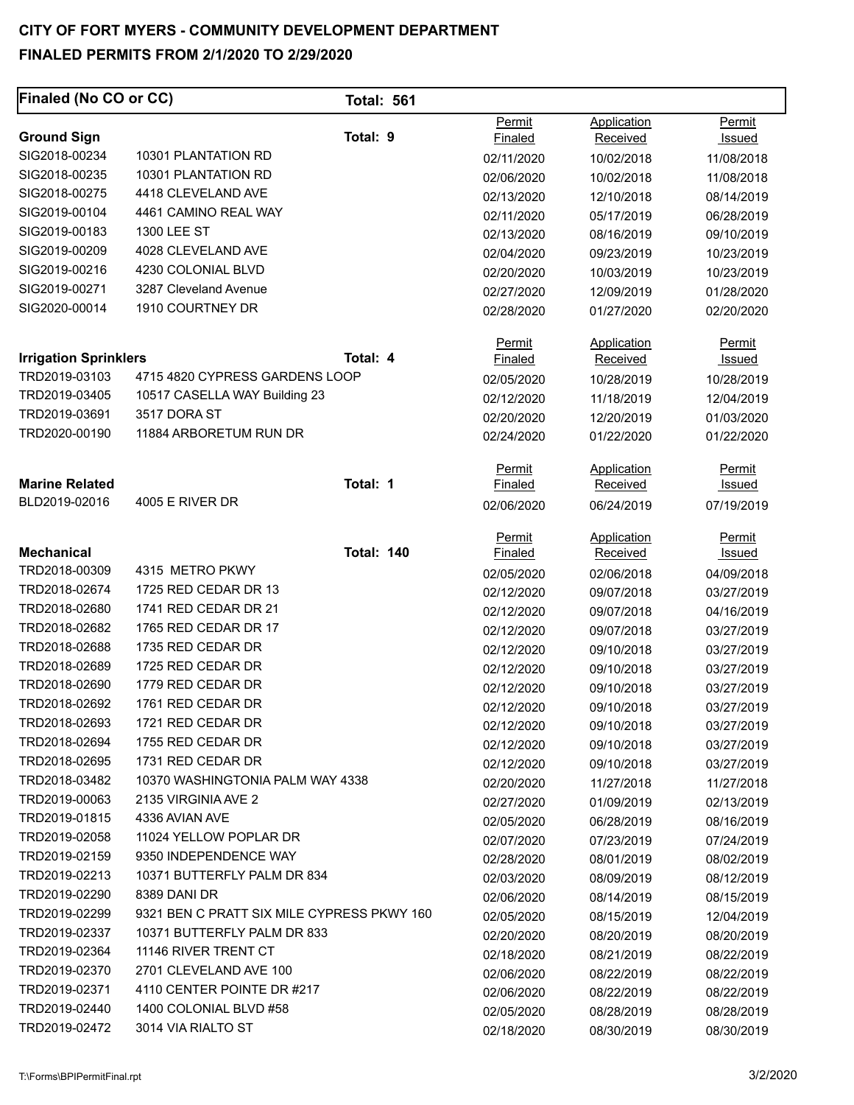| Permit<br>Application<br>Permit<br>Total: 9<br><b>Ground Sign</b><br>Received<br>Finaled<br>Issued<br>SIG2018-00234<br>10301 PLANTATION RD<br>02/11/2020<br>10/02/2018<br>11/08/2018<br>SIG2018-00235<br>10301 PLANTATION RD<br>02/06/2020<br>10/02/2018<br>11/08/2018<br>SIG2018-00275<br>4418 CLEVELAND AVE<br>02/13/2020<br>12/10/2018<br>08/14/2019<br>SIG2019-00104<br>4461 CAMINO REAL WAY<br>02/11/2020<br>05/17/2019<br>06/28/2019<br>SIG2019-00183<br>1300 LEE ST<br>02/13/2020<br>09/10/2019<br>08/16/2019<br>SIG2019-00209<br>4028 CLEVELAND AVE<br>02/04/2020<br>09/23/2019<br>10/23/2019<br>SIG2019-00216<br>4230 COLONIAL BLVD<br>02/20/2020<br>10/03/2019<br>10/23/2019<br>SIG2019-00271<br>3287 Cleveland Avenue<br>02/27/2020<br>12/09/2019<br>01/28/2020<br>SIG2020-00014<br>1910 COURTNEY DR<br>02/28/2020<br>01/27/2020<br>02/20/2020<br>Application<br>Permit<br>Permit<br><b>Irrigation Sprinklers</b><br>Total: 4<br>Finaled<br><b>Received</b><br>Issued<br>TRD2019-03103<br>4715 4820 CYPRESS GARDENS LOOP<br>02/05/2020<br>10/28/2019<br>10/28/2019<br>TRD2019-03405<br>10517 CASELLA WAY Building 23<br>02/12/2020<br>11/18/2019<br>12/04/2019<br>3517 DORA ST<br>TRD2019-03691<br>02/20/2020<br>12/20/2019<br>01/03/2020<br>11884 ARBORETUM RUN DR<br>TRD2020-00190<br>02/24/2020<br>01/22/2020<br>01/22/2020<br>Application<br>Permit<br>Permit<br>Total: 1<br><b>Marine Related</b><br><b>Finaled</b><br><b>Received</b><br><u>Issued</u><br>BLD2019-02016<br>4005 E RIVER DR<br>02/06/2020<br>06/24/2019<br>07/19/2019<br>Permit<br>Application<br><b>Permit</b><br><b>Mechanical</b><br><b>Total: 140</b><br><b>Finaled</b><br>Received<br><u>Issued</u><br>TRD2018-00309<br>4315 METRO PKWY<br>02/05/2020<br>02/06/2018<br>04/09/2018<br>1725 RED CEDAR DR 13<br>TRD2018-02674<br>02/12/2020<br>09/07/2018<br>03/27/2019<br>1741 RED CEDAR DR 21<br>TRD2018-02680<br>02/12/2020<br>04/16/2019<br>09/07/2018<br>1765 RED CEDAR DR 17<br>TRD2018-02682<br>02/12/2020<br>09/07/2018<br>03/27/2019<br>1735 RED CEDAR DR<br>TRD2018-02688<br>02/12/2020<br>09/10/2018<br>03/27/2019<br>1725 RED CEDAR DR<br>TRD2018-02689<br>02/12/2020<br>09/10/2018<br>03/27/2019<br>TRD2018-02690<br>1779 RED CEDAR DR<br>02/12/2020<br>09/10/2018<br>03/27/2019<br>TRD2018-02692<br>1761 RED CEDAR DR<br>02/12/2020<br>09/10/2018<br>03/27/2019<br>1721 RED CEDAR DR<br>TRD2018-02693<br>02/12/2020<br>09/10/2018<br>03/27/2019<br>TRD2018-02694<br>1755 RED CEDAR DR<br>02/12/2020<br>09/10/2018<br>03/27/2019<br>TRD2018-02695<br>1731 RED CEDAR DR<br>02/12/2020<br>03/27/2019<br>09/10/2018<br>TRD2018-03482<br>10370 WASHINGTONIA PALM WAY 4338<br>02/20/2020<br>11/27/2018<br>11/27/2018<br>TRD2019-00063<br>2135 VIRGINIA AVE 2<br>02/27/2020<br>01/09/2019<br>02/13/2019<br>TRD2019-01815<br>4336 AVIAN AVE<br>02/05/2020<br>06/28/2019<br>08/16/2019<br>TRD2019-02058<br>11024 YELLOW POPLAR DR<br>02/07/2020<br>07/23/2019<br>07/24/2019<br>TRD2019-02159<br>9350 INDEPENDENCE WAY<br>02/28/2020<br>08/01/2019<br>08/02/2019<br>10371 BUTTERFLY PALM DR 834<br>TRD2019-02213<br>02/03/2020<br>08/09/2019<br>08/12/2019<br>TRD2019-02290<br>8389 DANI DR<br>02/06/2020<br>08/15/2019<br>08/14/2019<br>TRD2019-02299<br>9321 BEN C PRATT SIX MILE CYPRESS PKWY 160<br>02/05/2020<br>08/15/2019<br>12/04/2019<br>TRD2019-02337<br>10371 BUTTERFLY PALM DR 833<br>02/20/2020<br>08/20/2019<br>08/20/2019<br>TRD2019-02364<br>11146 RIVER TRENT CT<br>02/18/2020<br>08/22/2019<br>08/21/2019<br>2701 CLEVELAND AVE 100<br>TRD2019-02370<br>02/06/2020<br>08/22/2019<br>08/22/2019<br>TRD2019-02371<br>4110 CENTER POINTE DR #217<br>02/06/2020<br>08/22/2019<br>08/22/2019<br>TRD2019-02440<br>1400 COLONIAL BLVD #58<br>02/05/2020<br>08/28/2019<br>08/28/2019<br>TRD2019-02472<br>3014 VIA RIALTO ST<br>02/18/2020<br>08/30/2019<br>08/30/2019 | Finaled (No CO or CC) | <b>Total: 561</b> |  |  |
|-----------------------------------------------------------------------------------------------------------------------------------------------------------------------------------------------------------------------------------------------------------------------------------------------------------------------------------------------------------------------------------------------------------------------------------------------------------------------------------------------------------------------------------------------------------------------------------------------------------------------------------------------------------------------------------------------------------------------------------------------------------------------------------------------------------------------------------------------------------------------------------------------------------------------------------------------------------------------------------------------------------------------------------------------------------------------------------------------------------------------------------------------------------------------------------------------------------------------------------------------------------------------------------------------------------------------------------------------------------------------------------------------------------------------------------------------------------------------------------------------------------------------------------------------------------------------------------------------------------------------------------------------------------------------------------------------------------------------------------------------------------------------------------------------------------------------------------------------------------------------------------------------------------------------------------------------------------------------------------------------------------------------------------------------------------------------------------------------------------------------------------------------------------------------------------------------------------------------------------------------------------------------------------------------------------------------------------------------------------------------------------------------------------------------------------------------------------------------------------------------------------------------------------------------------------------------------------------------------------------------------------------------------------------------------------------------------------------------------------------------------------------------------------------------------------------------------------------------------------------------------------------------------------------------------------------------------------------------------------------------------------------------------------------------------------------------------------------------------------------------------------------------------------------------------------------------------------------------------------------------------------------------------------------------------------------------------------------------------------------------------------------------------------------------------------------------------------------------------------------------------------------------------------------------------------------------------------------------------------------------------------------------------------------------------------------------------------------------------------------------------------------------------------------------------------------------------------------------------------------------|-----------------------|-------------------|--|--|
|                                                                                                                                                                                                                                                                                                                                                                                                                                                                                                                                                                                                                                                                                                                                                                                                                                                                                                                                                                                                                                                                                                                                                                                                                                                                                                                                                                                                                                                                                                                                                                                                                                                                                                                                                                                                                                                                                                                                                                                                                                                                                                                                                                                                                                                                                                                                                                                                                                                                                                                                                                                                                                                                                                                                                                                                                                                                                                                                                                                                                                                                                                                                                                                                                                                                                                                                                                                                                                                                                                                                                                                                                                                                                                                                                                                                                                                                       |                       |                   |  |  |
|                                                                                                                                                                                                                                                                                                                                                                                                                                                                                                                                                                                                                                                                                                                                                                                                                                                                                                                                                                                                                                                                                                                                                                                                                                                                                                                                                                                                                                                                                                                                                                                                                                                                                                                                                                                                                                                                                                                                                                                                                                                                                                                                                                                                                                                                                                                                                                                                                                                                                                                                                                                                                                                                                                                                                                                                                                                                                                                                                                                                                                                                                                                                                                                                                                                                                                                                                                                                                                                                                                                                                                                                                                                                                                                                                                                                                                                                       |                       |                   |  |  |
|                                                                                                                                                                                                                                                                                                                                                                                                                                                                                                                                                                                                                                                                                                                                                                                                                                                                                                                                                                                                                                                                                                                                                                                                                                                                                                                                                                                                                                                                                                                                                                                                                                                                                                                                                                                                                                                                                                                                                                                                                                                                                                                                                                                                                                                                                                                                                                                                                                                                                                                                                                                                                                                                                                                                                                                                                                                                                                                                                                                                                                                                                                                                                                                                                                                                                                                                                                                                                                                                                                                                                                                                                                                                                                                                                                                                                                                                       |                       |                   |  |  |
|                                                                                                                                                                                                                                                                                                                                                                                                                                                                                                                                                                                                                                                                                                                                                                                                                                                                                                                                                                                                                                                                                                                                                                                                                                                                                                                                                                                                                                                                                                                                                                                                                                                                                                                                                                                                                                                                                                                                                                                                                                                                                                                                                                                                                                                                                                                                                                                                                                                                                                                                                                                                                                                                                                                                                                                                                                                                                                                                                                                                                                                                                                                                                                                                                                                                                                                                                                                                                                                                                                                                                                                                                                                                                                                                                                                                                                                                       |                       |                   |  |  |
|                                                                                                                                                                                                                                                                                                                                                                                                                                                                                                                                                                                                                                                                                                                                                                                                                                                                                                                                                                                                                                                                                                                                                                                                                                                                                                                                                                                                                                                                                                                                                                                                                                                                                                                                                                                                                                                                                                                                                                                                                                                                                                                                                                                                                                                                                                                                                                                                                                                                                                                                                                                                                                                                                                                                                                                                                                                                                                                                                                                                                                                                                                                                                                                                                                                                                                                                                                                                                                                                                                                                                                                                                                                                                                                                                                                                                                                                       |                       |                   |  |  |
|                                                                                                                                                                                                                                                                                                                                                                                                                                                                                                                                                                                                                                                                                                                                                                                                                                                                                                                                                                                                                                                                                                                                                                                                                                                                                                                                                                                                                                                                                                                                                                                                                                                                                                                                                                                                                                                                                                                                                                                                                                                                                                                                                                                                                                                                                                                                                                                                                                                                                                                                                                                                                                                                                                                                                                                                                                                                                                                                                                                                                                                                                                                                                                                                                                                                                                                                                                                                                                                                                                                                                                                                                                                                                                                                                                                                                                                                       |                       |                   |  |  |
|                                                                                                                                                                                                                                                                                                                                                                                                                                                                                                                                                                                                                                                                                                                                                                                                                                                                                                                                                                                                                                                                                                                                                                                                                                                                                                                                                                                                                                                                                                                                                                                                                                                                                                                                                                                                                                                                                                                                                                                                                                                                                                                                                                                                                                                                                                                                                                                                                                                                                                                                                                                                                                                                                                                                                                                                                                                                                                                                                                                                                                                                                                                                                                                                                                                                                                                                                                                                                                                                                                                                                                                                                                                                                                                                                                                                                                                                       |                       |                   |  |  |
|                                                                                                                                                                                                                                                                                                                                                                                                                                                                                                                                                                                                                                                                                                                                                                                                                                                                                                                                                                                                                                                                                                                                                                                                                                                                                                                                                                                                                                                                                                                                                                                                                                                                                                                                                                                                                                                                                                                                                                                                                                                                                                                                                                                                                                                                                                                                                                                                                                                                                                                                                                                                                                                                                                                                                                                                                                                                                                                                                                                                                                                                                                                                                                                                                                                                                                                                                                                                                                                                                                                                                                                                                                                                                                                                                                                                                                                                       |                       |                   |  |  |
|                                                                                                                                                                                                                                                                                                                                                                                                                                                                                                                                                                                                                                                                                                                                                                                                                                                                                                                                                                                                                                                                                                                                                                                                                                                                                                                                                                                                                                                                                                                                                                                                                                                                                                                                                                                                                                                                                                                                                                                                                                                                                                                                                                                                                                                                                                                                                                                                                                                                                                                                                                                                                                                                                                                                                                                                                                                                                                                                                                                                                                                                                                                                                                                                                                                                                                                                                                                                                                                                                                                                                                                                                                                                                                                                                                                                                                                                       |                       |                   |  |  |
|                                                                                                                                                                                                                                                                                                                                                                                                                                                                                                                                                                                                                                                                                                                                                                                                                                                                                                                                                                                                                                                                                                                                                                                                                                                                                                                                                                                                                                                                                                                                                                                                                                                                                                                                                                                                                                                                                                                                                                                                                                                                                                                                                                                                                                                                                                                                                                                                                                                                                                                                                                                                                                                                                                                                                                                                                                                                                                                                                                                                                                                                                                                                                                                                                                                                                                                                                                                                                                                                                                                                                                                                                                                                                                                                                                                                                                                                       |                       |                   |  |  |
|                                                                                                                                                                                                                                                                                                                                                                                                                                                                                                                                                                                                                                                                                                                                                                                                                                                                                                                                                                                                                                                                                                                                                                                                                                                                                                                                                                                                                                                                                                                                                                                                                                                                                                                                                                                                                                                                                                                                                                                                                                                                                                                                                                                                                                                                                                                                                                                                                                                                                                                                                                                                                                                                                                                                                                                                                                                                                                                                                                                                                                                                                                                                                                                                                                                                                                                                                                                                                                                                                                                                                                                                                                                                                                                                                                                                                                                                       |                       |                   |  |  |
|                                                                                                                                                                                                                                                                                                                                                                                                                                                                                                                                                                                                                                                                                                                                                                                                                                                                                                                                                                                                                                                                                                                                                                                                                                                                                                                                                                                                                                                                                                                                                                                                                                                                                                                                                                                                                                                                                                                                                                                                                                                                                                                                                                                                                                                                                                                                                                                                                                                                                                                                                                                                                                                                                                                                                                                                                                                                                                                                                                                                                                                                                                                                                                                                                                                                                                                                                                                                                                                                                                                                                                                                                                                                                                                                                                                                                                                                       |                       |                   |  |  |
|                                                                                                                                                                                                                                                                                                                                                                                                                                                                                                                                                                                                                                                                                                                                                                                                                                                                                                                                                                                                                                                                                                                                                                                                                                                                                                                                                                                                                                                                                                                                                                                                                                                                                                                                                                                                                                                                                                                                                                                                                                                                                                                                                                                                                                                                                                                                                                                                                                                                                                                                                                                                                                                                                                                                                                                                                                                                                                                                                                                                                                                                                                                                                                                                                                                                                                                                                                                                                                                                                                                                                                                                                                                                                                                                                                                                                                                                       |                       |                   |  |  |
|                                                                                                                                                                                                                                                                                                                                                                                                                                                                                                                                                                                                                                                                                                                                                                                                                                                                                                                                                                                                                                                                                                                                                                                                                                                                                                                                                                                                                                                                                                                                                                                                                                                                                                                                                                                                                                                                                                                                                                                                                                                                                                                                                                                                                                                                                                                                                                                                                                                                                                                                                                                                                                                                                                                                                                                                                                                                                                                                                                                                                                                                                                                                                                                                                                                                                                                                                                                                                                                                                                                                                                                                                                                                                                                                                                                                                                                                       |                       |                   |  |  |
|                                                                                                                                                                                                                                                                                                                                                                                                                                                                                                                                                                                                                                                                                                                                                                                                                                                                                                                                                                                                                                                                                                                                                                                                                                                                                                                                                                                                                                                                                                                                                                                                                                                                                                                                                                                                                                                                                                                                                                                                                                                                                                                                                                                                                                                                                                                                                                                                                                                                                                                                                                                                                                                                                                                                                                                                                                                                                                                                                                                                                                                                                                                                                                                                                                                                                                                                                                                                                                                                                                                                                                                                                                                                                                                                                                                                                                                                       |                       |                   |  |  |
|                                                                                                                                                                                                                                                                                                                                                                                                                                                                                                                                                                                                                                                                                                                                                                                                                                                                                                                                                                                                                                                                                                                                                                                                                                                                                                                                                                                                                                                                                                                                                                                                                                                                                                                                                                                                                                                                                                                                                                                                                                                                                                                                                                                                                                                                                                                                                                                                                                                                                                                                                                                                                                                                                                                                                                                                                                                                                                                                                                                                                                                                                                                                                                                                                                                                                                                                                                                                                                                                                                                                                                                                                                                                                                                                                                                                                                                                       |                       |                   |  |  |
|                                                                                                                                                                                                                                                                                                                                                                                                                                                                                                                                                                                                                                                                                                                                                                                                                                                                                                                                                                                                                                                                                                                                                                                                                                                                                                                                                                                                                                                                                                                                                                                                                                                                                                                                                                                                                                                                                                                                                                                                                                                                                                                                                                                                                                                                                                                                                                                                                                                                                                                                                                                                                                                                                                                                                                                                                                                                                                                                                                                                                                                                                                                                                                                                                                                                                                                                                                                                                                                                                                                                                                                                                                                                                                                                                                                                                                                                       |                       |                   |  |  |
|                                                                                                                                                                                                                                                                                                                                                                                                                                                                                                                                                                                                                                                                                                                                                                                                                                                                                                                                                                                                                                                                                                                                                                                                                                                                                                                                                                                                                                                                                                                                                                                                                                                                                                                                                                                                                                                                                                                                                                                                                                                                                                                                                                                                                                                                                                                                                                                                                                                                                                                                                                                                                                                                                                                                                                                                                                                                                                                                                                                                                                                                                                                                                                                                                                                                                                                                                                                                                                                                                                                                                                                                                                                                                                                                                                                                                                                                       |                       |                   |  |  |
|                                                                                                                                                                                                                                                                                                                                                                                                                                                                                                                                                                                                                                                                                                                                                                                                                                                                                                                                                                                                                                                                                                                                                                                                                                                                                                                                                                                                                                                                                                                                                                                                                                                                                                                                                                                                                                                                                                                                                                                                                                                                                                                                                                                                                                                                                                                                                                                                                                                                                                                                                                                                                                                                                                                                                                                                                                                                                                                                                                                                                                                                                                                                                                                                                                                                                                                                                                                                                                                                                                                                                                                                                                                                                                                                                                                                                                                                       |                       |                   |  |  |
|                                                                                                                                                                                                                                                                                                                                                                                                                                                                                                                                                                                                                                                                                                                                                                                                                                                                                                                                                                                                                                                                                                                                                                                                                                                                                                                                                                                                                                                                                                                                                                                                                                                                                                                                                                                                                                                                                                                                                                                                                                                                                                                                                                                                                                                                                                                                                                                                                                                                                                                                                                                                                                                                                                                                                                                                                                                                                                                                                                                                                                                                                                                                                                                                                                                                                                                                                                                                                                                                                                                                                                                                                                                                                                                                                                                                                                                                       |                       |                   |  |  |
|                                                                                                                                                                                                                                                                                                                                                                                                                                                                                                                                                                                                                                                                                                                                                                                                                                                                                                                                                                                                                                                                                                                                                                                                                                                                                                                                                                                                                                                                                                                                                                                                                                                                                                                                                                                                                                                                                                                                                                                                                                                                                                                                                                                                                                                                                                                                                                                                                                                                                                                                                                                                                                                                                                                                                                                                                                                                                                                                                                                                                                                                                                                                                                                                                                                                                                                                                                                                                                                                                                                                                                                                                                                                                                                                                                                                                                                                       |                       |                   |  |  |
|                                                                                                                                                                                                                                                                                                                                                                                                                                                                                                                                                                                                                                                                                                                                                                                                                                                                                                                                                                                                                                                                                                                                                                                                                                                                                                                                                                                                                                                                                                                                                                                                                                                                                                                                                                                                                                                                                                                                                                                                                                                                                                                                                                                                                                                                                                                                                                                                                                                                                                                                                                                                                                                                                                                                                                                                                                                                                                                                                                                                                                                                                                                                                                                                                                                                                                                                                                                                                                                                                                                                                                                                                                                                                                                                                                                                                                                                       |                       |                   |  |  |
|                                                                                                                                                                                                                                                                                                                                                                                                                                                                                                                                                                                                                                                                                                                                                                                                                                                                                                                                                                                                                                                                                                                                                                                                                                                                                                                                                                                                                                                                                                                                                                                                                                                                                                                                                                                                                                                                                                                                                                                                                                                                                                                                                                                                                                                                                                                                                                                                                                                                                                                                                                                                                                                                                                                                                                                                                                                                                                                                                                                                                                                                                                                                                                                                                                                                                                                                                                                                                                                                                                                                                                                                                                                                                                                                                                                                                                                                       |                       |                   |  |  |
|                                                                                                                                                                                                                                                                                                                                                                                                                                                                                                                                                                                                                                                                                                                                                                                                                                                                                                                                                                                                                                                                                                                                                                                                                                                                                                                                                                                                                                                                                                                                                                                                                                                                                                                                                                                                                                                                                                                                                                                                                                                                                                                                                                                                                                                                                                                                                                                                                                                                                                                                                                                                                                                                                                                                                                                                                                                                                                                                                                                                                                                                                                                                                                                                                                                                                                                                                                                                                                                                                                                                                                                                                                                                                                                                                                                                                                                                       |                       |                   |  |  |
|                                                                                                                                                                                                                                                                                                                                                                                                                                                                                                                                                                                                                                                                                                                                                                                                                                                                                                                                                                                                                                                                                                                                                                                                                                                                                                                                                                                                                                                                                                                                                                                                                                                                                                                                                                                                                                                                                                                                                                                                                                                                                                                                                                                                                                                                                                                                                                                                                                                                                                                                                                                                                                                                                                                                                                                                                                                                                                                                                                                                                                                                                                                                                                                                                                                                                                                                                                                                                                                                                                                                                                                                                                                                                                                                                                                                                                                                       |                       |                   |  |  |
|                                                                                                                                                                                                                                                                                                                                                                                                                                                                                                                                                                                                                                                                                                                                                                                                                                                                                                                                                                                                                                                                                                                                                                                                                                                                                                                                                                                                                                                                                                                                                                                                                                                                                                                                                                                                                                                                                                                                                                                                                                                                                                                                                                                                                                                                                                                                                                                                                                                                                                                                                                                                                                                                                                                                                                                                                                                                                                                                                                                                                                                                                                                                                                                                                                                                                                                                                                                                                                                                                                                                                                                                                                                                                                                                                                                                                                                                       |                       |                   |  |  |
|                                                                                                                                                                                                                                                                                                                                                                                                                                                                                                                                                                                                                                                                                                                                                                                                                                                                                                                                                                                                                                                                                                                                                                                                                                                                                                                                                                                                                                                                                                                                                                                                                                                                                                                                                                                                                                                                                                                                                                                                                                                                                                                                                                                                                                                                                                                                                                                                                                                                                                                                                                                                                                                                                                                                                                                                                                                                                                                                                                                                                                                                                                                                                                                                                                                                                                                                                                                                                                                                                                                                                                                                                                                                                                                                                                                                                                                                       |                       |                   |  |  |
|                                                                                                                                                                                                                                                                                                                                                                                                                                                                                                                                                                                                                                                                                                                                                                                                                                                                                                                                                                                                                                                                                                                                                                                                                                                                                                                                                                                                                                                                                                                                                                                                                                                                                                                                                                                                                                                                                                                                                                                                                                                                                                                                                                                                                                                                                                                                                                                                                                                                                                                                                                                                                                                                                                                                                                                                                                                                                                                                                                                                                                                                                                                                                                                                                                                                                                                                                                                                                                                                                                                                                                                                                                                                                                                                                                                                                                                                       |                       |                   |  |  |
|                                                                                                                                                                                                                                                                                                                                                                                                                                                                                                                                                                                                                                                                                                                                                                                                                                                                                                                                                                                                                                                                                                                                                                                                                                                                                                                                                                                                                                                                                                                                                                                                                                                                                                                                                                                                                                                                                                                                                                                                                                                                                                                                                                                                                                                                                                                                                                                                                                                                                                                                                                                                                                                                                                                                                                                                                                                                                                                                                                                                                                                                                                                                                                                                                                                                                                                                                                                                                                                                                                                                                                                                                                                                                                                                                                                                                                                                       |                       |                   |  |  |
|                                                                                                                                                                                                                                                                                                                                                                                                                                                                                                                                                                                                                                                                                                                                                                                                                                                                                                                                                                                                                                                                                                                                                                                                                                                                                                                                                                                                                                                                                                                                                                                                                                                                                                                                                                                                                                                                                                                                                                                                                                                                                                                                                                                                                                                                                                                                                                                                                                                                                                                                                                                                                                                                                                                                                                                                                                                                                                                                                                                                                                                                                                                                                                                                                                                                                                                                                                                                                                                                                                                                                                                                                                                                                                                                                                                                                                                                       |                       |                   |  |  |
|                                                                                                                                                                                                                                                                                                                                                                                                                                                                                                                                                                                                                                                                                                                                                                                                                                                                                                                                                                                                                                                                                                                                                                                                                                                                                                                                                                                                                                                                                                                                                                                                                                                                                                                                                                                                                                                                                                                                                                                                                                                                                                                                                                                                                                                                                                                                                                                                                                                                                                                                                                                                                                                                                                                                                                                                                                                                                                                                                                                                                                                                                                                                                                                                                                                                                                                                                                                                                                                                                                                                                                                                                                                                                                                                                                                                                                                                       |                       |                   |  |  |
|                                                                                                                                                                                                                                                                                                                                                                                                                                                                                                                                                                                                                                                                                                                                                                                                                                                                                                                                                                                                                                                                                                                                                                                                                                                                                                                                                                                                                                                                                                                                                                                                                                                                                                                                                                                                                                                                                                                                                                                                                                                                                                                                                                                                                                                                                                                                                                                                                                                                                                                                                                                                                                                                                                                                                                                                                                                                                                                                                                                                                                                                                                                                                                                                                                                                                                                                                                                                                                                                                                                                                                                                                                                                                                                                                                                                                                                                       |                       |                   |  |  |
|                                                                                                                                                                                                                                                                                                                                                                                                                                                                                                                                                                                                                                                                                                                                                                                                                                                                                                                                                                                                                                                                                                                                                                                                                                                                                                                                                                                                                                                                                                                                                                                                                                                                                                                                                                                                                                                                                                                                                                                                                                                                                                                                                                                                                                                                                                                                                                                                                                                                                                                                                                                                                                                                                                                                                                                                                                                                                                                                                                                                                                                                                                                                                                                                                                                                                                                                                                                                                                                                                                                                                                                                                                                                                                                                                                                                                                                                       |                       |                   |  |  |
|                                                                                                                                                                                                                                                                                                                                                                                                                                                                                                                                                                                                                                                                                                                                                                                                                                                                                                                                                                                                                                                                                                                                                                                                                                                                                                                                                                                                                                                                                                                                                                                                                                                                                                                                                                                                                                                                                                                                                                                                                                                                                                                                                                                                                                                                                                                                                                                                                                                                                                                                                                                                                                                                                                                                                                                                                                                                                                                                                                                                                                                                                                                                                                                                                                                                                                                                                                                                                                                                                                                                                                                                                                                                                                                                                                                                                                                                       |                       |                   |  |  |
|                                                                                                                                                                                                                                                                                                                                                                                                                                                                                                                                                                                                                                                                                                                                                                                                                                                                                                                                                                                                                                                                                                                                                                                                                                                                                                                                                                                                                                                                                                                                                                                                                                                                                                                                                                                                                                                                                                                                                                                                                                                                                                                                                                                                                                                                                                                                                                                                                                                                                                                                                                                                                                                                                                                                                                                                                                                                                                                                                                                                                                                                                                                                                                                                                                                                                                                                                                                                                                                                                                                                                                                                                                                                                                                                                                                                                                                                       |                       |                   |  |  |
|                                                                                                                                                                                                                                                                                                                                                                                                                                                                                                                                                                                                                                                                                                                                                                                                                                                                                                                                                                                                                                                                                                                                                                                                                                                                                                                                                                                                                                                                                                                                                                                                                                                                                                                                                                                                                                                                                                                                                                                                                                                                                                                                                                                                                                                                                                                                                                                                                                                                                                                                                                                                                                                                                                                                                                                                                                                                                                                                                                                                                                                                                                                                                                                                                                                                                                                                                                                                                                                                                                                                                                                                                                                                                                                                                                                                                                                                       |                       |                   |  |  |
|                                                                                                                                                                                                                                                                                                                                                                                                                                                                                                                                                                                                                                                                                                                                                                                                                                                                                                                                                                                                                                                                                                                                                                                                                                                                                                                                                                                                                                                                                                                                                                                                                                                                                                                                                                                                                                                                                                                                                                                                                                                                                                                                                                                                                                                                                                                                                                                                                                                                                                                                                                                                                                                                                                                                                                                                                                                                                                                                                                                                                                                                                                                                                                                                                                                                                                                                                                                                                                                                                                                                                                                                                                                                                                                                                                                                                                                                       |                       |                   |  |  |
|                                                                                                                                                                                                                                                                                                                                                                                                                                                                                                                                                                                                                                                                                                                                                                                                                                                                                                                                                                                                                                                                                                                                                                                                                                                                                                                                                                                                                                                                                                                                                                                                                                                                                                                                                                                                                                                                                                                                                                                                                                                                                                                                                                                                                                                                                                                                                                                                                                                                                                                                                                                                                                                                                                                                                                                                                                                                                                                                                                                                                                                                                                                                                                                                                                                                                                                                                                                                                                                                                                                                                                                                                                                                                                                                                                                                                                                                       |                       |                   |  |  |
|                                                                                                                                                                                                                                                                                                                                                                                                                                                                                                                                                                                                                                                                                                                                                                                                                                                                                                                                                                                                                                                                                                                                                                                                                                                                                                                                                                                                                                                                                                                                                                                                                                                                                                                                                                                                                                                                                                                                                                                                                                                                                                                                                                                                                                                                                                                                                                                                                                                                                                                                                                                                                                                                                                                                                                                                                                                                                                                                                                                                                                                                                                                                                                                                                                                                                                                                                                                                                                                                                                                                                                                                                                                                                                                                                                                                                                                                       |                       |                   |  |  |
|                                                                                                                                                                                                                                                                                                                                                                                                                                                                                                                                                                                                                                                                                                                                                                                                                                                                                                                                                                                                                                                                                                                                                                                                                                                                                                                                                                                                                                                                                                                                                                                                                                                                                                                                                                                                                                                                                                                                                                                                                                                                                                                                                                                                                                                                                                                                                                                                                                                                                                                                                                                                                                                                                                                                                                                                                                                                                                                                                                                                                                                                                                                                                                                                                                                                                                                                                                                                                                                                                                                                                                                                                                                                                                                                                                                                                                                                       |                       |                   |  |  |
|                                                                                                                                                                                                                                                                                                                                                                                                                                                                                                                                                                                                                                                                                                                                                                                                                                                                                                                                                                                                                                                                                                                                                                                                                                                                                                                                                                                                                                                                                                                                                                                                                                                                                                                                                                                                                                                                                                                                                                                                                                                                                                                                                                                                                                                                                                                                                                                                                                                                                                                                                                                                                                                                                                                                                                                                                                                                                                                                                                                                                                                                                                                                                                                                                                                                                                                                                                                                                                                                                                                                                                                                                                                                                                                                                                                                                                                                       |                       |                   |  |  |
|                                                                                                                                                                                                                                                                                                                                                                                                                                                                                                                                                                                                                                                                                                                                                                                                                                                                                                                                                                                                                                                                                                                                                                                                                                                                                                                                                                                                                                                                                                                                                                                                                                                                                                                                                                                                                                                                                                                                                                                                                                                                                                                                                                                                                                                                                                                                                                                                                                                                                                                                                                                                                                                                                                                                                                                                                                                                                                                                                                                                                                                                                                                                                                                                                                                                                                                                                                                                                                                                                                                                                                                                                                                                                                                                                                                                                                                                       |                       |                   |  |  |
|                                                                                                                                                                                                                                                                                                                                                                                                                                                                                                                                                                                                                                                                                                                                                                                                                                                                                                                                                                                                                                                                                                                                                                                                                                                                                                                                                                                                                                                                                                                                                                                                                                                                                                                                                                                                                                                                                                                                                                                                                                                                                                                                                                                                                                                                                                                                                                                                                                                                                                                                                                                                                                                                                                                                                                                                                                                                                                                                                                                                                                                                                                                                                                                                                                                                                                                                                                                                                                                                                                                                                                                                                                                                                                                                                                                                                                                                       |                       |                   |  |  |
|                                                                                                                                                                                                                                                                                                                                                                                                                                                                                                                                                                                                                                                                                                                                                                                                                                                                                                                                                                                                                                                                                                                                                                                                                                                                                                                                                                                                                                                                                                                                                                                                                                                                                                                                                                                                                                                                                                                                                                                                                                                                                                                                                                                                                                                                                                                                                                                                                                                                                                                                                                                                                                                                                                                                                                                                                                                                                                                                                                                                                                                                                                                                                                                                                                                                                                                                                                                                                                                                                                                                                                                                                                                                                                                                                                                                                                                                       |                       |                   |  |  |
|                                                                                                                                                                                                                                                                                                                                                                                                                                                                                                                                                                                                                                                                                                                                                                                                                                                                                                                                                                                                                                                                                                                                                                                                                                                                                                                                                                                                                                                                                                                                                                                                                                                                                                                                                                                                                                                                                                                                                                                                                                                                                                                                                                                                                                                                                                                                                                                                                                                                                                                                                                                                                                                                                                                                                                                                                                                                                                                                                                                                                                                                                                                                                                                                                                                                                                                                                                                                                                                                                                                                                                                                                                                                                                                                                                                                                                                                       |                       |                   |  |  |
|                                                                                                                                                                                                                                                                                                                                                                                                                                                                                                                                                                                                                                                                                                                                                                                                                                                                                                                                                                                                                                                                                                                                                                                                                                                                                                                                                                                                                                                                                                                                                                                                                                                                                                                                                                                                                                                                                                                                                                                                                                                                                                                                                                                                                                                                                                                                                                                                                                                                                                                                                                                                                                                                                                                                                                                                                                                                                                                                                                                                                                                                                                                                                                                                                                                                                                                                                                                                                                                                                                                                                                                                                                                                                                                                                                                                                                                                       |                       |                   |  |  |
|                                                                                                                                                                                                                                                                                                                                                                                                                                                                                                                                                                                                                                                                                                                                                                                                                                                                                                                                                                                                                                                                                                                                                                                                                                                                                                                                                                                                                                                                                                                                                                                                                                                                                                                                                                                                                                                                                                                                                                                                                                                                                                                                                                                                                                                                                                                                                                                                                                                                                                                                                                                                                                                                                                                                                                                                                                                                                                                                                                                                                                                                                                                                                                                                                                                                                                                                                                                                                                                                                                                                                                                                                                                                                                                                                                                                                                                                       |                       |                   |  |  |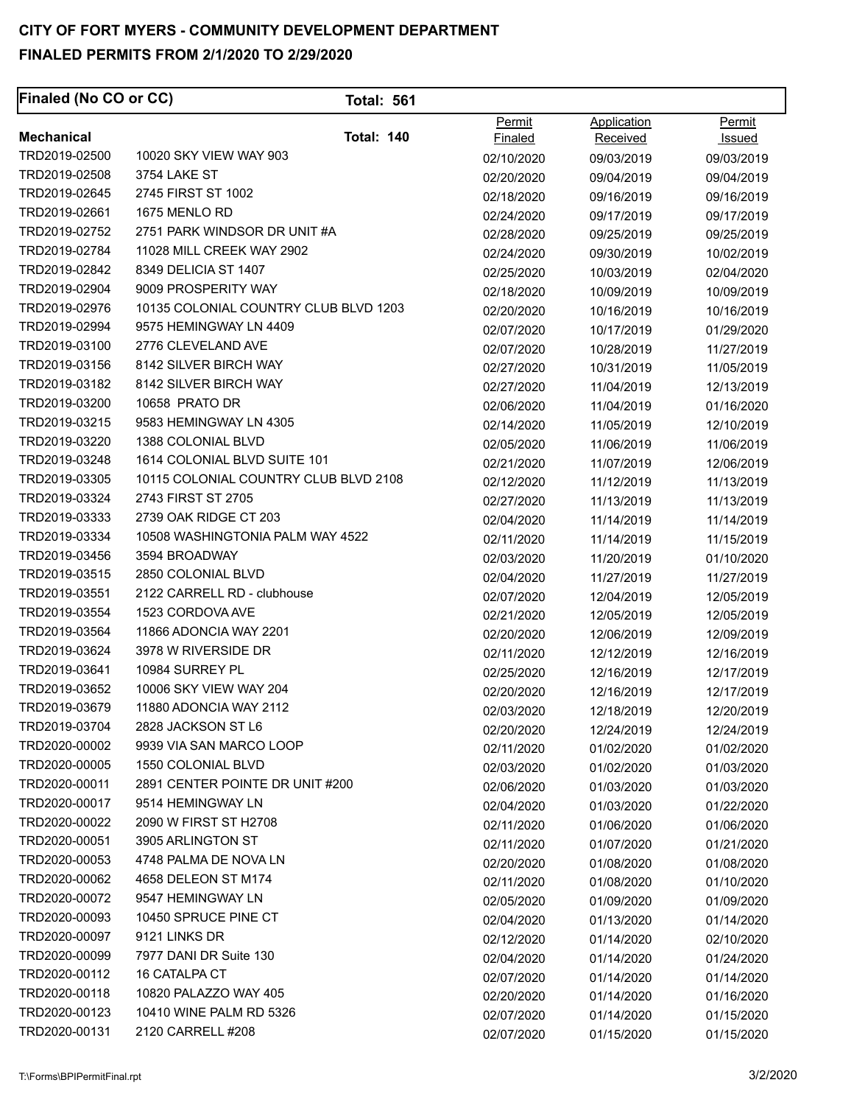| <b>Finaled (No CO or CC)</b> | <b>Total: 561</b>                     |            |             |            |
|------------------------------|---------------------------------------|------------|-------------|------------|
|                              |                                       | Permit     | Application | Permit     |
| <b>Mechanical</b>            | <b>Total: 140</b>                     | Finaled    | Received    | Issued     |
| TRD2019-02500                | 10020 SKY VIEW WAY 903                | 02/10/2020 | 09/03/2019  | 09/03/2019 |
| TRD2019-02508                | 3754 LAKE ST                          | 02/20/2020 | 09/04/2019  | 09/04/2019 |
| TRD2019-02645                | 2745 FIRST ST 1002                    | 02/18/2020 | 09/16/2019  | 09/16/2019 |
| TRD2019-02661                | 1675 MENLO RD                         | 02/24/2020 | 09/17/2019  | 09/17/2019 |
| TRD2019-02752                | 2751 PARK WINDSOR DR UNIT #A          | 02/28/2020 | 09/25/2019  | 09/25/2019 |
| TRD2019-02784                | 11028 MILL CREEK WAY 2902             | 02/24/2020 | 09/30/2019  | 10/02/2019 |
| TRD2019-02842                | 8349 DELICIA ST 1407                  | 02/25/2020 | 10/03/2019  | 02/04/2020 |
| TRD2019-02904                | 9009 PROSPERITY WAY                   | 02/18/2020 | 10/09/2019  | 10/09/2019 |
| TRD2019-02976                | 10135 COLONIAL COUNTRY CLUB BLVD 1203 | 02/20/2020 | 10/16/2019  | 10/16/2019 |
| TRD2019-02994                | 9575 HEMINGWAY LN 4409                | 02/07/2020 | 10/17/2019  | 01/29/2020 |
| TRD2019-03100                | 2776 CLEVELAND AVE                    | 02/07/2020 | 10/28/2019  | 11/27/2019 |
| TRD2019-03156                | 8142 SILVER BIRCH WAY                 | 02/27/2020 | 10/31/2019  | 11/05/2019 |
| TRD2019-03182                | 8142 SILVER BIRCH WAY                 | 02/27/2020 | 11/04/2019  | 12/13/2019 |
| TRD2019-03200                | 10658 PRATO DR                        | 02/06/2020 | 11/04/2019  | 01/16/2020 |
| TRD2019-03215                | 9583 HEMINGWAY LN 4305                | 02/14/2020 | 11/05/2019  | 12/10/2019 |
| TRD2019-03220                | 1388 COLONIAL BLVD                    | 02/05/2020 | 11/06/2019  | 11/06/2019 |
| TRD2019-03248                | 1614 COLONIAL BLVD SUITE 101          | 02/21/2020 | 11/07/2019  | 12/06/2019 |
| TRD2019-03305                | 10115 COLONIAL COUNTRY CLUB BLVD 2108 | 02/12/2020 | 11/12/2019  | 11/13/2019 |
| TRD2019-03324                | 2743 FIRST ST 2705                    | 02/27/2020 | 11/13/2019  | 11/13/2019 |
| TRD2019-03333                | 2739 OAK RIDGE CT 203                 | 02/04/2020 | 11/14/2019  | 11/14/2019 |
| TRD2019-03334                | 10508 WASHINGTONIA PALM WAY 4522      | 02/11/2020 | 11/14/2019  | 11/15/2019 |
| TRD2019-03456                | 3594 BROADWAY                         | 02/03/2020 | 11/20/2019  | 01/10/2020 |
| TRD2019-03515                | 2850 COLONIAL BLVD                    | 02/04/2020 | 11/27/2019  | 11/27/2019 |
| TRD2019-03551                | 2122 CARRELL RD - clubhouse           | 02/07/2020 | 12/04/2019  | 12/05/2019 |
| TRD2019-03554                | 1523 CORDOVA AVE                      | 02/21/2020 | 12/05/2019  | 12/05/2019 |
| TRD2019-03564                | 11866 ADONCIA WAY 2201                | 02/20/2020 | 12/06/2019  | 12/09/2019 |
| TRD2019-03624                | 3978 W RIVERSIDE DR                   | 02/11/2020 | 12/12/2019  | 12/16/2019 |
| TRD2019-03641                | 10984 SURREY PL                       | 02/25/2020 | 12/16/2019  | 12/17/2019 |
| TRD2019-03652                | 10006 SKY VIEW WAY 204                | 02/20/2020 | 12/16/2019  | 12/17/2019 |
| TRD2019-03679                | 11880 ADONCIA WAY 2112                | 02/03/2020 | 12/18/2019  | 12/20/2019 |
| TRD2019-03704                | 2828 JACKSON ST L6                    | 02/20/2020 | 12/24/2019  | 12/24/2019 |
| TRD2020-00002                | 9939 VIA SAN MARCO LOOP               | 02/11/2020 | 01/02/2020  | 01/02/2020 |
| TRD2020-00005                | 1550 COLONIAL BLVD                    | 02/03/2020 | 01/02/2020  | 01/03/2020 |
| TRD2020-00011                | 2891 CENTER POINTE DR UNIT #200       | 02/06/2020 | 01/03/2020  | 01/03/2020 |
| TRD2020-00017                | 9514 HEMINGWAY LN                     | 02/04/2020 | 01/03/2020  | 01/22/2020 |
| TRD2020-00022                | 2090 W FIRST ST H2708                 | 02/11/2020 | 01/06/2020  | 01/06/2020 |
| TRD2020-00051                | 3905 ARLINGTON ST                     | 02/11/2020 | 01/07/2020  | 01/21/2020 |
| TRD2020-00053                | 4748 PALMA DE NOVA LN                 | 02/20/2020 | 01/08/2020  | 01/08/2020 |
| TRD2020-00062                | 4658 DELEON ST M174                   | 02/11/2020 | 01/08/2020  | 01/10/2020 |
| TRD2020-00072                | 9547 HEMINGWAY LN                     | 02/05/2020 | 01/09/2020  | 01/09/2020 |
| TRD2020-00093                | 10450 SPRUCE PINE CT                  | 02/04/2020 | 01/13/2020  | 01/14/2020 |
| TRD2020-00097                | 9121 LINKS DR                         | 02/12/2020 | 01/14/2020  | 02/10/2020 |
| TRD2020-00099                | 7977 DANI DR Suite 130                | 02/04/2020 | 01/14/2020  | 01/24/2020 |
| TRD2020-00112                | 16 CATALPA CT                         | 02/07/2020 | 01/14/2020  | 01/14/2020 |
| TRD2020-00118                | 10820 PALAZZO WAY 405                 | 02/20/2020 | 01/14/2020  | 01/16/2020 |
| TRD2020-00123                | 10410 WINE PALM RD 5326               | 02/07/2020 | 01/14/2020  | 01/15/2020 |
| TRD2020-00131                | 2120 CARRELL #208                     | 02/07/2020 | 01/15/2020  | 01/15/2020 |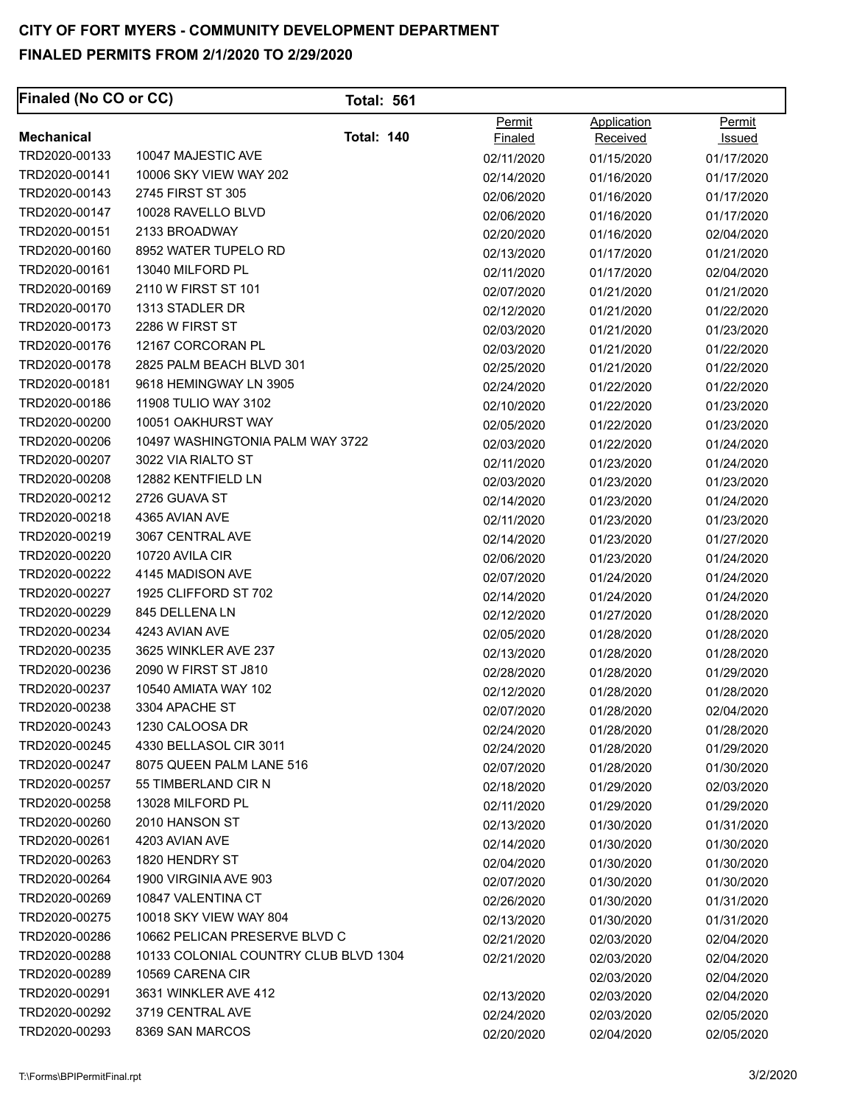| Permit<br>Application<br>Permit<br><b>Mechanical</b><br><b>Total: 140</b><br><b>Finaled</b><br>Received<br>Issued<br>TRD2020-00133<br>10047 MAJESTIC AVE<br>02/11/2020<br>01/17/2020<br>01/15/2020<br>TRD2020-00141<br>10006 SKY VIEW WAY 202<br>02/14/2020<br>01/16/2020<br>01/17/2020<br>TRD2020-00143<br>2745 FIRST ST 305<br>02/06/2020<br>01/17/2020<br>01/16/2020<br>TRD2020-00147<br>10028 RAVELLO BLVD<br>02/06/2020<br>01/16/2020<br>01/17/2020<br>TRD2020-00151<br>2133 BROADWAY<br>02/20/2020<br>02/04/2020<br>01/16/2020<br>TRD2020-00160<br>8952 WATER TUPELO RD<br>02/13/2020<br>01/17/2020<br>01/21/2020<br>TRD2020-00161<br>13040 MILFORD PL<br>01/17/2020<br>02/04/2020<br>02/11/2020<br>TRD2020-00169<br>2110 W FIRST ST 101<br>02/07/2020<br>01/21/2020<br>01/21/2020<br>TRD2020-00170<br>1313 STADLER DR<br>02/12/2020<br>01/21/2020<br>01/22/2020<br>2286 W FIRST ST<br>TRD2020-00173<br>02/03/2020<br>01/21/2020<br>01/23/2020<br>TRD2020-00176<br>12167 CORCORAN PL<br>02/03/2020<br>01/21/2020<br>01/22/2020<br>2825 PALM BEACH BLVD 301<br>TRD2020-00178<br>02/25/2020<br>01/21/2020<br>01/22/2020<br>TRD2020-00181<br>9618 HEMINGWAY LN 3905<br>02/24/2020<br>01/22/2020<br>01/22/2020<br>TRD2020-00186<br>11908 TULIO WAY 3102<br>01/23/2020<br>02/10/2020<br>01/22/2020<br>TRD2020-00200<br>10051 OAKHURST WAY<br>01/23/2020<br>02/05/2020<br>01/22/2020<br>TRD2020-00206<br>10497 WASHINGTONIA PALM WAY 3722<br>02/03/2020<br>01/22/2020<br>01/24/2020<br>TRD2020-00207<br>3022 VIA RIALTO ST<br>02/11/2020<br>01/23/2020<br>01/24/2020<br>TRD2020-00208<br>12882 KENTFIELD LN<br>02/03/2020<br>01/23/2020<br>01/23/2020<br>TRD2020-00212<br>2726 GUAVA ST<br>02/14/2020<br>01/23/2020<br>01/24/2020<br>TRD2020-00218<br>4365 AVIAN AVE<br>02/11/2020<br>01/23/2020<br>01/23/2020<br>TRD2020-00219<br>3067 CENTRAL AVE<br>02/14/2020<br>01/23/2020<br>01/27/2020<br>10720 AVILA CIR<br>TRD2020-00220<br>02/06/2020<br>01/23/2020<br>01/24/2020<br>4145 MADISON AVE<br>TRD2020-00222<br>01/24/2020<br>01/24/2020<br>02/07/2020<br>TRD2020-00227<br>1925 CLIFFORD ST 702<br>02/14/2020<br>01/24/2020<br>01/24/2020<br>TRD2020-00229<br>845 DELLENA LN<br>02/12/2020<br>01/27/2020<br>01/28/2020<br>TRD2020-00234<br>4243 AVIAN AVE<br>01/28/2020<br>01/28/2020<br>02/05/2020<br>TRD2020-00235<br>3625 WINKLER AVE 237<br>02/13/2020<br>01/28/2020<br>01/28/2020<br>TRD2020-00236<br>2090 W FIRST ST J810<br>02/28/2020<br>01/28/2020<br>01/29/2020<br>TRD2020-00237<br>10540 AMIATA WAY 102<br>02/12/2020<br>01/28/2020<br>01/28/2020<br>TRD2020-00238<br>3304 APACHE ST<br>02/07/2020<br>01/28/2020<br>02/04/2020<br>TRD2020-00243<br>1230 CALOOSA DR<br>02/24/2020<br>01/28/2020<br>01/28/2020<br>TRD2020-00245<br>4330 BELLASOL CIR 3011<br>02/24/2020<br>01/28/2020<br>01/29/2020<br>TRD2020-00247<br>8075 QUEEN PALM LANE 516<br>02/07/2020<br>01/28/2020<br>01/30/2020<br>TRD2020-00257<br>55 TIMBERLAND CIR N<br>02/18/2020<br>01/29/2020<br>02/03/2020<br>TRD2020-00258<br>13028 MILFORD PL<br>02/11/2020<br>01/29/2020<br>01/29/2020<br>TRD2020-00260<br>2010 HANSON ST<br>02/13/2020<br>01/30/2020<br>01/31/2020<br>TRD2020-00261<br>4203 AVIAN AVE<br>02/14/2020<br>01/30/2020<br>01/30/2020<br>1820 HENDRY ST<br>TRD2020-00263<br>02/04/2020<br>01/30/2020<br>01/30/2020<br>1900 VIRGINIA AVE 903<br>TRD2020-00264<br>02/07/2020<br>01/30/2020<br>01/30/2020<br>TRD2020-00269<br>10847 VALENTINA CT<br>02/26/2020<br>01/30/2020<br>01/31/2020<br>TRD2020-00275<br>10018 SKY VIEW WAY 804<br>02/13/2020<br>01/30/2020<br>01/31/2020<br>10662 PELICAN PRESERVE BLVD C<br>TRD2020-00286<br>02/21/2020<br>02/04/2020<br>02/03/2020<br>TRD2020-00288<br>10133 COLONIAL COUNTRY CLUB BLVD 1304<br>02/21/2020<br>02/03/2020<br>02/04/2020<br>TRD2020-00289<br>10569 CARENA CIR<br>02/03/2020<br>02/04/2020<br>TRD2020-00291<br>3631 WINKLER AVE 412<br>02/13/2020<br>02/03/2020<br>02/04/2020<br>TRD2020-00292<br>3719 CENTRAL AVE<br>02/24/2020<br>02/05/2020<br>02/03/2020<br>TRD2020-00293<br>8369 SAN MARCOS<br>02/20/2020<br>02/04/2020<br>02/05/2020 | Finaled (No CO or CC) | <b>Total: 561</b> |  |  |
|--------------------------------------------------------------------------------------------------------------------------------------------------------------------------------------------------------------------------------------------------------------------------------------------------------------------------------------------------------------------------------------------------------------------------------------------------------------------------------------------------------------------------------------------------------------------------------------------------------------------------------------------------------------------------------------------------------------------------------------------------------------------------------------------------------------------------------------------------------------------------------------------------------------------------------------------------------------------------------------------------------------------------------------------------------------------------------------------------------------------------------------------------------------------------------------------------------------------------------------------------------------------------------------------------------------------------------------------------------------------------------------------------------------------------------------------------------------------------------------------------------------------------------------------------------------------------------------------------------------------------------------------------------------------------------------------------------------------------------------------------------------------------------------------------------------------------------------------------------------------------------------------------------------------------------------------------------------------------------------------------------------------------------------------------------------------------------------------------------------------------------------------------------------------------------------------------------------------------------------------------------------------------------------------------------------------------------------------------------------------------------------------------------------------------------------------------------------------------------------------------------------------------------------------------------------------------------------------------------------------------------------------------------------------------------------------------------------------------------------------------------------------------------------------------------------------------------------------------------------------------------------------------------------------------------------------------------------------------------------------------------------------------------------------------------------------------------------------------------------------------------------------------------------------------------------------------------------------------------------------------------------------------------------------------------------------------------------------------------------------------------------------------------------------------------------------------------------------------------------------------------------------------------------------------------------------------------------------------------------------------------------------------------------------------------------------------------------------------------------------------------------------------------------------------------------------------------------------------------------------------------------------------------------------------------------------------------------------------------------------------------------------------------------------------------------------------------------------|-----------------------|-------------------|--|--|
|                                                                                                                                                                                                                                                                                                                                                                                                                                                                                                                                                                                                                                                                                                                                                                                                                                                                                                                                                                                                                                                                                                                                                                                                                                                                                                                                                                                                                                                                                                                                                                                                                                                                                                                                                                                                                                                                                                                                                                                                                                                                                                                                                                                                                                                                                                                                                                                                                                                                                                                                                                                                                                                                                                                                                                                                                                                                                                                                                                                                                                                                                                                                                                                                                                                                                                                                                                                                                                                                                                                                                                                                                                                                                                                                                                                                                                                                                                                                                                                                                                                                                            |                       |                   |  |  |
|                                                                                                                                                                                                                                                                                                                                                                                                                                                                                                                                                                                                                                                                                                                                                                                                                                                                                                                                                                                                                                                                                                                                                                                                                                                                                                                                                                                                                                                                                                                                                                                                                                                                                                                                                                                                                                                                                                                                                                                                                                                                                                                                                                                                                                                                                                                                                                                                                                                                                                                                                                                                                                                                                                                                                                                                                                                                                                                                                                                                                                                                                                                                                                                                                                                                                                                                                                                                                                                                                                                                                                                                                                                                                                                                                                                                                                                                                                                                                                                                                                                                                            |                       |                   |  |  |
|                                                                                                                                                                                                                                                                                                                                                                                                                                                                                                                                                                                                                                                                                                                                                                                                                                                                                                                                                                                                                                                                                                                                                                                                                                                                                                                                                                                                                                                                                                                                                                                                                                                                                                                                                                                                                                                                                                                                                                                                                                                                                                                                                                                                                                                                                                                                                                                                                                                                                                                                                                                                                                                                                                                                                                                                                                                                                                                                                                                                                                                                                                                                                                                                                                                                                                                                                                                                                                                                                                                                                                                                                                                                                                                                                                                                                                                                                                                                                                                                                                                                                            |                       |                   |  |  |
|                                                                                                                                                                                                                                                                                                                                                                                                                                                                                                                                                                                                                                                                                                                                                                                                                                                                                                                                                                                                                                                                                                                                                                                                                                                                                                                                                                                                                                                                                                                                                                                                                                                                                                                                                                                                                                                                                                                                                                                                                                                                                                                                                                                                                                                                                                                                                                                                                                                                                                                                                                                                                                                                                                                                                                                                                                                                                                                                                                                                                                                                                                                                                                                                                                                                                                                                                                                                                                                                                                                                                                                                                                                                                                                                                                                                                                                                                                                                                                                                                                                                                            |                       |                   |  |  |
|                                                                                                                                                                                                                                                                                                                                                                                                                                                                                                                                                                                                                                                                                                                                                                                                                                                                                                                                                                                                                                                                                                                                                                                                                                                                                                                                                                                                                                                                                                                                                                                                                                                                                                                                                                                                                                                                                                                                                                                                                                                                                                                                                                                                                                                                                                                                                                                                                                                                                                                                                                                                                                                                                                                                                                                                                                                                                                                                                                                                                                                                                                                                                                                                                                                                                                                                                                                                                                                                                                                                                                                                                                                                                                                                                                                                                                                                                                                                                                                                                                                                                            |                       |                   |  |  |
|                                                                                                                                                                                                                                                                                                                                                                                                                                                                                                                                                                                                                                                                                                                                                                                                                                                                                                                                                                                                                                                                                                                                                                                                                                                                                                                                                                                                                                                                                                                                                                                                                                                                                                                                                                                                                                                                                                                                                                                                                                                                                                                                                                                                                                                                                                                                                                                                                                                                                                                                                                                                                                                                                                                                                                                                                                                                                                                                                                                                                                                                                                                                                                                                                                                                                                                                                                                                                                                                                                                                                                                                                                                                                                                                                                                                                                                                                                                                                                                                                                                                                            |                       |                   |  |  |
|                                                                                                                                                                                                                                                                                                                                                                                                                                                                                                                                                                                                                                                                                                                                                                                                                                                                                                                                                                                                                                                                                                                                                                                                                                                                                                                                                                                                                                                                                                                                                                                                                                                                                                                                                                                                                                                                                                                                                                                                                                                                                                                                                                                                                                                                                                                                                                                                                                                                                                                                                                                                                                                                                                                                                                                                                                                                                                                                                                                                                                                                                                                                                                                                                                                                                                                                                                                                                                                                                                                                                                                                                                                                                                                                                                                                                                                                                                                                                                                                                                                                                            |                       |                   |  |  |
|                                                                                                                                                                                                                                                                                                                                                                                                                                                                                                                                                                                                                                                                                                                                                                                                                                                                                                                                                                                                                                                                                                                                                                                                                                                                                                                                                                                                                                                                                                                                                                                                                                                                                                                                                                                                                                                                                                                                                                                                                                                                                                                                                                                                                                                                                                                                                                                                                                                                                                                                                                                                                                                                                                                                                                                                                                                                                                                                                                                                                                                                                                                                                                                                                                                                                                                                                                                                                                                                                                                                                                                                                                                                                                                                                                                                                                                                                                                                                                                                                                                                                            |                       |                   |  |  |
|                                                                                                                                                                                                                                                                                                                                                                                                                                                                                                                                                                                                                                                                                                                                                                                                                                                                                                                                                                                                                                                                                                                                                                                                                                                                                                                                                                                                                                                                                                                                                                                                                                                                                                                                                                                                                                                                                                                                                                                                                                                                                                                                                                                                                                                                                                                                                                                                                                                                                                                                                                                                                                                                                                                                                                                                                                                                                                                                                                                                                                                                                                                                                                                                                                                                                                                                                                                                                                                                                                                                                                                                                                                                                                                                                                                                                                                                                                                                                                                                                                                                                            |                       |                   |  |  |
|                                                                                                                                                                                                                                                                                                                                                                                                                                                                                                                                                                                                                                                                                                                                                                                                                                                                                                                                                                                                                                                                                                                                                                                                                                                                                                                                                                                                                                                                                                                                                                                                                                                                                                                                                                                                                                                                                                                                                                                                                                                                                                                                                                                                                                                                                                                                                                                                                                                                                                                                                                                                                                                                                                                                                                                                                                                                                                                                                                                                                                                                                                                                                                                                                                                                                                                                                                                                                                                                                                                                                                                                                                                                                                                                                                                                                                                                                                                                                                                                                                                                                            |                       |                   |  |  |
|                                                                                                                                                                                                                                                                                                                                                                                                                                                                                                                                                                                                                                                                                                                                                                                                                                                                                                                                                                                                                                                                                                                                                                                                                                                                                                                                                                                                                                                                                                                                                                                                                                                                                                                                                                                                                                                                                                                                                                                                                                                                                                                                                                                                                                                                                                                                                                                                                                                                                                                                                                                                                                                                                                                                                                                                                                                                                                                                                                                                                                                                                                                                                                                                                                                                                                                                                                                                                                                                                                                                                                                                                                                                                                                                                                                                                                                                                                                                                                                                                                                                                            |                       |                   |  |  |
|                                                                                                                                                                                                                                                                                                                                                                                                                                                                                                                                                                                                                                                                                                                                                                                                                                                                                                                                                                                                                                                                                                                                                                                                                                                                                                                                                                                                                                                                                                                                                                                                                                                                                                                                                                                                                                                                                                                                                                                                                                                                                                                                                                                                                                                                                                                                                                                                                                                                                                                                                                                                                                                                                                                                                                                                                                                                                                                                                                                                                                                                                                                                                                                                                                                                                                                                                                                                                                                                                                                                                                                                                                                                                                                                                                                                                                                                                                                                                                                                                                                                                            |                       |                   |  |  |
|                                                                                                                                                                                                                                                                                                                                                                                                                                                                                                                                                                                                                                                                                                                                                                                                                                                                                                                                                                                                                                                                                                                                                                                                                                                                                                                                                                                                                                                                                                                                                                                                                                                                                                                                                                                                                                                                                                                                                                                                                                                                                                                                                                                                                                                                                                                                                                                                                                                                                                                                                                                                                                                                                                                                                                                                                                                                                                                                                                                                                                                                                                                                                                                                                                                                                                                                                                                                                                                                                                                                                                                                                                                                                                                                                                                                                                                                                                                                                                                                                                                                                            |                       |                   |  |  |
|                                                                                                                                                                                                                                                                                                                                                                                                                                                                                                                                                                                                                                                                                                                                                                                                                                                                                                                                                                                                                                                                                                                                                                                                                                                                                                                                                                                                                                                                                                                                                                                                                                                                                                                                                                                                                                                                                                                                                                                                                                                                                                                                                                                                                                                                                                                                                                                                                                                                                                                                                                                                                                                                                                                                                                                                                                                                                                                                                                                                                                                                                                                                                                                                                                                                                                                                                                                                                                                                                                                                                                                                                                                                                                                                                                                                                                                                                                                                                                                                                                                                                            |                       |                   |  |  |
|                                                                                                                                                                                                                                                                                                                                                                                                                                                                                                                                                                                                                                                                                                                                                                                                                                                                                                                                                                                                                                                                                                                                                                                                                                                                                                                                                                                                                                                                                                                                                                                                                                                                                                                                                                                                                                                                                                                                                                                                                                                                                                                                                                                                                                                                                                                                                                                                                                                                                                                                                                                                                                                                                                                                                                                                                                                                                                                                                                                                                                                                                                                                                                                                                                                                                                                                                                                                                                                                                                                                                                                                                                                                                                                                                                                                                                                                                                                                                                                                                                                                                            |                       |                   |  |  |
|                                                                                                                                                                                                                                                                                                                                                                                                                                                                                                                                                                                                                                                                                                                                                                                                                                                                                                                                                                                                                                                                                                                                                                                                                                                                                                                                                                                                                                                                                                                                                                                                                                                                                                                                                                                                                                                                                                                                                                                                                                                                                                                                                                                                                                                                                                                                                                                                                                                                                                                                                                                                                                                                                                                                                                                                                                                                                                                                                                                                                                                                                                                                                                                                                                                                                                                                                                                                                                                                                                                                                                                                                                                                                                                                                                                                                                                                                                                                                                                                                                                                                            |                       |                   |  |  |
|                                                                                                                                                                                                                                                                                                                                                                                                                                                                                                                                                                                                                                                                                                                                                                                                                                                                                                                                                                                                                                                                                                                                                                                                                                                                                                                                                                                                                                                                                                                                                                                                                                                                                                                                                                                                                                                                                                                                                                                                                                                                                                                                                                                                                                                                                                                                                                                                                                                                                                                                                                                                                                                                                                                                                                                                                                                                                                                                                                                                                                                                                                                                                                                                                                                                                                                                                                                                                                                                                                                                                                                                                                                                                                                                                                                                                                                                                                                                                                                                                                                                                            |                       |                   |  |  |
|                                                                                                                                                                                                                                                                                                                                                                                                                                                                                                                                                                                                                                                                                                                                                                                                                                                                                                                                                                                                                                                                                                                                                                                                                                                                                                                                                                                                                                                                                                                                                                                                                                                                                                                                                                                                                                                                                                                                                                                                                                                                                                                                                                                                                                                                                                                                                                                                                                                                                                                                                                                                                                                                                                                                                                                                                                                                                                                                                                                                                                                                                                                                                                                                                                                                                                                                                                                                                                                                                                                                                                                                                                                                                                                                                                                                                                                                                                                                                                                                                                                                                            |                       |                   |  |  |
|                                                                                                                                                                                                                                                                                                                                                                                                                                                                                                                                                                                                                                                                                                                                                                                                                                                                                                                                                                                                                                                                                                                                                                                                                                                                                                                                                                                                                                                                                                                                                                                                                                                                                                                                                                                                                                                                                                                                                                                                                                                                                                                                                                                                                                                                                                                                                                                                                                                                                                                                                                                                                                                                                                                                                                                                                                                                                                                                                                                                                                                                                                                                                                                                                                                                                                                                                                                                                                                                                                                                                                                                                                                                                                                                                                                                                                                                                                                                                                                                                                                                                            |                       |                   |  |  |
|                                                                                                                                                                                                                                                                                                                                                                                                                                                                                                                                                                                                                                                                                                                                                                                                                                                                                                                                                                                                                                                                                                                                                                                                                                                                                                                                                                                                                                                                                                                                                                                                                                                                                                                                                                                                                                                                                                                                                                                                                                                                                                                                                                                                                                                                                                                                                                                                                                                                                                                                                                                                                                                                                                                                                                                                                                                                                                                                                                                                                                                                                                                                                                                                                                                                                                                                                                                                                                                                                                                                                                                                                                                                                                                                                                                                                                                                                                                                                                                                                                                                                            |                       |                   |  |  |
|                                                                                                                                                                                                                                                                                                                                                                                                                                                                                                                                                                                                                                                                                                                                                                                                                                                                                                                                                                                                                                                                                                                                                                                                                                                                                                                                                                                                                                                                                                                                                                                                                                                                                                                                                                                                                                                                                                                                                                                                                                                                                                                                                                                                                                                                                                                                                                                                                                                                                                                                                                                                                                                                                                                                                                                                                                                                                                                                                                                                                                                                                                                                                                                                                                                                                                                                                                                                                                                                                                                                                                                                                                                                                                                                                                                                                                                                                                                                                                                                                                                                                            |                       |                   |  |  |
|                                                                                                                                                                                                                                                                                                                                                                                                                                                                                                                                                                                                                                                                                                                                                                                                                                                                                                                                                                                                                                                                                                                                                                                                                                                                                                                                                                                                                                                                                                                                                                                                                                                                                                                                                                                                                                                                                                                                                                                                                                                                                                                                                                                                                                                                                                                                                                                                                                                                                                                                                                                                                                                                                                                                                                                                                                                                                                                                                                                                                                                                                                                                                                                                                                                                                                                                                                                                                                                                                                                                                                                                                                                                                                                                                                                                                                                                                                                                                                                                                                                                                            |                       |                   |  |  |
|                                                                                                                                                                                                                                                                                                                                                                                                                                                                                                                                                                                                                                                                                                                                                                                                                                                                                                                                                                                                                                                                                                                                                                                                                                                                                                                                                                                                                                                                                                                                                                                                                                                                                                                                                                                                                                                                                                                                                                                                                                                                                                                                                                                                                                                                                                                                                                                                                                                                                                                                                                                                                                                                                                                                                                                                                                                                                                                                                                                                                                                                                                                                                                                                                                                                                                                                                                                                                                                                                                                                                                                                                                                                                                                                                                                                                                                                                                                                                                                                                                                                                            |                       |                   |  |  |
|                                                                                                                                                                                                                                                                                                                                                                                                                                                                                                                                                                                                                                                                                                                                                                                                                                                                                                                                                                                                                                                                                                                                                                                                                                                                                                                                                                                                                                                                                                                                                                                                                                                                                                                                                                                                                                                                                                                                                                                                                                                                                                                                                                                                                                                                                                                                                                                                                                                                                                                                                                                                                                                                                                                                                                                                                                                                                                                                                                                                                                                                                                                                                                                                                                                                                                                                                                                                                                                                                                                                                                                                                                                                                                                                                                                                                                                                                                                                                                                                                                                                                            |                       |                   |  |  |
|                                                                                                                                                                                                                                                                                                                                                                                                                                                                                                                                                                                                                                                                                                                                                                                                                                                                                                                                                                                                                                                                                                                                                                                                                                                                                                                                                                                                                                                                                                                                                                                                                                                                                                                                                                                                                                                                                                                                                                                                                                                                                                                                                                                                                                                                                                                                                                                                                                                                                                                                                                                                                                                                                                                                                                                                                                                                                                                                                                                                                                                                                                                                                                                                                                                                                                                                                                                                                                                                                                                                                                                                                                                                                                                                                                                                                                                                                                                                                                                                                                                                                            |                       |                   |  |  |
|                                                                                                                                                                                                                                                                                                                                                                                                                                                                                                                                                                                                                                                                                                                                                                                                                                                                                                                                                                                                                                                                                                                                                                                                                                                                                                                                                                                                                                                                                                                                                                                                                                                                                                                                                                                                                                                                                                                                                                                                                                                                                                                                                                                                                                                                                                                                                                                                                                                                                                                                                                                                                                                                                                                                                                                                                                                                                                                                                                                                                                                                                                                                                                                                                                                                                                                                                                                                                                                                                                                                                                                                                                                                                                                                                                                                                                                                                                                                                                                                                                                                                            |                       |                   |  |  |
|                                                                                                                                                                                                                                                                                                                                                                                                                                                                                                                                                                                                                                                                                                                                                                                                                                                                                                                                                                                                                                                                                                                                                                                                                                                                                                                                                                                                                                                                                                                                                                                                                                                                                                                                                                                                                                                                                                                                                                                                                                                                                                                                                                                                                                                                                                                                                                                                                                                                                                                                                                                                                                                                                                                                                                                                                                                                                                                                                                                                                                                                                                                                                                                                                                                                                                                                                                                                                                                                                                                                                                                                                                                                                                                                                                                                                                                                                                                                                                                                                                                                                            |                       |                   |  |  |
|                                                                                                                                                                                                                                                                                                                                                                                                                                                                                                                                                                                                                                                                                                                                                                                                                                                                                                                                                                                                                                                                                                                                                                                                                                                                                                                                                                                                                                                                                                                                                                                                                                                                                                                                                                                                                                                                                                                                                                                                                                                                                                                                                                                                                                                                                                                                                                                                                                                                                                                                                                                                                                                                                                                                                                                                                                                                                                                                                                                                                                                                                                                                                                                                                                                                                                                                                                                                                                                                                                                                                                                                                                                                                                                                                                                                                                                                                                                                                                                                                                                                                            |                       |                   |  |  |
|                                                                                                                                                                                                                                                                                                                                                                                                                                                                                                                                                                                                                                                                                                                                                                                                                                                                                                                                                                                                                                                                                                                                                                                                                                                                                                                                                                                                                                                                                                                                                                                                                                                                                                                                                                                                                                                                                                                                                                                                                                                                                                                                                                                                                                                                                                                                                                                                                                                                                                                                                                                                                                                                                                                                                                                                                                                                                                                                                                                                                                                                                                                                                                                                                                                                                                                                                                                                                                                                                                                                                                                                                                                                                                                                                                                                                                                                                                                                                                                                                                                                                            |                       |                   |  |  |
|                                                                                                                                                                                                                                                                                                                                                                                                                                                                                                                                                                                                                                                                                                                                                                                                                                                                                                                                                                                                                                                                                                                                                                                                                                                                                                                                                                                                                                                                                                                                                                                                                                                                                                                                                                                                                                                                                                                                                                                                                                                                                                                                                                                                                                                                                                                                                                                                                                                                                                                                                                                                                                                                                                                                                                                                                                                                                                                                                                                                                                                                                                                                                                                                                                                                                                                                                                                                                                                                                                                                                                                                                                                                                                                                                                                                                                                                                                                                                                                                                                                                                            |                       |                   |  |  |
|                                                                                                                                                                                                                                                                                                                                                                                                                                                                                                                                                                                                                                                                                                                                                                                                                                                                                                                                                                                                                                                                                                                                                                                                                                                                                                                                                                                                                                                                                                                                                                                                                                                                                                                                                                                                                                                                                                                                                                                                                                                                                                                                                                                                                                                                                                                                                                                                                                                                                                                                                                                                                                                                                                                                                                                                                                                                                                                                                                                                                                                                                                                                                                                                                                                                                                                                                                                                                                                                                                                                                                                                                                                                                                                                                                                                                                                                                                                                                                                                                                                                                            |                       |                   |  |  |
|                                                                                                                                                                                                                                                                                                                                                                                                                                                                                                                                                                                                                                                                                                                                                                                                                                                                                                                                                                                                                                                                                                                                                                                                                                                                                                                                                                                                                                                                                                                                                                                                                                                                                                                                                                                                                                                                                                                                                                                                                                                                                                                                                                                                                                                                                                                                                                                                                                                                                                                                                                                                                                                                                                                                                                                                                                                                                                                                                                                                                                                                                                                                                                                                                                                                                                                                                                                                                                                                                                                                                                                                                                                                                                                                                                                                                                                                                                                                                                                                                                                                                            |                       |                   |  |  |
|                                                                                                                                                                                                                                                                                                                                                                                                                                                                                                                                                                                                                                                                                                                                                                                                                                                                                                                                                                                                                                                                                                                                                                                                                                                                                                                                                                                                                                                                                                                                                                                                                                                                                                                                                                                                                                                                                                                                                                                                                                                                                                                                                                                                                                                                                                                                                                                                                                                                                                                                                                                                                                                                                                                                                                                                                                                                                                                                                                                                                                                                                                                                                                                                                                                                                                                                                                                                                                                                                                                                                                                                                                                                                                                                                                                                                                                                                                                                                                                                                                                                                            |                       |                   |  |  |
|                                                                                                                                                                                                                                                                                                                                                                                                                                                                                                                                                                                                                                                                                                                                                                                                                                                                                                                                                                                                                                                                                                                                                                                                                                                                                                                                                                                                                                                                                                                                                                                                                                                                                                                                                                                                                                                                                                                                                                                                                                                                                                                                                                                                                                                                                                                                                                                                                                                                                                                                                                                                                                                                                                                                                                                                                                                                                                                                                                                                                                                                                                                                                                                                                                                                                                                                                                                                                                                                                                                                                                                                                                                                                                                                                                                                                                                                                                                                                                                                                                                                                            |                       |                   |  |  |
|                                                                                                                                                                                                                                                                                                                                                                                                                                                                                                                                                                                                                                                                                                                                                                                                                                                                                                                                                                                                                                                                                                                                                                                                                                                                                                                                                                                                                                                                                                                                                                                                                                                                                                                                                                                                                                                                                                                                                                                                                                                                                                                                                                                                                                                                                                                                                                                                                                                                                                                                                                                                                                                                                                                                                                                                                                                                                                                                                                                                                                                                                                                                                                                                                                                                                                                                                                                                                                                                                                                                                                                                                                                                                                                                                                                                                                                                                                                                                                                                                                                                                            |                       |                   |  |  |
|                                                                                                                                                                                                                                                                                                                                                                                                                                                                                                                                                                                                                                                                                                                                                                                                                                                                                                                                                                                                                                                                                                                                                                                                                                                                                                                                                                                                                                                                                                                                                                                                                                                                                                                                                                                                                                                                                                                                                                                                                                                                                                                                                                                                                                                                                                                                                                                                                                                                                                                                                                                                                                                                                                                                                                                                                                                                                                                                                                                                                                                                                                                                                                                                                                                                                                                                                                                                                                                                                                                                                                                                                                                                                                                                                                                                                                                                                                                                                                                                                                                                                            |                       |                   |  |  |
|                                                                                                                                                                                                                                                                                                                                                                                                                                                                                                                                                                                                                                                                                                                                                                                                                                                                                                                                                                                                                                                                                                                                                                                                                                                                                                                                                                                                                                                                                                                                                                                                                                                                                                                                                                                                                                                                                                                                                                                                                                                                                                                                                                                                                                                                                                                                                                                                                                                                                                                                                                                                                                                                                                                                                                                                                                                                                                                                                                                                                                                                                                                                                                                                                                                                                                                                                                                                                                                                                                                                                                                                                                                                                                                                                                                                                                                                                                                                                                                                                                                                                            |                       |                   |  |  |
|                                                                                                                                                                                                                                                                                                                                                                                                                                                                                                                                                                                                                                                                                                                                                                                                                                                                                                                                                                                                                                                                                                                                                                                                                                                                                                                                                                                                                                                                                                                                                                                                                                                                                                                                                                                                                                                                                                                                                                                                                                                                                                                                                                                                                                                                                                                                                                                                                                                                                                                                                                                                                                                                                                                                                                                                                                                                                                                                                                                                                                                                                                                                                                                                                                                                                                                                                                                                                                                                                                                                                                                                                                                                                                                                                                                                                                                                                                                                                                                                                                                                                            |                       |                   |  |  |
|                                                                                                                                                                                                                                                                                                                                                                                                                                                                                                                                                                                                                                                                                                                                                                                                                                                                                                                                                                                                                                                                                                                                                                                                                                                                                                                                                                                                                                                                                                                                                                                                                                                                                                                                                                                                                                                                                                                                                                                                                                                                                                                                                                                                                                                                                                                                                                                                                                                                                                                                                                                                                                                                                                                                                                                                                                                                                                                                                                                                                                                                                                                                                                                                                                                                                                                                                                                                                                                                                                                                                                                                                                                                                                                                                                                                                                                                                                                                                                                                                                                                                            |                       |                   |  |  |
|                                                                                                                                                                                                                                                                                                                                                                                                                                                                                                                                                                                                                                                                                                                                                                                                                                                                                                                                                                                                                                                                                                                                                                                                                                                                                                                                                                                                                                                                                                                                                                                                                                                                                                                                                                                                                                                                                                                                                                                                                                                                                                                                                                                                                                                                                                                                                                                                                                                                                                                                                                                                                                                                                                                                                                                                                                                                                                                                                                                                                                                                                                                                                                                                                                                                                                                                                                                                                                                                                                                                                                                                                                                                                                                                                                                                                                                                                                                                                                                                                                                                                            |                       |                   |  |  |
|                                                                                                                                                                                                                                                                                                                                                                                                                                                                                                                                                                                                                                                                                                                                                                                                                                                                                                                                                                                                                                                                                                                                                                                                                                                                                                                                                                                                                                                                                                                                                                                                                                                                                                                                                                                                                                                                                                                                                                                                                                                                                                                                                                                                                                                                                                                                                                                                                                                                                                                                                                                                                                                                                                                                                                                                                                                                                                                                                                                                                                                                                                                                                                                                                                                                                                                                                                                                                                                                                                                                                                                                                                                                                                                                                                                                                                                                                                                                                                                                                                                                                            |                       |                   |  |  |
|                                                                                                                                                                                                                                                                                                                                                                                                                                                                                                                                                                                                                                                                                                                                                                                                                                                                                                                                                                                                                                                                                                                                                                                                                                                                                                                                                                                                                                                                                                                                                                                                                                                                                                                                                                                                                                                                                                                                                                                                                                                                                                                                                                                                                                                                                                                                                                                                                                                                                                                                                                                                                                                                                                                                                                                                                                                                                                                                                                                                                                                                                                                                                                                                                                                                                                                                                                                                                                                                                                                                                                                                                                                                                                                                                                                                                                                                                                                                                                                                                                                                                            |                       |                   |  |  |
|                                                                                                                                                                                                                                                                                                                                                                                                                                                                                                                                                                                                                                                                                                                                                                                                                                                                                                                                                                                                                                                                                                                                                                                                                                                                                                                                                                                                                                                                                                                                                                                                                                                                                                                                                                                                                                                                                                                                                                                                                                                                                                                                                                                                                                                                                                                                                                                                                                                                                                                                                                                                                                                                                                                                                                                                                                                                                                                                                                                                                                                                                                                                                                                                                                                                                                                                                                                                                                                                                                                                                                                                                                                                                                                                                                                                                                                                                                                                                                                                                                                                                            |                       |                   |  |  |
|                                                                                                                                                                                                                                                                                                                                                                                                                                                                                                                                                                                                                                                                                                                                                                                                                                                                                                                                                                                                                                                                                                                                                                                                                                                                                                                                                                                                                                                                                                                                                                                                                                                                                                                                                                                                                                                                                                                                                                                                                                                                                                                                                                                                                                                                                                                                                                                                                                                                                                                                                                                                                                                                                                                                                                                                                                                                                                                                                                                                                                                                                                                                                                                                                                                                                                                                                                                                                                                                                                                                                                                                                                                                                                                                                                                                                                                                                                                                                                                                                                                                                            |                       |                   |  |  |
|                                                                                                                                                                                                                                                                                                                                                                                                                                                                                                                                                                                                                                                                                                                                                                                                                                                                                                                                                                                                                                                                                                                                                                                                                                                                                                                                                                                                                                                                                                                                                                                                                                                                                                                                                                                                                                                                                                                                                                                                                                                                                                                                                                                                                                                                                                                                                                                                                                                                                                                                                                                                                                                                                                                                                                                                                                                                                                                                                                                                                                                                                                                                                                                                                                                                                                                                                                                                                                                                                                                                                                                                                                                                                                                                                                                                                                                                                                                                                                                                                                                                                            |                       |                   |  |  |
|                                                                                                                                                                                                                                                                                                                                                                                                                                                                                                                                                                                                                                                                                                                                                                                                                                                                                                                                                                                                                                                                                                                                                                                                                                                                                                                                                                                                                                                                                                                                                                                                                                                                                                                                                                                                                                                                                                                                                                                                                                                                                                                                                                                                                                                                                                                                                                                                                                                                                                                                                                                                                                                                                                                                                                                                                                                                                                                                                                                                                                                                                                                                                                                                                                                                                                                                                                                                                                                                                                                                                                                                                                                                                                                                                                                                                                                                                                                                                                                                                                                                                            |                       |                   |  |  |
|                                                                                                                                                                                                                                                                                                                                                                                                                                                                                                                                                                                                                                                                                                                                                                                                                                                                                                                                                                                                                                                                                                                                                                                                                                                                                                                                                                                                                                                                                                                                                                                                                                                                                                                                                                                                                                                                                                                                                                                                                                                                                                                                                                                                                                                                                                                                                                                                                                                                                                                                                                                                                                                                                                                                                                                                                                                                                                                                                                                                                                                                                                                                                                                                                                                                                                                                                                                                                                                                                                                                                                                                                                                                                                                                                                                                                                                                                                                                                                                                                                                                                            |                       |                   |  |  |
|                                                                                                                                                                                                                                                                                                                                                                                                                                                                                                                                                                                                                                                                                                                                                                                                                                                                                                                                                                                                                                                                                                                                                                                                                                                                                                                                                                                                                                                                                                                                                                                                                                                                                                                                                                                                                                                                                                                                                                                                                                                                                                                                                                                                                                                                                                                                                                                                                                                                                                                                                                                                                                                                                                                                                                                                                                                                                                                                                                                                                                                                                                                                                                                                                                                                                                                                                                                                                                                                                                                                                                                                                                                                                                                                                                                                                                                                                                                                                                                                                                                                                            |                       |                   |  |  |
|                                                                                                                                                                                                                                                                                                                                                                                                                                                                                                                                                                                                                                                                                                                                                                                                                                                                                                                                                                                                                                                                                                                                                                                                                                                                                                                                                                                                                                                                                                                                                                                                                                                                                                                                                                                                                                                                                                                                                                                                                                                                                                                                                                                                                                                                                                                                                                                                                                                                                                                                                                                                                                                                                                                                                                                                                                                                                                                                                                                                                                                                                                                                                                                                                                                                                                                                                                                                                                                                                                                                                                                                                                                                                                                                                                                                                                                                                                                                                                                                                                                                                            |                       |                   |  |  |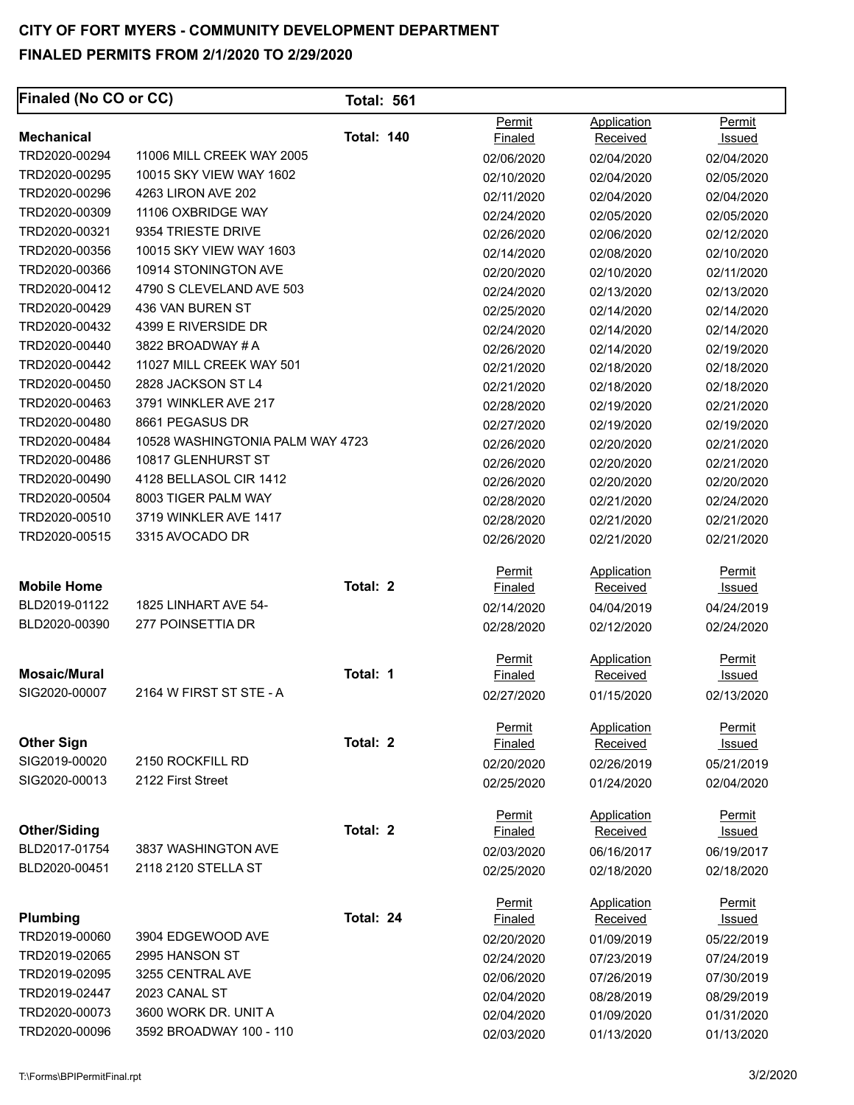| Finaled (No CO or CC)            |                                  | <b>Total: 561</b> |                |                 |               |
|----------------------------------|----------------------------------|-------------------|----------------|-----------------|---------------|
|                                  |                                  |                   | Permit         | Application     | Permit        |
| <b>Mechanical</b>                |                                  | <b>Total: 140</b> | <b>Finaled</b> | Received        | Issued        |
| TRD2020-00294                    | 11006 MILL CREEK WAY 2005        |                   | 02/06/2020     | 02/04/2020      | 02/04/2020    |
| TRD2020-00295                    | 10015 SKY VIEW WAY 1602          |                   | 02/10/2020     | 02/04/2020      | 02/05/2020    |
| TRD2020-00296                    | 4263 LIRON AVE 202               |                   | 02/11/2020     | 02/04/2020      | 02/04/2020    |
| TRD2020-00309                    | 11106 OXBRIDGE WAY               |                   | 02/24/2020     | 02/05/2020      | 02/05/2020    |
| TRD2020-00321                    | 9354 TRIESTE DRIVE               |                   | 02/26/2020     | 02/06/2020      | 02/12/2020    |
| TRD2020-00356                    | 10015 SKY VIEW WAY 1603          |                   | 02/14/2020     | 02/08/2020      | 02/10/2020    |
| TRD2020-00366                    | 10914 STONINGTON AVE             |                   | 02/20/2020     | 02/10/2020      | 02/11/2020    |
| TRD2020-00412                    | 4790 S CLEVELAND AVE 503         |                   | 02/24/2020     | 02/13/2020      | 02/13/2020    |
| TRD2020-00429                    | 436 VAN BUREN ST                 |                   | 02/25/2020     | 02/14/2020      | 02/14/2020    |
| TRD2020-00432                    | 4399 E RIVERSIDE DR              |                   | 02/24/2020     | 02/14/2020      | 02/14/2020    |
| TRD2020-00440                    | 3822 BROADWAY # A                |                   | 02/26/2020     | 02/14/2020      | 02/19/2020    |
| TRD2020-00442                    | 11027 MILL CREEK WAY 501         |                   | 02/21/2020     | 02/18/2020      | 02/18/2020    |
| TRD2020-00450                    | 2828 JACKSON ST L4               |                   | 02/21/2020     | 02/18/2020      | 02/18/2020    |
| TRD2020-00463                    | 3791 WINKLER AVE 217             |                   | 02/28/2020     | 02/19/2020      | 02/21/2020    |
| TRD2020-00480                    | 8661 PEGASUS DR                  |                   | 02/27/2020     | 02/19/2020      | 02/19/2020    |
| TRD2020-00484                    | 10528 WASHINGTONIA PALM WAY 4723 |                   | 02/26/2020     | 02/20/2020      | 02/21/2020    |
| TRD2020-00486                    | 10817 GLENHURST ST               |                   | 02/26/2020     | 02/20/2020      | 02/21/2020    |
| TRD2020-00490                    | 4128 BELLASOL CIR 1412           |                   | 02/26/2020     | 02/20/2020      | 02/20/2020    |
| TRD2020-00504                    | 8003 TIGER PALM WAY              |                   | 02/28/2020     | 02/21/2020      | 02/24/2020    |
| TRD2020-00510                    | 3719 WINKLER AVE 1417            |                   | 02/28/2020     | 02/21/2020      | 02/21/2020    |
| TRD2020-00515                    | 3315 AVOCADO DR                  |                   | 02/26/2020     | 02/21/2020      | 02/21/2020    |
|                                  |                                  |                   | Permit         | Application     | Permit        |
| <b>Mobile Home</b>               |                                  | Total: 2          | Finaled        | <b>Received</b> | <b>Issued</b> |
| BLD2019-01122                    | 1825 LINHART AVE 54-             |                   | 02/14/2020     | 04/04/2019      | 04/24/2019    |
| BLD2020-00390                    | 277 POINSETTIA DR                |                   | 02/28/2020     | 02/12/2020      | 02/24/2020    |
|                                  |                                  |                   | Permit         | Application     | Permit        |
| <b>Mosaic/Mural</b>              |                                  | Total: 1          | <b>Finaled</b> | Received        | <u>Issued</u> |
| SIG2020-00007                    | 2164 W FIRST ST STE - A          |                   | 02/27/2020     | 01/15/2020      | 02/13/2020    |
|                                  |                                  |                   | Permit         | Application     | Permit        |
| <b>Other Sign</b>                |                                  | Total: 2          | Finaled        | Received        | <u>Issued</u> |
| SIG2019-00020                    | 2150 ROCKFILL RD                 |                   | 02/20/2020     | 02/26/2019      | 05/21/2019    |
| SIG2020-00013                    | 2122 First Street                |                   | 02/25/2020     | 01/24/2020      | 02/04/2020    |
|                                  |                                  |                   | Permit         | Application     | Permit        |
| <b>Other/Siding</b>              |                                  | Total: 2          | Finaled        | Received        | <b>Issued</b> |
| BLD2017-01754                    | 3837 WASHINGTON AVE              |                   | 02/03/2020     | 06/16/2017      | 06/19/2017    |
| BLD2020-00451                    | 2118 2120 STELLA ST              |                   | 02/25/2020     | 02/18/2020      | 02/18/2020    |
|                                  |                                  |                   | Permit         | Application     | Permit        |
| <b>Plumbing</b><br>TRD2019-00060 |                                  | Total: 24         | Finaled        | Received        | Issued        |
|                                  | 3904 EDGEWOOD AVE                |                   | 02/20/2020     | 01/09/2019      | 05/22/2019    |
| TRD2019-02065                    | 2995 HANSON ST                   |                   | 02/24/2020     | 07/23/2019      | 07/24/2019    |
| TRD2019-02095                    | 3255 CENTRAL AVE                 |                   | 02/06/2020     | 07/26/2019      | 07/30/2019    |
| TRD2019-02447                    | 2023 CANAL ST                    |                   | 02/04/2020     | 08/28/2019      | 08/29/2019    |
| TRD2020-00073                    | 3600 WORK DR. UNIT A             |                   | 02/04/2020     | 01/09/2020      | 01/31/2020    |
| TRD2020-00096                    | 3592 BROADWAY 100 - 110          |                   | 02/03/2020     | 01/13/2020      | 01/13/2020    |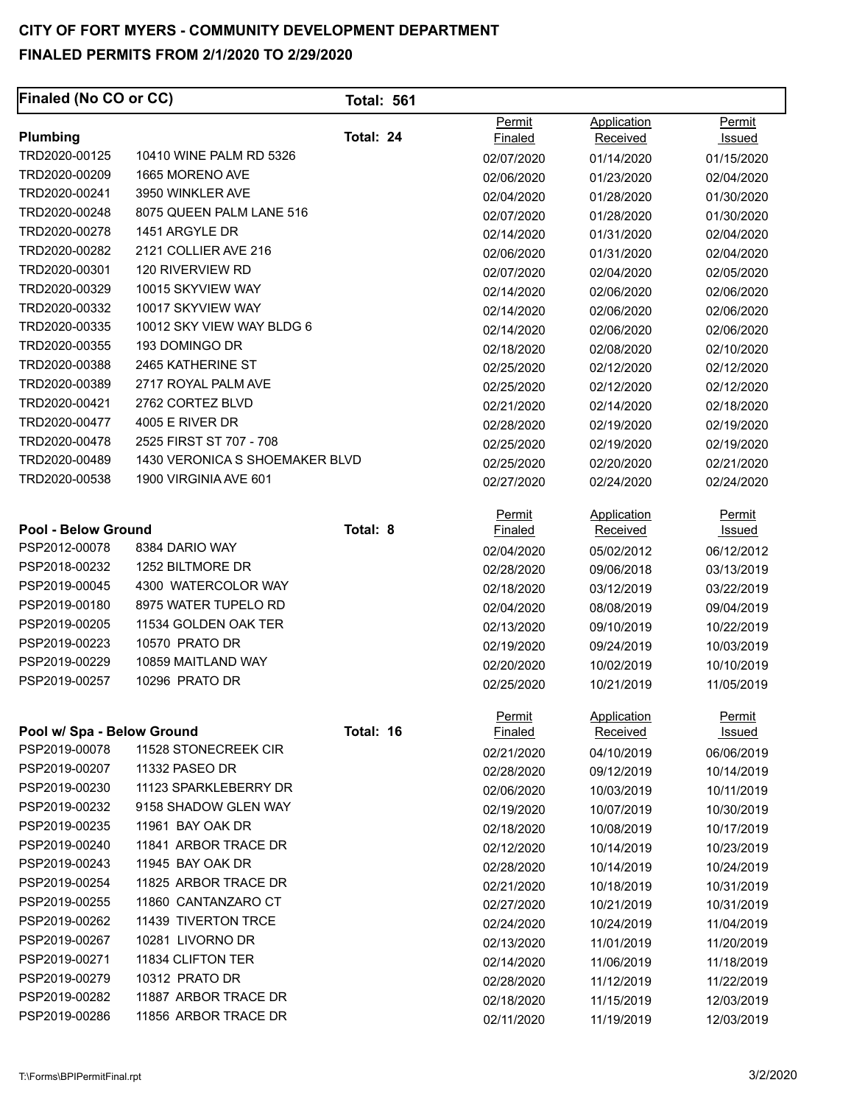| <b>Finaled (No CO or CC)</b> |                                | <b>Total: 561</b> |                          |                                |                         |
|------------------------------|--------------------------------|-------------------|--------------------------|--------------------------------|-------------------------|
|                              |                                | Total: 24         | Permit                   | Application                    | Permit                  |
| Plumbing<br>TRD2020-00125    | 10410 WINE PALM RD 5326        |                   | Finaled                  | Received                       | Issued                  |
| TRD2020-00209                | 1665 MORENO AVE                |                   | 02/07/2020               | 01/14/2020                     | 01/15/2020              |
| TRD2020-00241                | 3950 WINKLER AVE               |                   | 02/06/2020               | 01/23/2020                     | 02/04/2020              |
| TRD2020-00248                | 8075 QUEEN PALM LANE 516       |                   | 02/04/2020               | 01/28/2020                     | 01/30/2020              |
| TRD2020-00278                | 1451 ARGYLE DR                 |                   | 02/07/2020               | 01/28/2020                     | 01/30/2020              |
| TRD2020-00282                | 2121 COLLIER AVE 216           |                   | 02/14/2020               | 01/31/2020                     | 02/04/2020              |
| TRD2020-00301                | 120 RIVERVIEW RD               |                   | 02/06/2020               | 01/31/2020                     | 02/04/2020              |
| TRD2020-00329                | 10015 SKYVIEW WAY              |                   | 02/07/2020               | 02/04/2020                     | 02/05/2020              |
| TRD2020-00332                | 10017 SKYVIEW WAY              |                   | 02/14/2020               | 02/06/2020                     | 02/06/2020              |
| TRD2020-00335                | 10012 SKY VIEW WAY BLDG 6      |                   | 02/14/2020               | 02/06/2020                     | 02/06/2020              |
| TRD2020-00355                | 193 DOMINGO DR                 |                   | 02/14/2020               | 02/06/2020                     | 02/06/2020              |
| TRD2020-00388                | 2465 KATHERINE ST              |                   | 02/18/2020               | 02/08/2020                     | 02/10/2020              |
| TRD2020-00389                |                                |                   | 02/25/2020               | 02/12/2020                     | 02/12/2020              |
|                              | 2717 ROYAL PALM AVE            |                   | 02/25/2020               | 02/12/2020                     | 02/12/2020              |
| TRD2020-00421                | 2762 CORTEZ BLVD               |                   | 02/21/2020               | 02/14/2020                     | 02/18/2020              |
| TRD2020-00477                | 4005 E RIVER DR                |                   | 02/28/2020               | 02/19/2020                     | 02/19/2020              |
| TRD2020-00478                | 2525 FIRST ST 707 - 708        |                   | 02/25/2020               | 02/19/2020                     | 02/19/2020              |
| TRD2020-00489                | 1430 VERONICA S SHOEMAKER BLVD |                   | 02/25/2020               | 02/20/2020                     | 02/21/2020              |
| TRD2020-00538                | 1900 VIRGINIA AVE 601          |                   | 02/27/2020               | 02/24/2020                     | 02/24/2020              |
| <b>Pool - Below Ground</b>   |                                | Total: 8          | Permit<br><b>Finaled</b> | Application<br><b>Received</b> | Permit<br><u>Issued</u> |
| PSP2012-00078                | 8384 DARIO WAY                 |                   | 02/04/2020               | 05/02/2012                     | 06/12/2012              |
| PSP2018-00232                | 1252 BILTMORE DR               |                   | 02/28/2020               | 09/06/2018                     | 03/13/2019              |
| PSP2019-00045                | 4300 WATERCOLOR WAY            |                   | 02/18/2020               | 03/12/2019                     | 03/22/2019              |
| PSP2019-00180                | 8975 WATER TUPELO RD           |                   | 02/04/2020               | 08/08/2019                     | 09/04/2019              |
| PSP2019-00205                | 11534 GOLDEN OAK TER           |                   | 02/13/2020               | 09/10/2019                     | 10/22/2019              |
| PSP2019-00223                | 10570 PRATO DR                 |                   | 02/19/2020               | 09/24/2019                     | 10/03/2019              |
| PSP2019-00229                | 10859 MAITLAND WAY             |                   | 02/20/2020               | 10/02/2019                     | 10/10/2019              |
| PSP2019-00257                | 10296 PRATO DR                 |                   | 02/25/2020               | 10/21/2019                     | 11/05/2019              |
|                              |                                |                   | <u>Permit</u>            | Application                    | <b>Permit</b>           |
| Pool w/ Spa - Below Ground   |                                | Total: 16         | Finaled                  | Received                       | <u>Issued</u>           |
| PSP2019-00078                | 11528 STONECREEK CIR           |                   | 02/21/2020               | 04/10/2019                     | 06/06/2019              |
| PSP2019-00207                | 11332 PASEO DR                 |                   | 02/28/2020               | 09/12/2019                     | 10/14/2019              |
| PSP2019-00230                | 11123 SPARKLEBERRY DR          |                   | 02/06/2020               | 10/03/2019                     | 10/11/2019              |
| PSP2019-00232                | 9158 SHADOW GLEN WAY           |                   | 02/19/2020               | 10/07/2019                     | 10/30/2019              |
| PSP2019-00235                | 11961 BAY OAK DR               |                   | 02/18/2020               | 10/08/2019                     | 10/17/2019              |
| PSP2019-00240                | 11841 ARBOR TRACE DR           |                   | 02/12/2020               | 10/14/2019                     | 10/23/2019              |
| PSP2019-00243                | 11945 BAY OAK DR               |                   | 02/28/2020               | 10/14/2019                     | 10/24/2019              |
| PSP2019-00254                | 11825 ARBOR TRACE DR           |                   | 02/21/2020               | 10/18/2019                     | 10/31/2019              |
| PSP2019-00255                | 11860 CANTANZARO CT            |                   | 02/27/2020               | 10/21/2019                     | 10/31/2019              |
| PSP2019-00262                | 11439 TIVERTON TRCE            |                   | 02/24/2020               | 10/24/2019                     | 11/04/2019              |
| PSP2019-00267                | 10281 LIVORNO DR               |                   | 02/13/2020               | 11/01/2019                     | 11/20/2019              |
| PSP2019-00271                | 11834 CLIFTON TER              |                   | 02/14/2020               | 11/06/2019                     | 11/18/2019              |
| PSP2019-00279                | 10312 PRATO DR                 |                   | 02/28/2020               | 11/12/2019                     | 11/22/2019              |
| PSP2019-00282                | 11887 ARBOR TRACE DR           |                   | 02/18/2020               | 11/15/2019                     | 12/03/2019              |
| PSP2019-00286                | 11856 ARBOR TRACE DR           |                   | 02/11/2020               | 11/19/2019                     | 12/03/2019              |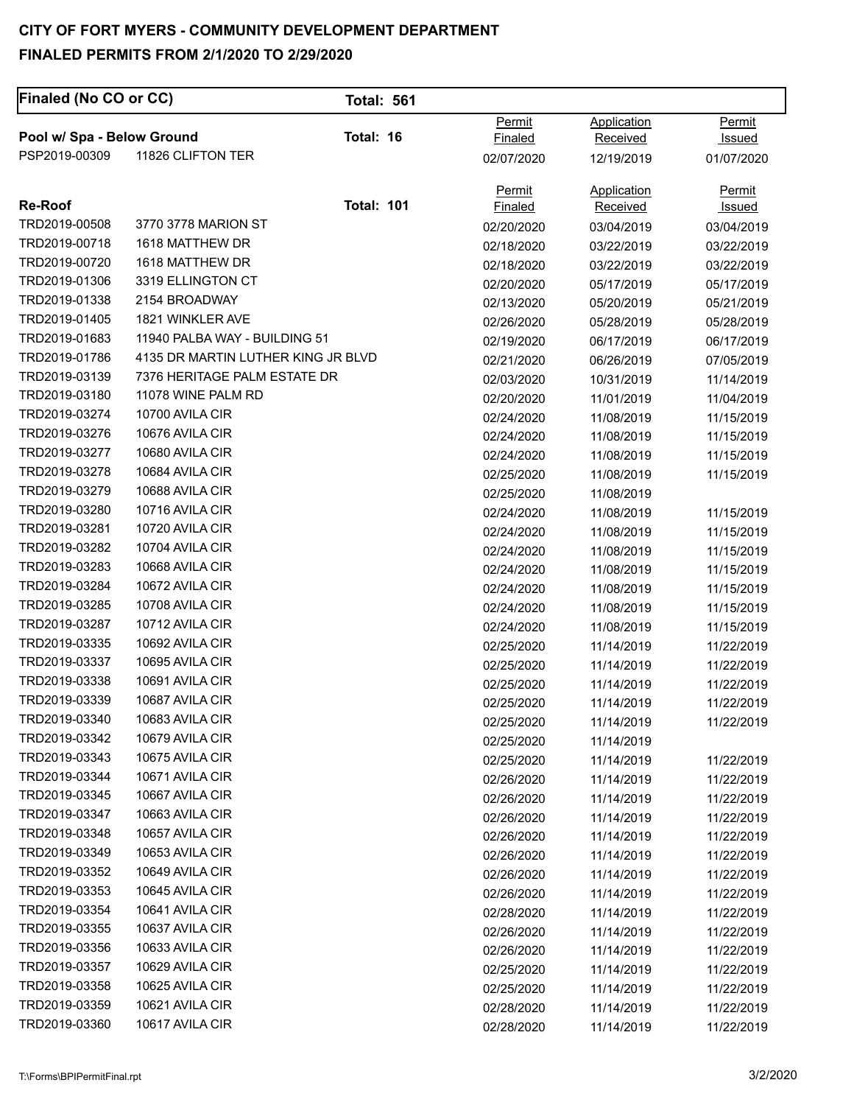# **CITY OF FORT MYERS - COMMUNITY DEVELOPMENT DEPARTMENT**

#### **FINALED PERMITS FROM 2/1/2020 TO 2/29/2020**

| <b>Finaled (No CO or CC)</b> |                                    | <b>Total: 561</b> |                          |                                       |                         |
|------------------------------|------------------------------------|-------------------|--------------------------|---------------------------------------|-------------------------|
| Pool w/ Spa - Below Ground   |                                    | Total: 16         | Permit<br><b>Finaled</b> | Application<br>Received               | Permit<br>Issued        |
| PSP2019-00309                | 11826 CLIFTON TER                  |                   | 02/07/2020               | 12/19/2019                            | 01/07/2020              |
| <b>Re-Roof</b>               |                                    | <b>Total: 101</b> | Permit<br><b>Finaled</b> | <b>Application</b><br><b>Received</b> | Permit<br><b>Issued</b> |
| TRD2019-00508                | 3770 3778 MARION ST                |                   | 02/20/2020               | 03/04/2019                            | 03/04/2019              |
| TRD2019-00718                | 1618 MATTHEW DR                    |                   | 02/18/2020               | 03/22/2019                            | 03/22/2019              |
| TRD2019-00720                | 1618 MATTHEW DR                    |                   | 02/18/2020               | 03/22/2019                            | 03/22/2019              |
| TRD2019-01306                | 3319 ELLINGTON CT                  |                   | 02/20/2020               | 05/17/2019                            | 05/17/2019              |
| TRD2019-01338                | 2154 BROADWAY                      |                   | 02/13/2020               | 05/20/2019                            | 05/21/2019              |
| TRD2019-01405                | 1821 WINKLER AVE                   |                   | 02/26/2020               | 05/28/2019                            | 05/28/2019              |
| TRD2019-01683                | 11940 PALBA WAY - BUILDING 51      |                   | 02/19/2020               | 06/17/2019                            | 06/17/2019              |
| TRD2019-01786                | 4135 DR MARTIN LUTHER KING JR BLVD |                   | 02/21/2020               | 06/26/2019                            | 07/05/2019              |
| TRD2019-03139                | 7376 HERITAGE PALM ESTATE DR       |                   | 02/03/2020               | 10/31/2019                            | 11/14/2019              |
| TRD2019-03180                | 11078 WINE PALM RD                 |                   | 02/20/2020               | 11/01/2019                            | 11/04/2019              |
| TRD2019-03274                | 10700 AVILA CIR                    |                   | 02/24/2020               | 11/08/2019                            | 11/15/2019              |
| TRD2019-03276                | 10676 AVILA CIR                    |                   | 02/24/2020               | 11/08/2019                            | 11/15/2019              |
| TRD2019-03277                | 10680 AVILA CIR                    |                   | 02/24/2020               | 11/08/2019                            | 11/15/2019              |
| TRD2019-03278                | 10684 AVILA CIR                    |                   | 02/25/2020               | 11/08/2019                            | 11/15/2019              |
| TRD2019-03279                | 10688 AVILA CIR                    |                   | 02/25/2020               | 11/08/2019                            |                         |
| TRD2019-03280                | 10716 AVILA CIR                    |                   | 02/24/2020               | 11/08/2019                            | 11/15/2019              |
| TRD2019-03281                | 10720 AVILA CIR                    |                   | 02/24/2020               | 11/08/2019                            | 11/15/2019              |
| TRD2019-03282                | 10704 AVILA CIR                    |                   | 02/24/2020               | 11/08/2019                            | 11/15/2019              |
| TRD2019-03283                | 10668 AVILA CIR                    |                   | 02/24/2020               | 11/08/2019                            | 11/15/2019              |
| TRD2019-03284                | 10672 AVILA CIR                    |                   | 02/24/2020               | 11/08/2019                            | 11/15/2019              |
| TRD2019-03285                | 10708 AVILA CIR                    |                   | 02/24/2020               | 11/08/2019                            | 11/15/2019              |
| TRD2019-03287                | 10712 AVILA CIR                    |                   | 02/24/2020               | 11/08/2019                            | 11/15/2019              |
| TRD2019-03335                | 10692 AVILA CIR                    |                   | 02/25/2020               | 11/14/2019                            | 11/22/2019              |
| TRD2019-03337                | 10695 AVILA CIR                    |                   | 02/25/2020               | 11/14/2019                            | 11/22/2019              |
| TRD2019-03338                | 10691 AVILA CIR                    |                   | 02/25/2020               | 11/14/2019                            | 11/22/2019              |
| TRD2019-03339                | 10687 AVILA CIR                    |                   | 02/25/2020               | 11/14/2019                            | 11/22/2019              |
| TRD2019-03340                | 10683 AVILA CIR                    |                   | 02/25/2020               | 11/14/2019                            | 11/22/2019              |
| TRD2019-03342                | 10679 AVILA CIR                    |                   | 02/25/2020               | 11/14/2019                            |                         |
| TRD2019-03343                | 10675 AVILA CIR                    |                   | 02/25/2020               | 11/14/2019                            | 11/22/2019              |
| TRD2019-03344                | 10671 AVILA CIR                    |                   | 02/26/2020               | 11/14/2019                            | 11/22/2019              |
| TRD2019-03345                | 10667 AVILA CIR                    |                   | 02/26/2020               | 11/14/2019                            | 11/22/2019              |
| TRD2019-03347                | 10663 AVILA CIR                    |                   | 02/26/2020               | 11/14/2019                            | 11/22/2019              |
| TRD2019-03348                | 10657 AVILA CIR                    |                   | 02/26/2020               | 11/14/2019                            | 11/22/2019              |
| TRD2019-03349                | 10653 AVILA CIR                    |                   | 02/26/2020               | 11/14/2019                            | 11/22/2019              |
| TRD2019-03352                | 10649 AVILA CIR                    |                   | 02/26/2020               | 11/14/2019                            | 11/22/2019              |
| TRD2019-03353                | 10645 AVILA CIR                    |                   | 02/26/2020               | 11/14/2019                            | 11/22/2019              |
| TRD2019-03354                | 10641 AVILA CIR                    |                   | 02/28/2020               | 11/14/2019                            | 11/22/2019              |
| TRD2019-03355                | 10637 AVILA CIR                    |                   | 02/26/2020               | 11/14/2019                            | 11/22/2019              |
| TRD2019-03356                | 10633 AVILA CIR                    |                   | 02/26/2020               | 11/14/2019                            | 11/22/2019              |
| TRD2019-03357                | 10629 AVILA CIR                    |                   | 02/25/2020               | 11/14/2019                            | 11/22/2019              |
| TRD2019-03358                | 10625 AVILA CIR                    |                   | 02/25/2020               | 11/14/2019                            | 11/22/2019              |
| TRD2019-03359                | 10621 AVILA CIR                    |                   | 02/28/2020               | 11/14/2019                            | 11/22/2019              |
| TRD2019-03360                | 10617 AVILA CIR                    |                   | 02/28/2020               | 11/14/2019                            | 11/22/2019              |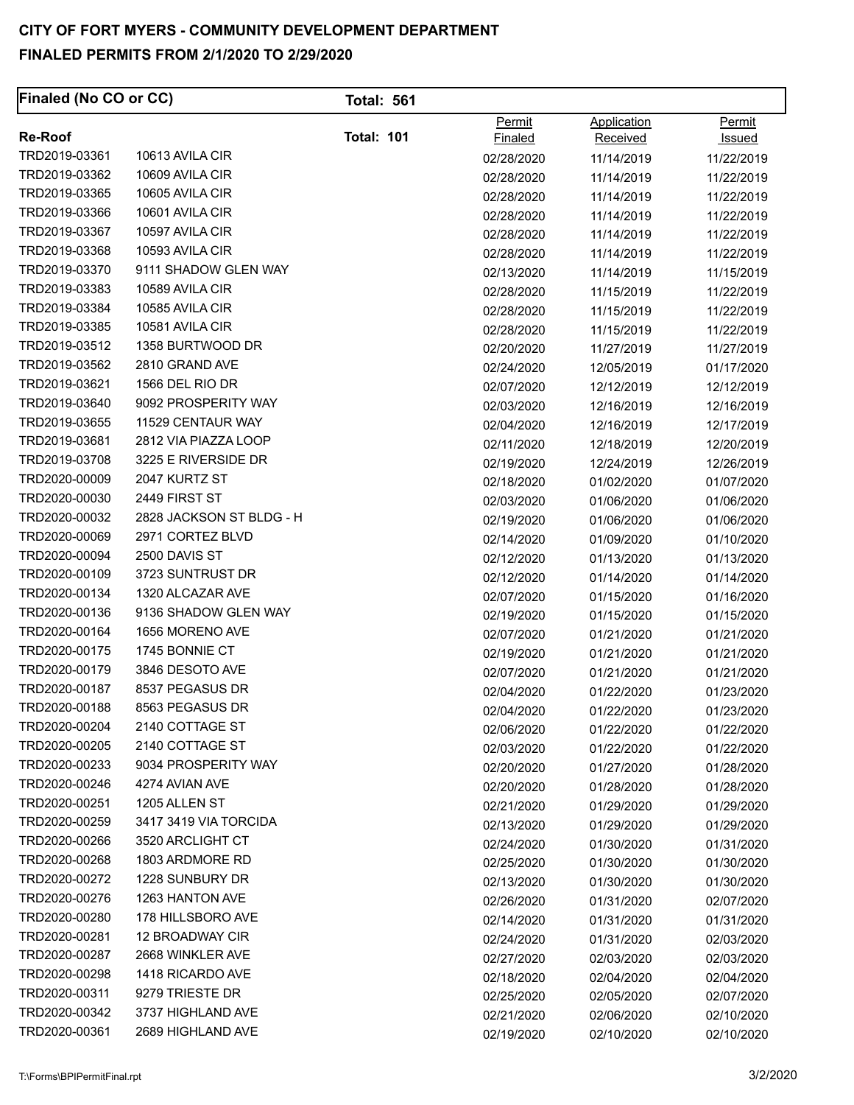| <b>Finaled (No CO or CC)</b> |                          | <b>Total: 561</b> |                          |                         |                                |
|------------------------------|--------------------------|-------------------|--------------------------|-------------------------|--------------------------------|
| <b>Re-Roof</b>               |                          | <b>Total: 101</b> | Permit<br><b>Finaled</b> | Application<br>Received | <b>Permit</b><br><u>Issued</u> |
| TRD2019-03361                | 10613 AVILA CIR          |                   | 02/28/2020               | 11/14/2019              | 11/22/2019                     |
| TRD2019-03362                | 10609 AVILA CIR          |                   | 02/28/2020               | 11/14/2019              | 11/22/2019                     |
| TRD2019-03365                | 10605 AVILA CIR          |                   | 02/28/2020               | 11/14/2019              | 11/22/2019                     |
| TRD2019-03366                | 10601 AVILA CIR          |                   | 02/28/2020               | 11/14/2019              | 11/22/2019                     |
| TRD2019-03367                | 10597 AVILA CIR          |                   | 02/28/2020               | 11/14/2019              | 11/22/2019                     |
| TRD2019-03368                | 10593 AVILA CIR          |                   | 02/28/2020               | 11/14/2019              | 11/22/2019                     |
| TRD2019-03370                | 9111 SHADOW GLEN WAY     |                   | 02/13/2020               | 11/14/2019              | 11/15/2019                     |
| TRD2019-03383                | 10589 AVILA CIR          |                   | 02/28/2020               | 11/15/2019              | 11/22/2019                     |
| TRD2019-03384                | 10585 AVILA CIR          |                   | 02/28/2020               | 11/15/2019              | 11/22/2019                     |
| TRD2019-03385                | 10581 AVILA CIR          |                   | 02/28/2020               | 11/15/2019              | 11/22/2019                     |
| TRD2019-03512                | 1358 BURTWOOD DR         |                   | 02/20/2020               | 11/27/2019              | 11/27/2019                     |
| TRD2019-03562                | 2810 GRAND AVE           |                   | 02/24/2020               | 12/05/2019              | 01/17/2020                     |
| TRD2019-03621                | 1566 DEL RIO DR          |                   | 02/07/2020               | 12/12/2019              | 12/12/2019                     |
| TRD2019-03640                | 9092 PROSPERITY WAY      |                   | 02/03/2020               | 12/16/2019              | 12/16/2019                     |
| TRD2019-03655                | 11529 CENTAUR WAY        |                   | 02/04/2020               | 12/16/2019              | 12/17/2019                     |
| TRD2019-03681                | 2812 VIA PIAZZA LOOP     |                   | 02/11/2020               | 12/18/2019              | 12/20/2019                     |
| TRD2019-03708                | 3225 E RIVERSIDE DR      |                   | 02/19/2020               | 12/24/2019              | 12/26/2019                     |
| TRD2020-00009                | 2047 KURTZ ST            |                   | 02/18/2020               | 01/02/2020              | 01/07/2020                     |
| TRD2020-00030                | 2449 FIRST ST            |                   | 02/03/2020               | 01/06/2020              | 01/06/2020                     |
| TRD2020-00032                | 2828 JACKSON ST BLDG - H |                   | 02/19/2020               | 01/06/2020              | 01/06/2020                     |
| TRD2020-00069                | 2971 CORTEZ BLVD         |                   | 02/14/2020               | 01/09/2020              | 01/10/2020                     |
| TRD2020-00094                | 2500 DAVIS ST            |                   | 02/12/2020               | 01/13/2020              | 01/13/2020                     |
| TRD2020-00109                | 3723 SUNTRUST DR         |                   | 02/12/2020               | 01/14/2020              | 01/14/2020                     |
| TRD2020-00134                | 1320 ALCAZAR AVE         |                   | 02/07/2020               | 01/15/2020              | 01/16/2020                     |
| TRD2020-00136                | 9136 SHADOW GLEN WAY     |                   | 02/19/2020               | 01/15/2020              | 01/15/2020                     |
| TRD2020-00164                | 1656 MORENO AVE          |                   | 02/07/2020               | 01/21/2020              | 01/21/2020                     |
| TRD2020-00175                | 1745 BONNIE CT           |                   | 02/19/2020               | 01/21/2020              | 01/21/2020                     |
| TRD2020-00179                | 3846 DESOTO AVE          |                   | 02/07/2020               | 01/21/2020              | 01/21/2020                     |
| TRD2020-00187                | 8537 PEGASUS DR          |                   | 02/04/2020               | 01/22/2020              | 01/23/2020                     |
| TRD2020-00188                | 8563 PEGASUS DR          |                   | 02/04/2020               | 01/22/2020              | 01/23/2020                     |
| TRD2020-00204                | 2140 COTTAGE ST          |                   | 02/06/2020               | 01/22/2020              | 01/22/2020                     |
| TRD2020-00205                | 2140 COTTAGE ST          |                   | 02/03/2020               | 01/22/2020              | 01/22/2020                     |
| TRD2020-00233                | 9034 PROSPERITY WAY      |                   | 02/20/2020               | 01/27/2020              | 01/28/2020                     |
| TRD2020-00246                | 4274 AVIAN AVE           |                   | 02/20/2020               | 01/28/2020              | 01/28/2020                     |
| TRD2020-00251                | 1205 ALLEN ST            |                   | 02/21/2020               | 01/29/2020              | 01/29/2020                     |
| TRD2020-00259                | 3417 3419 VIA TORCIDA    |                   | 02/13/2020               | 01/29/2020              | 01/29/2020                     |
| TRD2020-00266                | 3520 ARCLIGHT CT         |                   | 02/24/2020               | 01/30/2020              | 01/31/2020                     |
| TRD2020-00268                | 1803 ARDMORE RD          |                   | 02/25/2020               | 01/30/2020              | 01/30/2020                     |
| TRD2020-00272                | 1228 SUNBURY DR          |                   | 02/13/2020               | 01/30/2020              | 01/30/2020                     |
| TRD2020-00276                | 1263 HANTON AVE          |                   | 02/26/2020               | 01/31/2020              | 02/07/2020                     |
| TRD2020-00280                | 178 HILLSBORO AVE        |                   | 02/14/2020               | 01/31/2020              | 01/31/2020                     |
| TRD2020-00281                | 12 BROADWAY CIR          |                   | 02/24/2020               | 01/31/2020              | 02/03/2020                     |
| TRD2020-00287                | 2668 WINKLER AVE         |                   | 02/27/2020               | 02/03/2020              | 02/03/2020                     |
| TRD2020-00298                | 1418 RICARDO AVE         |                   | 02/18/2020               | 02/04/2020              | 02/04/2020                     |
| TRD2020-00311                | 9279 TRIESTE DR          |                   | 02/25/2020               | 02/05/2020              | 02/07/2020                     |
| TRD2020-00342                | 3737 HIGHLAND AVE        |                   | 02/21/2020               | 02/06/2020              | 02/10/2020                     |
| TRD2020-00361                | 2689 HIGHLAND AVE        |                   | 02/19/2020               | 02/10/2020              | 02/10/2020                     |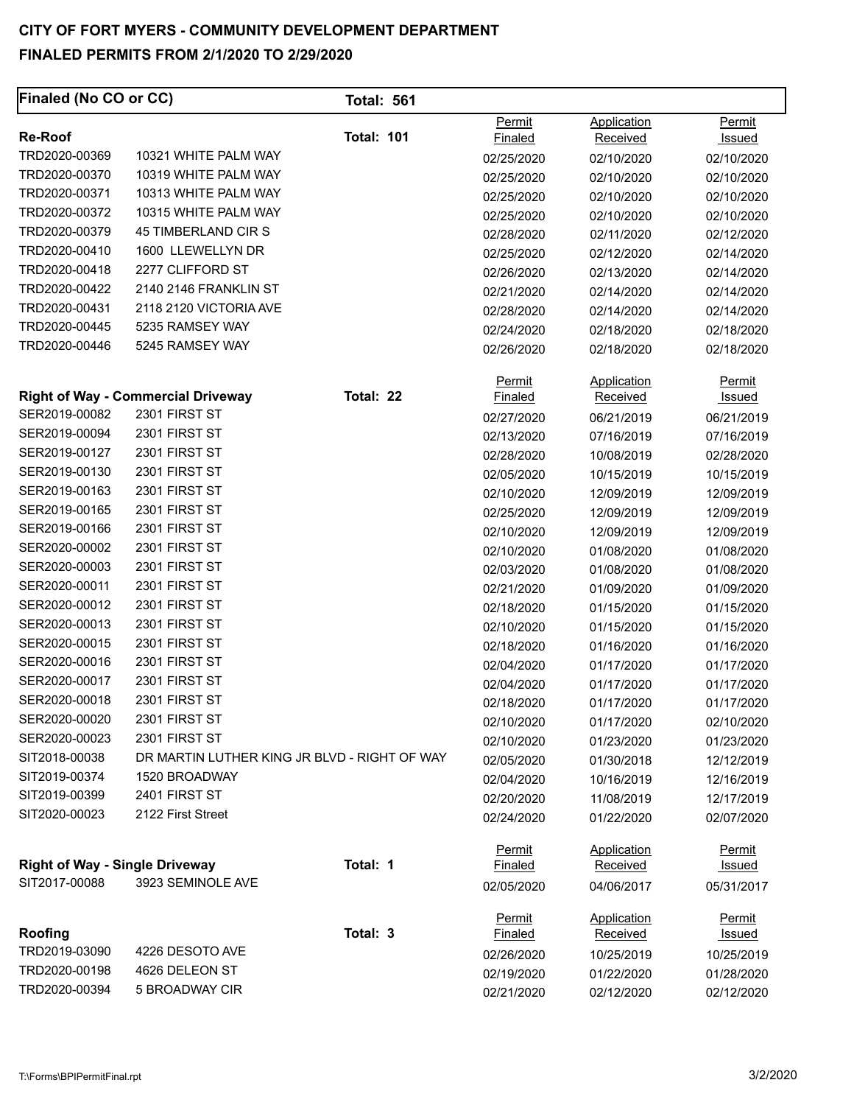| Finaled (No CO or CC)                 |                                                            | <b>Total: 561</b> |                                 |                                |                         |
|---------------------------------------|------------------------------------------------------------|-------------------|---------------------------------|--------------------------------|-------------------------|
| <b>Re-Roof</b>                        |                                                            | <b>Total: 101</b> | Permit<br>Finaled               | Application<br><b>Received</b> | Permit<br>Issued        |
| TRD2020-00369                         | 10321 WHITE PALM WAY                                       |                   | 02/25/2020                      | 02/10/2020                     | 02/10/2020              |
| TRD2020-00370                         | 10319 WHITE PALM WAY                                       |                   | 02/25/2020                      | 02/10/2020                     | 02/10/2020              |
| TRD2020-00371                         | 10313 WHITE PALM WAY                                       |                   | 02/25/2020                      | 02/10/2020                     | 02/10/2020              |
| TRD2020-00372                         | 10315 WHITE PALM WAY                                       |                   | 02/25/2020                      | 02/10/2020                     | 02/10/2020              |
| TRD2020-00379                         | <b>45 TIMBERLAND CIR S</b>                                 |                   | 02/28/2020                      | 02/11/2020                     | 02/12/2020              |
| TRD2020-00410                         | 1600 LLEWELLYN DR                                          |                   | 02/25/2020                      | 02/12/2020                     | 02/14/2020              |
| TRD2020-00418                         | 2277 CLIFFORD ST                                           |                   | 02/26/2020                      | 02/13/2020                     | 02/14/2020              |
| TRD2020-00422                         | 2140 2146 FRANKLIN ST                                      |                   | 02/21/2020                      | 02/14/2020                     | 02/14/2020              |
| TRD2020-00431                         | 2118 2120 VICTORIA AVE                                     |                   | 02/28/2020                      | 02/14/2020                     | 02/14/2020              |
| TRD2020-00445                         | 5235 RAMSEY WAY                                            |                   | 02/24/2020                      | 02/18/2020                     | 02/18/2020              |
| TRD2020-00446                         | 5245 RAMSEY WAY                                            |                   | 02/26/2020                      | 02/18/2020                     | 02/18/2020              |
|                                       |                                                            |                   | Permit                          | Application                    | Permit                  |
| SER2019-00082                         | <b>Right of Way - Commercial Driveway</b><br>2301 FIRST ST | Total: 22         | <b>Finaled</b>                  | <b>Received</b>                | Issued                  |
| SER2019-00094                         | 2301 FIRST ST                                              |                   | 02/27/2020                      | 06/21/2019                     | 06/21/2019              |
| SER2019-00127                         | 2301 FIRST ST                                              |                   | 02/13/2020                      | 07/16/2019                     | 07/16/2019              |
| SER2019-00130                         | 2301 FIRST ST                                              |                   | 02/28/2020                      | 10/08/2019                     | 02/28/2020              |
| SER2019-00163                         | 2301 FIRST ST                                              |                   | 02/05/2020                      | 10/15/2019                     | 10/15/2019              |
| SER2019-00165                         | 2301 FIRST ST                                              |                   | 02/10/2020                      | 12/09/2019                     | 12/09/2019              |
| SER2019-00166                         | 2301 FIRST ST                                              |                   | 02/25/2020                      | 12/09/2019                     | 12/09/2019              |
|                                       | 2301 FIRST ST                                              |                   | 02/10/2020                      | 12/09/2019                     | 12/09/2019              |
| SER2020-00002                         | 2301 FIRST ST                                              |                   | 02/10/2020                      | 01/08/2020                     | 01/08/2020              |
| SER2020-00003                         |                                                            |                   | 02/03/2020                      | 01/08/2020                     | 01/08/2020              |
| SER2020-00011                         | 2301 FIRST ST                                              |                   | 02/21/2020                      | 01/09/2020                     | 01/09/2020              |
| SER2020-00012                         | 2301 FIRST ST                                              |                   | 02/18/2020                      | 01/15/2020                     | 01/15/2020              |
| SER2020-00013<br>SER2020-00015        | 2301 FIRST ST                                              |                   | 02/10/2020                      | 01/15/2020                     | 01/15/2020              |
|                                       | 2301 FIRST ST                                              |                   | 02/18/2020                      | 01/16/2020                     | 01/16/2020              |
| SER2020-00016                         | 2301 FIRST ST<br>2301 FIRST ST                             |                   | 02/04/2020                      | 01/17/2020                     | 01/17/2020              |
| SER2020-00017<br>SER2020-00018        | 2301 FIRST ST                                              |                   | 02/04/2020                      | 01/17/2020                     | 01/17/2020              |
| SER2020-00020                         | 2301 FIRST ST                                              |                   | 02/18/2020                      | 01/17/2020                     | 01/17/2020              |
| SER2020-00023                         | 2301 FIRST ST                                              |                   | 02/10/2020                      | 01/17/2020                     | 02/10/2020              |
| SIT2018-00038                         | DR MARTIN LUTHER KING JR BLVD - RIGHT OF WAY               |                   | 02/10/2020                      | 01/23/2020                     | 01/23/2020              |
| SIT2019-00374                         | 1520 BROADWAY                                              |                   | 02/05/2020                      | 01/30/2018                     | 12/12/2019              |
| SIT2019-00399                         | 2401 FIRST ST                                              |                   | 02/04/2020                      | 10/16/2019                     | 12/16/2019              |
| SIT2020-00023                         | 2122 First Street                                          |                   | 02/20/2020                      | 11/08/2019                     | 12/17/2019              |
|                                       |                                                            |                   | 02/24/2020                      | 01/22/2020                     | 02/07/2020              |
| <b>Right of Way - Single Driveway</b> |                                                            | Total: 1          | <b>Permit</b><br><b>Finaled</b> | Application<br>Received        | <b>Permit</b><br>Issued |
| SIT2017-00088                         | 3923 SEMINOLE AVE                                          |                   | 02/05/2020                      | 04/06/2017                     | 05/31/2017              |
|                                       |                                                            |                   | <b>Permit</b>                   | <b>Application</b>             | <b>Permit</b>           |
| Roofing                               |                                                            | Total: 3          | <b>Finaled</b>                  | <b>Received</b>                | <u>Issued</u>           |
| TRD2019-03090                         | 4226 DESOTO AVE                                            |                   | 02/26/2020                      | 10/25/2019                     | 10/25/2019              |
| TRD2020-00198                         | 4626 DELEON ST                                             |                   | 02/19/2020                      | 01/22/2020                     | 01/28/2020              |
| TRD2020-00394                         | 5 BROADWAY CIR                                             |                   | 02/21/2020                      | 02/12/2020                     | 02/12/2020              |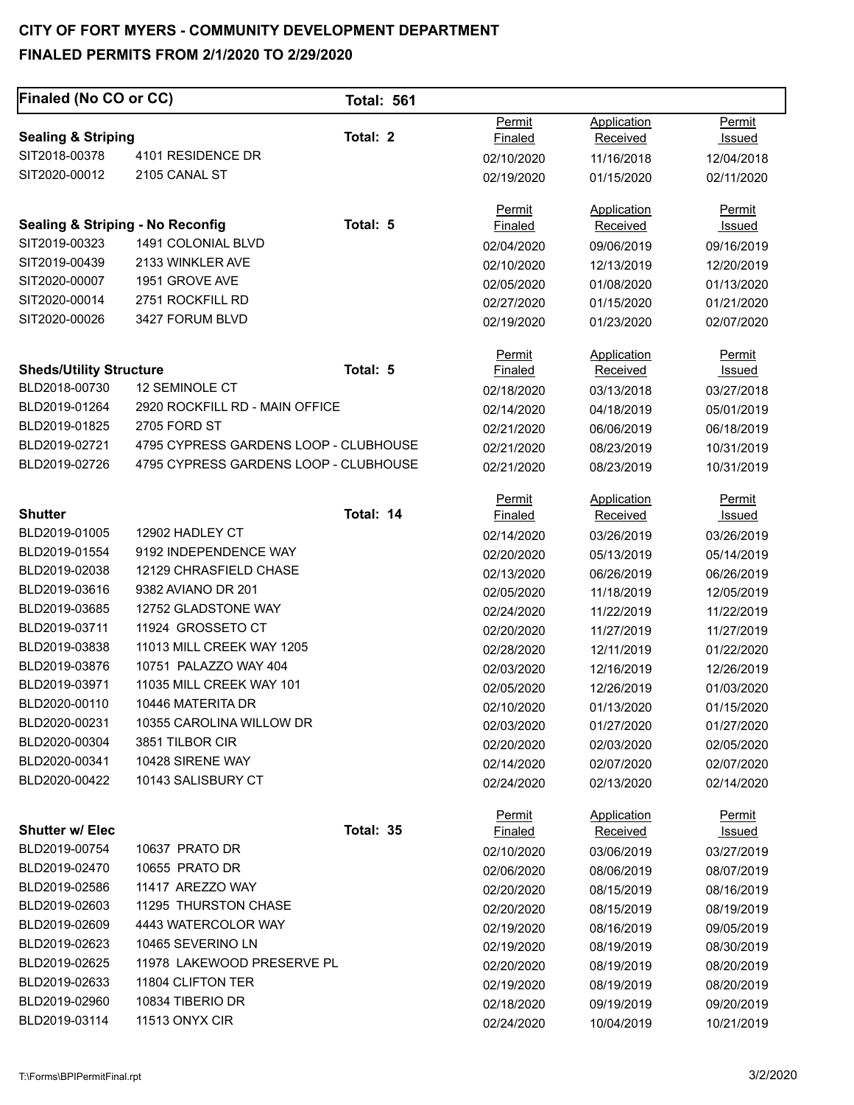# **CITY OF FORT MYERS - COMMUNITY DEVELOPMENT DEPARTMENT**

# **FINALED PERMITS FROM 2/1/2020 TO 2/29/2020**

| Finaled (No CO or CC)                       |                                       | <b>Total: 561</b> |                |                 |               |
|---------------------------------------------|---------------------------------------|-------------------|----------------|-----------------|---------------|
|                                             |                                       |                   | Permit         | Application     | Permit        |
| <b>Sealing &amp; Striping</b>               |                                       | Total: 2          | <b>Finaled</b> | Received        | <b>Issued</b> |
| SIT2018-00378                               | 4101 RESIDENCE DR                     |                   | 02/10/2020     | 11/16/2018      | 12/04/2018    |
| SIT2020-00012                               | 2105 CANAL ST                         |                   | 02/19/2020     | 01/15/2020      | 02/11/2020    |
|                                             |                                       |                   | Permit         | Application     | <b>Permit</b> |
| <b>Sealing &amp; Striping - No Reconfig</b> |                                       | Total: 5          | Finaled        | Received        | <u>Issued</u> |
| SIT2019-00323                               | 1491 COLONIAL BLVD                    |                   | 02/04/2020     | 09/06/2019      | 09/16/2019    |
| SIT2019-00439                               | 2133 WINKLER AVE                      |                   | 02/10/2020     | 12/13/2019      | 12/20/2019    |
| SIT2020-00007                               | 1951 GROVE AVE                        |                   | 02/05/2020     | 01/08/2020      | 01/13/2020    |
| SIT2020-00014                               | 2751 ROCKFILL RD                      |                   | 02/27/2020     | 01/15/2020      | 01/21/2020    |
| SIT2020-00026                               | 3427 FORUM BLVD                       |                   | 02/19/2020     | 01/23/2020      | 02/07/2020    |
|                                             |                                       |                   | Permit         | Application     | Permit        |
| <b>Sheds/Utility Structure</b>              |                                       | Total: 5          | <b>Finaled</b> | Received        | Issued        |
| BLD2018-00730                               | <b>12 SEMINOLE CT</b>                 |                   | 02/18/2020     | 03/13/2018      | 03/27/2018    |
| BLD2019-01264                               | 2920 ROCKFILL RD - MAIN OFFICE        |                   | 02/14/2020     | 04/18/2019      | 05/01/2019    |
| BLD2019-01825                               | 2705 FORD ST                          |                   | 02/21/2020     | 06/06/2019      | 06/18/2019    |
| BLD2019-02721                               | 4795 CYPRESS GARDENS LOOP - CLUBHOUSE |                   | 02/21/2020     | 08/23/2019      | 10/31/2019    |
| BLD2019-02726                               | 4795 CYPRESS GARDENS LOOP - CLUBHOUSE |                   | 02/21/2020     | 08/23/2019      | 10/31/2019    |
|                                             |                                       |                   | Permit         | Application     | <b>Permit</b> |
| <b>Shutter</b>                              |                                       | Total: 14         | Finaled        | <b>Received</b> | <b>Issued</b> |
| BLD2019-01005                               | 12902 HADLEY CT                       |                   | 02/14/2020     | 03/26/2019      | 03/26/2019    |
| BLD2019-01554                               | 9192 INDEPENDENCE WAY                 |                   | 02/20/2020     | 05/13/2019      | 05/14/2019    |
| BLD2019-02038                               | 12129 CHRASFIELD CHASE                |                   | 02/13/2020     | 06/26/2019      | 06/26/2019    |
| BLD2019-03616                               | 9382 AVIANO DR 201                    |                   | 02/05/2020     | 11/18/2019      | 12/05/2019    |
| BLD2019-03685                               | 12752 GLADSTONE WAY                   |                   | 02/24/2020     | 11/22/2019      | 11/22/2019    |
| BLD2019-03711                               | 11924 GROSSETO CT                     |                   | 02/20/2020     | 11/27/2019      | 11/27/2019    |
| BLD2019-03838                               | 11013 MILL CREEK WAY 1205             |                   | 02/28/2020     | 12/11/2019      | 01/22/2020    |
| BLD2019-03876                               | 10751 PALAZZO WAY 404                 |                   | 02/03/2020     | 12/16/2019      | 12/26/2019    |
| BLD2019-03971                               | 11035 MILL CREEK WAY 101              |                   | 02/05/2020     | 12/26/2019      | 01/03/2020    |
| BLD2020-00110                               | 10446 MATERITA DR                     |                   | 02/10/2020     | 01/13/2020      | 01/15/2020    |
| BLD2020-00231                               | 10355 CAROLINA WILLOW DR              |                   | 02/03/2020     | 01/27/2020      | 01/27/2020    |
| BLD2020-00304                               | 3851 TILBOR CIR                       |                   | 02/20/2020     | 02/03/2020      | 02/05/2020    |
| BLD2020-00341                               | 10428 SIRENE WAY                      |                   | 02/14/2020     | 02/07/2020      | 02/07/2020    |
| BLD2020-00422                               | 10143 SALISBURY CT                    |                   | 02/24/2020     | 02/13/2020      | 02/14/2020    |
|                                             |                                       |                   | Permit         | Application     | <b>Permit</b> |
| <b>Shutter w/ Elec</b>                      |                                       | Total: 35         | <u>Finaled</u> | Received        | <u>Issued</u> |
| BLD2019-00754                               | 10637 PRATO DR                        |                   | 02/10/2020     | 03/06/2019      | 03/27/2019    |
| BLD2019-02470                               | 10655 PRATO DR                        |                   | 02/06/2020     | 08/06/2019      | 08/07/2019    |
| BLD2019-02586                               | 11417 AREZZO WAY                      |                   | 02/20/2020     | 08/15/2019      | 08/16/2019    |
| BLD2019-02603                               | 11295 THURSTON CHASE                  |                   | 02/20/2020     | 08/15/2019      | 08/19/2019    |
| BLD2019-02609                               | 4443 WATERCOLOR WAY                   |                   | 02/19/2020     | 08/16/2019      | 09/05/2019    |
| BLD2019-02623                               | 10465 SEVERINO LN                     |                   | 02/19/2020     | 08/19/2019      | 08/30/2019    |
| BLD2019-02625                               | 11978 LAKEWOOD PRESERVE PL            |                   | 02/20/2020     | 08/19/2019      | 08/20/2019    |
| BLD2019-02633                               | 11804 CLIFTON TER                     |                   | 02/19/2020     | 08/19/2019      | 08/20/2019    |
| BLD2019-02960                               | 10834 TIBERIO DR                      |                   | 02/18/2020     | 09/19/2019      | 09/20/2019    |
| BLD2019-03114                               | 11513 ONYX CIR                        |                   | 02/24/2020     | 10/04/2019      | 10/21/2019    |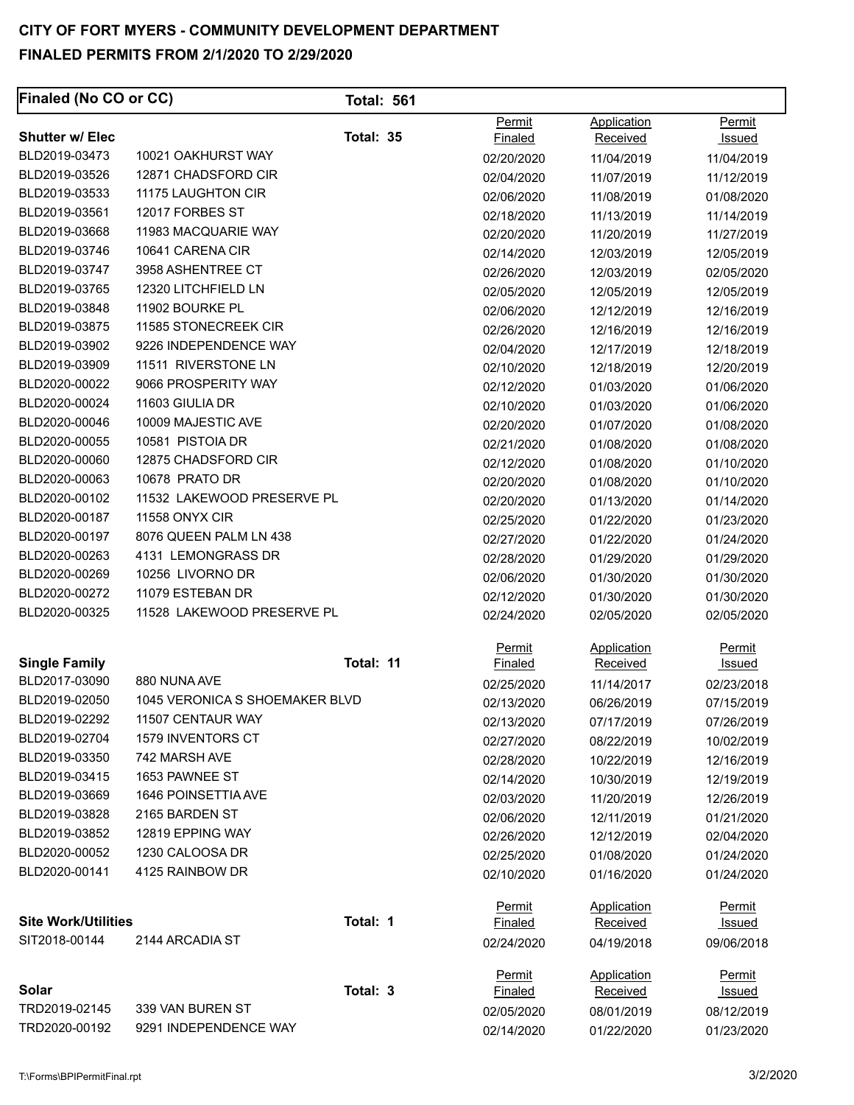| Finaled (No CO or CC)      |                                | <b>Total: 561</b> |                          |                         |                  |
|----------------------------|--------------------------------|-------------------|--------------------------|-------------------------|------------------|
| <b>Shutter w/ Elec</b>     |                                | Total: 35         | Permit<br><b>Finaled</b> | Application<br>Received | Permit<br>Issued |
| BLD2019-03473              | 10021 OAKHURST WAY             |                   | 02/20/2020               | 11/04/2019              | 11/04/2019       |
| BLD2019-03526              | 12871 CHADSFORD CIR            |                   | 02/04/2020               | 11/07/2019              | 11/12/2019       |
| BLD2019-03533              | 11175 LAUGHTON CIR             |                   | 02/06/2020               | 11/08/2019              | 01/08/2020       |
| BLD2019-03561              | 12017 FORBES ST                |                   | 02/18/2020               | 11/13/2019              | 11/14/2019       |
| BLD2019-03668              | 11983 MACQUARIE WAY            |                   | 02/20/2020               | 11/20/2019              | 11/27/2019       |
| BLD2019-03746              | 10641 CARENA CIR               |                   | 02/14/2020               | 12/03/2019              | 12/05/2019       |
| BLD2019-03747              | 3958 ASHENTREE CT              |                   | 02/26/2020               | 12/03/2019              | 02/05/2020       |
| BLD2019-03765              | 12320 LITCHFIELD LN            |                   | 02/05/2020               | 12/05/2019              | 12/05/2019       |
| BLD2019-03848              | 11902 BOURKE PL                |                   | 02/06/2020               | 12/12/2019              | 12/16/2019       |
| BLD2019-03875              | 11585 STONECREEK CIR           |                   | 02/26/2020               | 12/16/2019              | 12/16/2019       |
| BLD2019-03902              | 9226 INDEPENDENCE WAY          |                   | 02/04/2020               | 12/17/2019              | 12/18/2019       |
| BLD2019-03909              | 11511 RIVERSTONE LN            |                   | 02/10/2020               | 12/18/2019              | 12/20/2019       |
| BLD2020-00022              | 9066 PROSPERITY WAY            |                   | 02/12/2020               | 01/03/2020              | 01/06/2020       |
| BLD2020-00024              | 11603 GIULIA DR                |                   | 02/10/2020               | 01/03/2020              | 01/06/2020       |
| BLD2020-00046              | 10009 MAJESTIC AVE             |                   | 02/20/2020               | 01/07/2020              | 01/08/2020       |
| BLD2020-00055              | 10581 PISTOIA DR               |                   | 02/21/2020               | 01/08/2020              | 01/08/2020       |
| BLD2020-00060              | 12875 CHADSFORD CIR            |                   | 02/12/2020               | 01/08/2020              | 01/10/2020       |
| BLD2020-00063              | 10678 PRATO DR                 |                   | 02/20/2020               | 01/08/2020              | 01/10/2020       |
| BLD2020-00102              | 11532 LAKEWOOD PRESERVE PL     |                   | 02/20/2020               | 01/13/2020              | 01/14/2020       |
| BLD2020-00187              | <b>11558 ONYX CIR</b>          |                   | 02/25/2020               | 01/22/2020              | 01/23/2020       |
| BLD2020-00197              | 8076 QUEEN PALM LN 438         |                   | 02/27/2020               | 01/22/2020              | 01/24/2020       |
| BLD2020-00263              | 4131 LEMONGRASS DR             |                   | 02/28/2020               | 01/29/2020              | 01/29/2020       |
| BLD2020-00269              | 10256 LIVORNO DR               |                   | 02/06/2020               | 01/30/2020              | 01/30/2020       |
| BLD2020-00272              | 11079 ESTEBAN DR               |                   | 02/12/2020               | 01/30/2020              | 01/30/2020       |
| BLD2020-00325              | 11528 LAKEWOOD PRESERVE PL     |                   | 02/24/2020               | 02/05/2020              | 02/05/2020       |
|                            |                                |                   | Permit                   | Application             | Permit           |
| <b>Single Family</b>       |                                | Total: 11         | <b>Finaled</b>           | Received                | <u>Issued</u>    |
| BLD2017-03090              | 880 NUNA AVE                   |                   | 02/25/2020               | 11/14/2017              | 02/23/2018       |
| BLD2019-02050              | 1045 VERONICA S SHOEMAKER BLVD |                   | 02/13/2020               | 06/26/2019              | 07/15/2019       |
| BLD2019-02292              | 11507 CENTAUR WAY              |                   | 02/13/2020               | 07/17/2019              | 07/26/2019       |
| BLD2019-02704              | 1579 INVENTORS CT              |                   | 02/27/2020               | 08/22/2019              | 10/02/2019       |
| BLD2019-03350              | 742 MARSH AVE                  |                   | 02/28/2020               | 10/22/2019              | 12/16/2019       |
| BLD2019-03415              | 1653 PAWNEE ST                 |                   | 02/14/2020               | 10/30/2019              | 12/19/2019       |
| BLD2019-03669              | 1646 POINSETTIA AVE            |                   | 02/03/2020               | 11/20/2019              | 12/26/2019       |
| BLD2019-03828              | 2165 BARDEN ST                 |                   | 02/06/2020               | 12/11/2019              | 01/21/2020       |
| BLD2019-03852              | 12819 EPPING WAY               |                   | 02/26/2020               | 12/12/2019              | 02/04/2020       |
| BLD2020-00052              | 1230 CALOOSA DR                |                   | 02/25/2020               | 01/08/2020              | 01/24/2020       |
| BLD2020-00141              | 4125 RAINBOW DR                |                   | 02/10/2020               | 01/16/2020              | 01/24/2020       |
|                            |                                |                   | <b>Permit</b>            | Application             | <b>Permit</b>    |
| <b>Site Work/Utilities</b> |                                | Total: 1          | Finaled                  | Received                | <u>Issued</u>    |
| SIT2018-00144              | 2144 ARCADIA ST                |                   | 02/24/2020               | 04/19/2018              | 09/06/2018       |
|                            |                                |                   | Permit                   | Application             | Permit           |
| Solar                      |                                | Total: 3          | <b>Finaled</b>           | <b>Received</b>         | <u>Issued</u>    |
| TRD2019-02145              | 339 VAN BUREN ST               |                   | 02/05/2020               | 08/01/2019              | 08/12/2019       |
| TRD2020-00192              | 9291 INDEPENDENCE WAY          |                   | 02/14/2020               | 01/22/2020              | 01/23/2020       |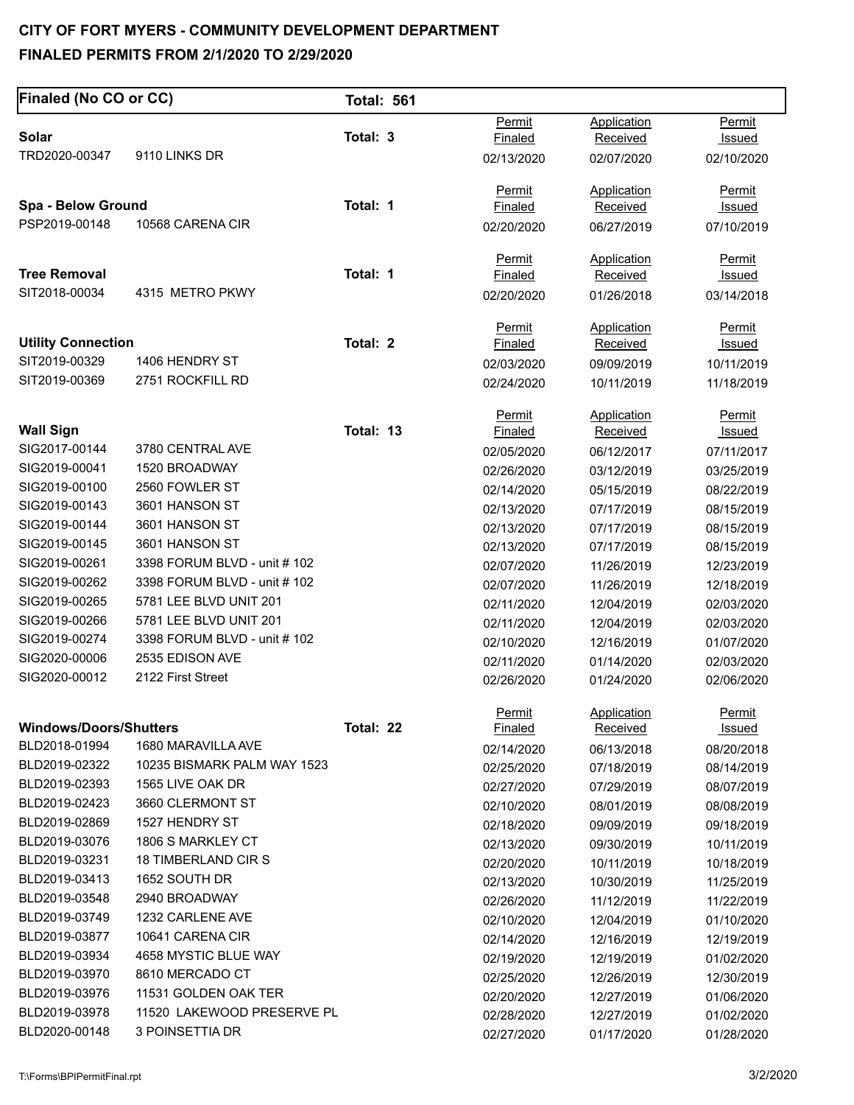| Finaled (No CO or CC)          |                                   | <b>Total: 561</b> |                          |                                |                         |
|--------------------------------|-----------------------------------|-------------------|--------------------------|--------------------------------|-------------------------|
|                                |                                   |                   | Permit                   | Application                    | Permit                  |
| Solar                          |                                   | Total: 3          | Finaled                  | <b>Received</b>                | <b>Issued</b>           |
| TRD2020-00347                  | 9110 LINKS DR                     |                   | 02/13/2020               | 02/07/2020                     | 02/10/2020              |
|                                |                                   |                   | Permit                   | Application                    | Permit                  |
| Spa - Below Ground             |                                   | Total: 1          | Finaled                  | <b>Received</b>                | Issued                  |
| PSP2019-00148                  | 10568 CARENA CIR                  |                   | 02/20/2020               | 06/27/2019                     | 07/10/2019              |
|                                |                                   |                   | <b>Permit</b>            | Application                    | Permit                  |
| <b>Tree Removal</b>            |                                   | Total: 1          | Finaled                  | <b>Received</b>                | <u>Issued</u>           |
| SIT2018-00034                  | 4315 METRO PKWY                   |                   | 02/20/2020               | 01/26/2018                     | 03/14/2018              |
| <b>Utility Connection</b>      |                                   | Total: 2          | <b>Permit</b>            | Application                    | <b>Permit</b>           |
| SIT2019-00329                  | 1406 HENDRY ST                    |                   | Finaled                  | Received                       | <u>Issued</u>           |
| SIT2019-00369                  | 2751 ROCKFILL RD                  |                   | 02/03/2020               | 09/09/2019                     | 10/11/2019              |
|                                |                                   |                   | 02/24/2020               | 10/11/2019                     | 11/18/2019              |
|                                |                                   |                   | Permit                   | <b>Application</b>             | <b>Permit</b>           |
| <b>Wall Sign</b>               |                                   | Total: 13         | Finaled                  | Received                       | <b>Issued</b>           |
| SIG2017-00144                  | 3780 CENTRAL AVE<br>1520 BROADWAY |                   | 02/05/2020               | 06/12/2017                     | 07/11/2017              |
| SIG2019-00041                  | 2560 FOWLER ST                    |                   | 02/26/2020               | 03/12/2019                     | 03/25/2019              |
| SIG2019-00100                  |                                   |                   | 02/14/2020               | 05/15/2019                     | 08/22/2019              |
| SIG2019-00143<br>SIG2019-00144 | 3601 HANSON ST<br>3601 HANSON ST  |                   | 02/13/2020               | 07/17/2019                     | 08/15/2019              |
| SIG2019-00145                  | 3601 HANSON ST                    |                   | 02/13/2020               | 07/17/2019                     | 08/15/2019              |
| SIG2019-00261                  | 3398 FORUM BLVD - unit # 102      |                   | 02/13/2020               | 07/17/2019                     | 08/15/2019              |
| SIG2019-00262                  | 3398 FORUM BLVD - unit # 102      |                   | 02/07/2020               | 11/26/2019                     | 12/23/2019              |
| SIG2019-00265                  | 5781 LEE BLVD UNIT 201            |                   | 02/07/2020               | 11/26/2019                     | 12/18/2019              |
| SIG2019-00266                  | 5781 LEE BLVD UNIT 201            |                   | 02/11/2020               | 12/04/2019                     | 02/03/2020              |
| SIG2019-00274                  | 3398 FORUM BLVD - unit # 102      |                   | 02/11/2020               | 12/04/2019                     | 02/03/2020              |
| SIG2020-00006                  | 2535 EDISON AVE                   |                   | 02/10/2020               | 12/16/2019                     | 01/07/2020              |
| SIG2020-00012                  | 2122 First Street                 |                   | 02/11/2020               | 01/14/2020                     | 02/03/2020              |
|                                |                                   |                   | 02/26/2020               | 01/24/2020                     | 02/06/2020              |
| <b>Windows/Doors/Shutters</b>  |                                   | Total: 22         | Permit<br><u>Finaled</u> | Application<br><b>Received</b> | Permit<br><u>Issued</u> |
| BLD2018-01994                  | 1680 MARAVILLA AVE                |                   | 02/14/2020               | 06/13/2018                     | 08/20/2018              |
| BLD2019-02322                  | 10235 BISMARK PALM WAY 1523       |                   | 02/25/2020               | 07/18/2019                     | 08/14/2019              |
| BLD2019-02393                  | 1565 LIVE OAK DR                  |                   | 02/27/2020               | 07/29/2019                     | 08/07/2019              |
| BLD2019-02423                  | 3660 CLERMONT ST                  |                   | 02/10/2020               | 08/01/2019                     | 08/08/2019              |
| BLD2019-02869                  | 1527 HENDRY ST                    |                   | 02/18/2020               | 09/09/2019                     | 09/18/2019              |
| BLD2019-03076                  | 1806 S MARKLEY CT                 |                   | 02/13/2020               | 09/30/2019                     | 10/11/2019              |
| BLD2019-03231                  | 18 TIMBERLAND CIR S               |                   | 02/20/2020               | 10/11/2019                     | 10/18/2019              |
| BLD2019-03413                  | 1652 SOUTH DR                     |                   | 02/13/2020               | 10/30/2019                     | 11/25/2019              |
| BLD2019-03548                  | 2940 BROADWAY                     |                   | 02/26/2020               | 11/12/2019                     | 11/22/2019              |
| BLD2019-03749                  | 1232 CARLENE AVE                  |                   | 02/10/2020               | 12/04/2019                     | 01/10/2020              |
| BLD2019-03877                  | 10641 CARENA CIR                  |                   | 02/14/2020               | 12/16/2019                     | 12/19/2019              |
| BLD2019-03934                  | 4658 MYSTIC BLUE WAY              |                   | 02/19/2020               | 12/19/2019                     | 01/02/2020              |
| BLD2019-03970                  | 8610 MERCADO CT                   |                   | 02/25/2020               | 12/26/2019                     | 12/30/2019              |
| BLD2019-03976                  | 11531 GOLDEN OAK TER              |                   | 02/20/2020               | 12/27/2019                     | 01/06/2020              |
| BLD2019-03978                  | 11520 LAKEWOOD PRESERVE PL        |                   | 02/28/2020               | 12/27/2019                     | 01/02/2020              |
| BLD2020-00148                  | 3 POINSETTIA DR                   |                   | 02/27/2020               | 01/17/2020                     | 01/28/2020              |
|                                |                                   |                   |                          |                                |                         |